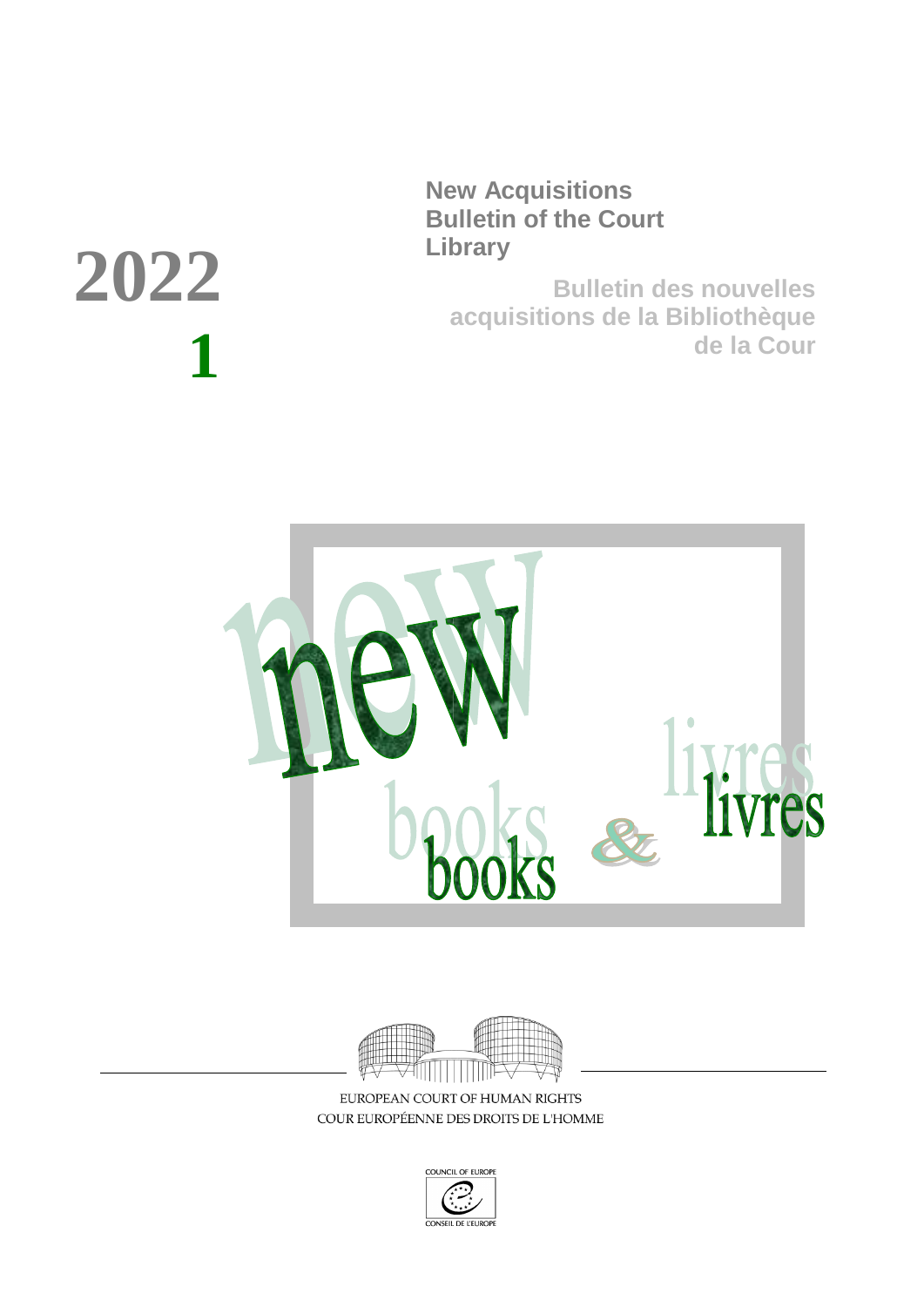**New Acquisitions Bulletin of the Court Library**

**Bulletin des nouvelles acquisitions de la Bibliothèque de la Cour**





EUROPEAN COURT OF HUMAN RIGHTS COUR EUROPÉENNE DES DROITS DE L'HOMME



# **2022 1**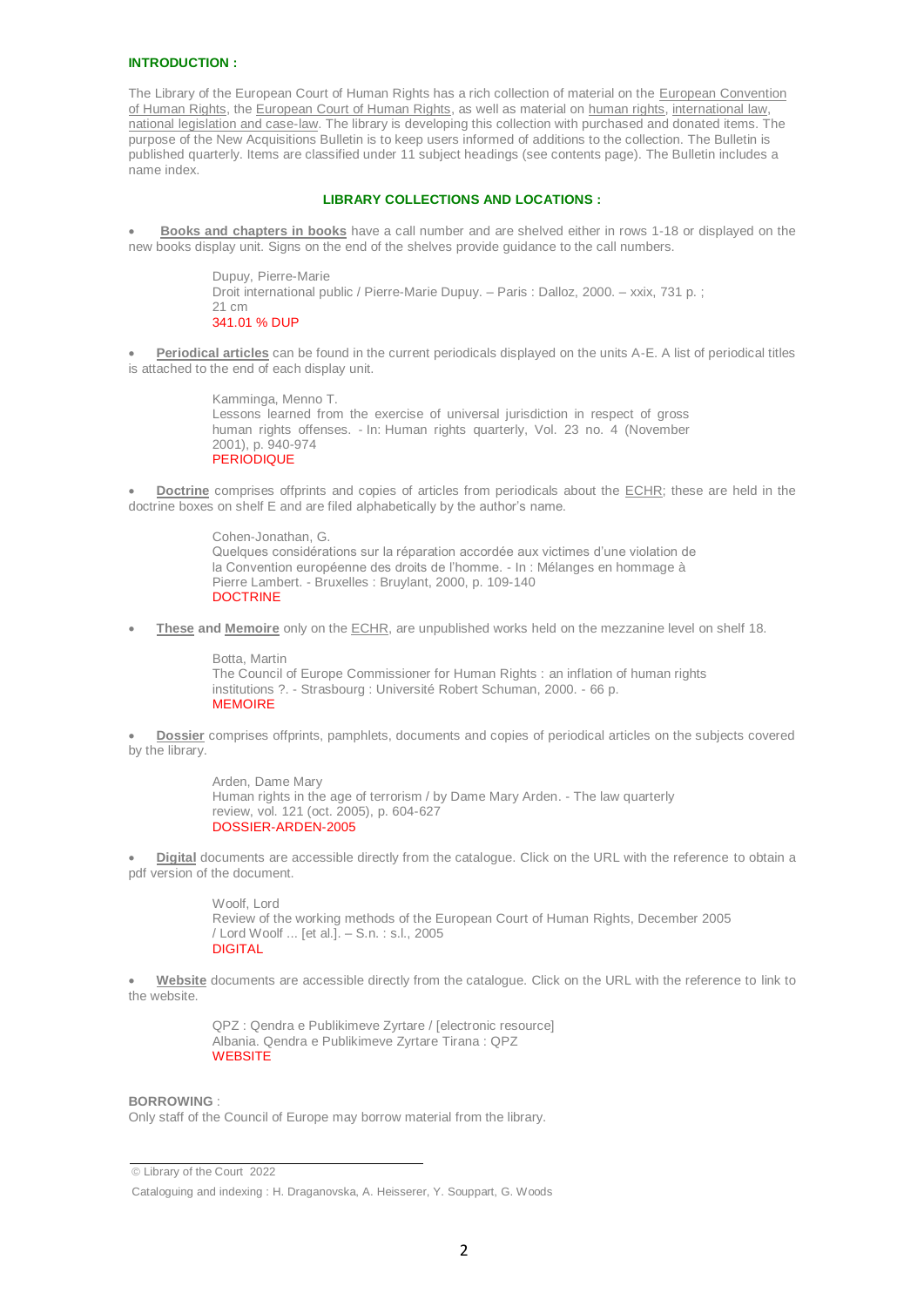#### **INTRODUCTION :**

The Library of the European Court of Human Rights has a rich collection of material on the European Convention of Human Rights, the European Court of Human Rights, as well as material on human rights, international law, national legislation and case-law. The library is developing this collection with purchased and donated items. The purpose of the New Acquisitions Bulletin is to keep users informed of additions to the collection. The Bulletin is published quarterly. Items are classified under 11 subject headings (see contents page). The Bulletin includes a name index.

#### **LIBRARY COLLECTIONS AND LOCATIONS :**

 **Books and chapters in books** have a call number and are shelved either in rows 1-18 or displayed on the new books display unit. Signs on the end of the shelves provide guidance to the call numbers.

> Dupuy, Pierre-Marie Droit international public / Pierre-Marie Dupuy. – Paris : Dalloz, 2000. – xxix, 731 p. ; 21 cm 341.01 % DUP

 **Periodical articles** can be found in the current periodicals displayed on the units A-E. A list of periodical titles is attached to the end of each display unit.

> Kamminga, Menno T. Lessons learned from the exercise of universal jurisdiction in respect of gross human rights offenses. - In: Human rights quarterly, Vol. 23 no. 4 (November 2001), p. 940-974 PERIODIQUE

 **Doctrine** comprises offprints and copies of articles from periodicals about the ECHR; these are held in the doctrine boxes on shelf E and are filed alphabetically by the author's name.

> Cohen-Jonathan, G. Quelques considérations sur la réparation accordée aux victimes d'une violation de la Convention européenne des droits de l'homme. - In : Mélanges en hommage à Pierre Lambert. - Bruxelles : Bruylant, 2000, p. 109-140 **DOCTRINE**

**These and Memoire** only on the ECHR, are unpublished works held on the mezzanine level on shelf 18.

Botta, Martin The Council of Europe Commissioner for Human Rights : an inflation of human rights institutions ?. - Strasbourg : Université Robert Schuman, 2000. - 66 p. **MEMOIRE** 

 **Dossier** comprises offprints, pamphlets, documents and copies of periodical articles on the subjects covered by the library.

> [Arden, Dame Mary](http://hrls.echr.coe.int/uhtbin/cgisirsi.exe/rDoodvsENU/270260014/18/X100/XAUTHOR/Arden,+Dame+Mary) [Human rights in the age of terrorism / by Dame Mary Arden.](http://hrls.echr.coe.int/uhtbin/cgisirsi.exe/rDoodvsENU/270260014/18/X245/XTITLE/Human+rights+in+the+age+of+terrorism+%5e2F) - The law quarterly review, vol. 121 (oct. 2005), p. 604-627 DOSSIER-ARDEN-2005

 **Digital** documents are accessible directly from the catalogue. Click on the URL with the reference to obtain a pdf version of the document.

> Woolf Lord [Review of the working methods of the European Court of Human Rights, December 2005](http://hrls.echr.coe.int/uhtbin/cgisirsi.exe/AqW5KSgx2P/156070005/18/X245/XTITLE/Review+of+the+working+methods+of+the+European+Court+of+Human+Rights,+December+2005+%5e2F)  [/ Lord Woolf ... \[et al.\].](http://hrls.echr.coe.int/uhtbin/cgisirsi.exe/AqW5KSgx2P/156070005/18/X245/XTITLE/Review+of+the+working+methods+of+the+European+Court+of+Human+Rights,+December+2005+%5e2F) – S.n. : s.l., 2005 DIGITAL

 **Website** documents are accessible directly from the catalogue. Click on the URL with the reference to link to the website.

> QPZ : Qendra e Publikimeve Zyrtare / [electronic resource] Albania. Qendra e Publikimeve Zyrtare Tirana : QPZ **WEBSITE**

#### **BORROWING** :

Only staff of the Council of Europe may borrow material from the library.

 Library of the Court 2022

Cataloguing and indexing : H. Draganovska, A. Heisserer, Y. Souppart, G. Woods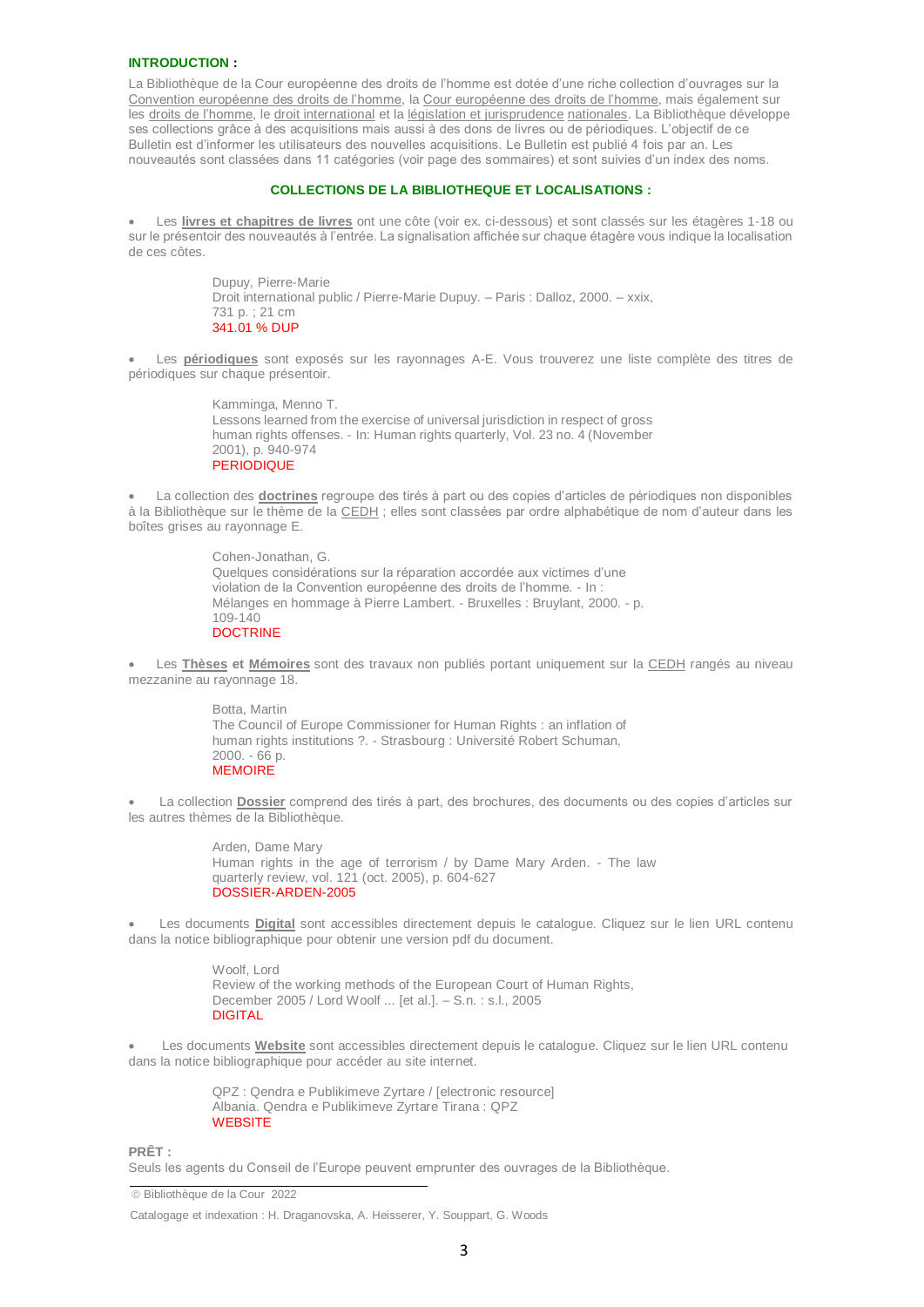#### **INTRODUCTION :**

La Bibliothèque de la Cour européenne des droits de l'homme est dotée d'une riche collection d'ouvrages sur la Convention européenne des droits de l'homme, la Cour européenne des droits de l'homme, mais également sur les droits de l'homme, le droit international et la législation et jurisprudence nationales. La Bibliothèque développe ses collections grâce à des acquisitions mais aussi à des dons de livres ou de périodiques. L'objectif de ce Bulletin est d'informer les utilisateurs des nouvelles acquisitions. Le Bulletin est publié 4 fois par an. Les nouveautés sont classées dans 11 catégories (voir page des sommaires) et sont suivies d'un index des noms.

#### **COLLECTIONS DE LA BIBLIOTHEQUE ET LOCALISATIONS :**

 Les **livres et chapitres de livres** ont une côte (voir ex. ci-dessous) et sont classés sur les étagères 1-18 ou sur le présentoir des nouveautés à l'entrée. La signalisation affichée sur chaque étagère vous indique la localisation de ces côtes.

> Dupuy, Pierre-Marie Droit international public / Pierre-Marie Dupuy. – Paris : Dalloz, 2000. – xxix, 731 p. ; 21 cm 341.01 % DUP

 Les **périodiques** sont exposés sur les rayonnages A-E. Vous trouverez une liste complète des titres de périodiques sur chaque présentoir.

> Kamminga, Menno T. Lessons learned from the exercise of universal jurisdiction in respect of gross human rights offenses. - In: Human rights quarterly, Vol. 23 no. 4 (November 2001), p. 940-974 **PERIODIQUE**

 La collection des **doctrines** regroupe des tirés à part ou des copies d'articles de périodiques non disponibles à la Bibliothèque sur le thème de la CEDH ; elles sont classées par ordre alphabétique de nom d'auteur dans les boîtes grises au rayonnage E.

> Cohen-Jonathan, G. Quelques considérations sur la réparation accordée aux victimes d'une violation de la Convention européenne des droits de l'homme. - In : Mélanges en hommage à Pierre Lambert. - Bruxelles : Bruylant, 2000. - p. 109-140 **DOCTRINE**

 Les **Thèses et Mémoires** sont des travaux non publiés portant uniquement sur la CEDH rangés au niveau mezzanine au rayonnage 18.

> Botta, Martin The Council of Europe Commissioner for Human Rights : an inflation of human rights institutions ?. - Strasbourg : Université Robert Schuman, 2000. - 66 p. **MEMOIRE**

 La collection **Dossier** comprend des tirés à part, des brochures, des documents ou des copies d'articles sur les autres thèmes de la Bibliothèque.

> [Arden, Dame Mary](http://hrls.echr.coe.int/uhtbin/cgisirsi.exe/rDoodvsENU/270260014/18/X100/XAUTHOR/Arden,+Dame+Mary) [Human rights in the age of terrorism / by Dame Mary Arden.](http://hrls.echr.coe.int/uhtbin/cgisirsi.exe/rDoodvsENU/270260014/18/X245/XTITLE/Human+rights+in+the+age+of+terrorism+%5e2F) - The law quarterly review, vol. 121 (oct. 2005), p. 604-627 DOSSIER-ARDEN-2005

 Les documents **Digital** sont accessibles directement depuis le catalogue. Cliquez sur le lien URL contenu dans la notice bibliographique pour obtenir une version pdf du document.

> Woolf Lord [Review of the working methods of the European Court of Human Rights,](http://hrls.echr.coe.int/uhtbin/cgisirsi.exe/AqW5KSgx2P/156070005/18/X245/XTITLE/Review+of+the+working+methods+of+the+European+Court+of+Human+Rights,+December+2005+%5e2F)  [December 2005 / Lord Woolf ... \[et al.\].](http://hrls.echr.coe.int/uhtbin/cgisirsi.exe/AqW5KSgx2P/156070005/18/X245/XTITLE/Review+of+the+working+methods+of+the+European+Court+of+Human+Rights,+December+2005+%5e2F) – S.n. : s.l., 2005 DIGITAL

 Les documents **Website** sont accessibles directement depuis le catalogue. Cliquez sur le lien URL contenu dans la notice bibliographique pour accéder au site internet.

> QPZ : Qendra e Publikimeve Zyrtare / [electronic resource] Albania. Qendra e Publikimeve Zyrtare Tirana : QPZ **WEBSITE**

**PRÊT :**

Seuls les agents du Conseil de l'Europe peuvent emprunter des ouvrages de la Bibliothèque.

Bibliothèque de la Cour 2022

Catalogage et indexation : H. Draganovska, A. Heisserer, Y. Souppart, G. Woods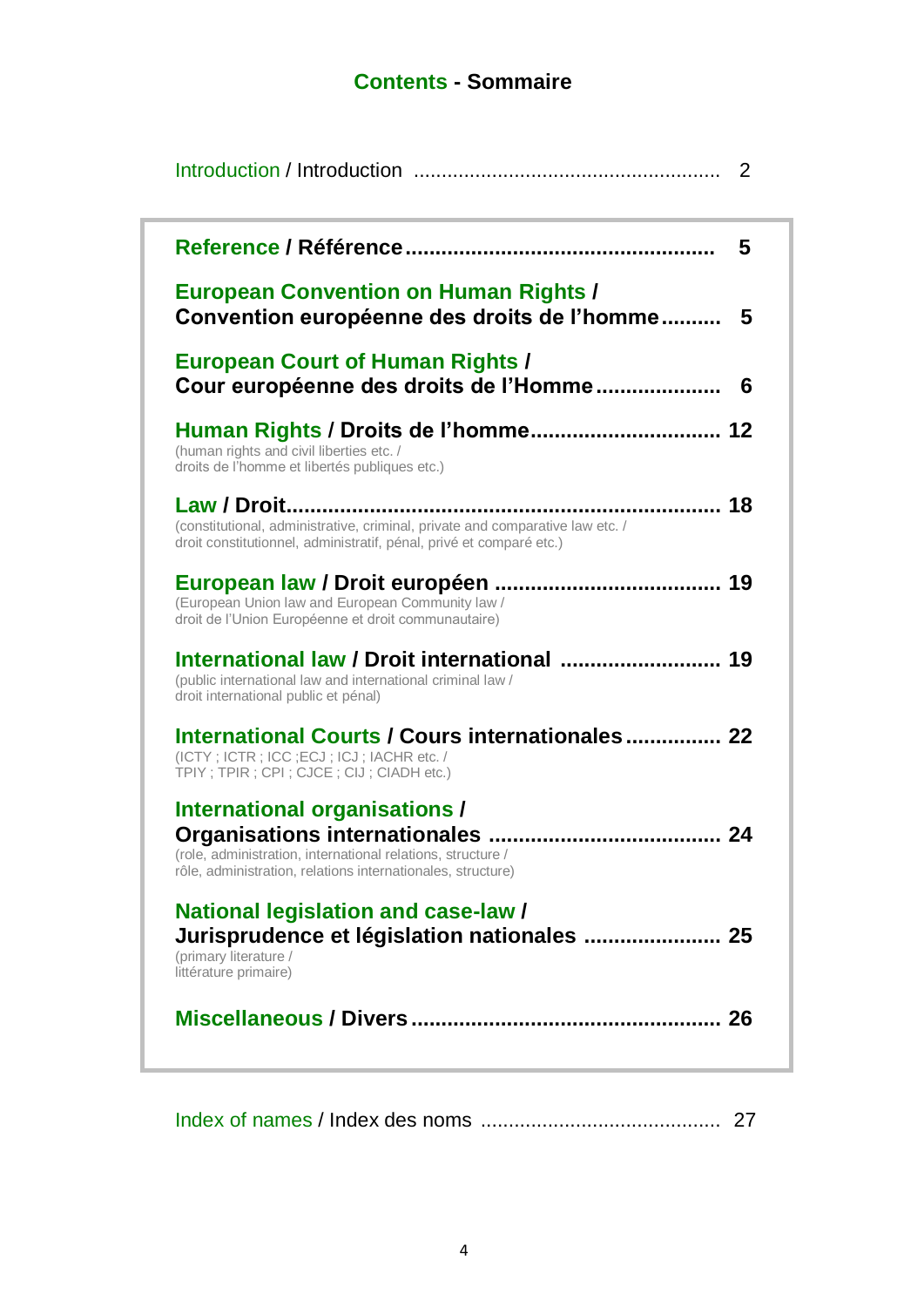# **Contents - Sommaire**

| 2                                                                                                                                                           |
|-------------------------------------------------------------------------------------------------------------------------------------------------------------|
| 5                                                                                                                                                           |
| <b>European Convention on Human Rights /</b><br>Convention européenne des droits de l'homme<br>5                                                            |
| <b>European Court of Human Rights /</b><br>Cour européenne des droits de l'Homme<br>6                                                                       |
| (human rights and civil liberties etc. /<br>droits de l'homme et libertés publiques etc.)                                                                   |
| (constitutional, administrative, criminal, private and comparative law etc. /<br>droit constitutionnel, administratif, pénal, privé et comparé etc.)        |
| (European Union law and European Community law /<br>droit de l'Union Européenne et droit communautaire)                                                     |
| (public international law and international criminal law /<br>droit international public et pénal)                                                          |
| International Courts / Cours internationales 22<br>(ICTY; ICTR; ICC; ECJ; ICJ; IACHR etc. /<br>TPIY; TPIR; CPI; CJCE; CIJ; CIADH etc.)                      |
| International organisations /<br>(role, administration, international relations, structure /<br>rôle, administration, relations internationales, structure) |
| <b>National legislation and case-law /</b><br>Jurisprudence et législation nationales  25<br>(primary literature /<br>littérature primaire)                 |
|                                                                                                                                                             |

Index of names / Index des noms ........................................... 27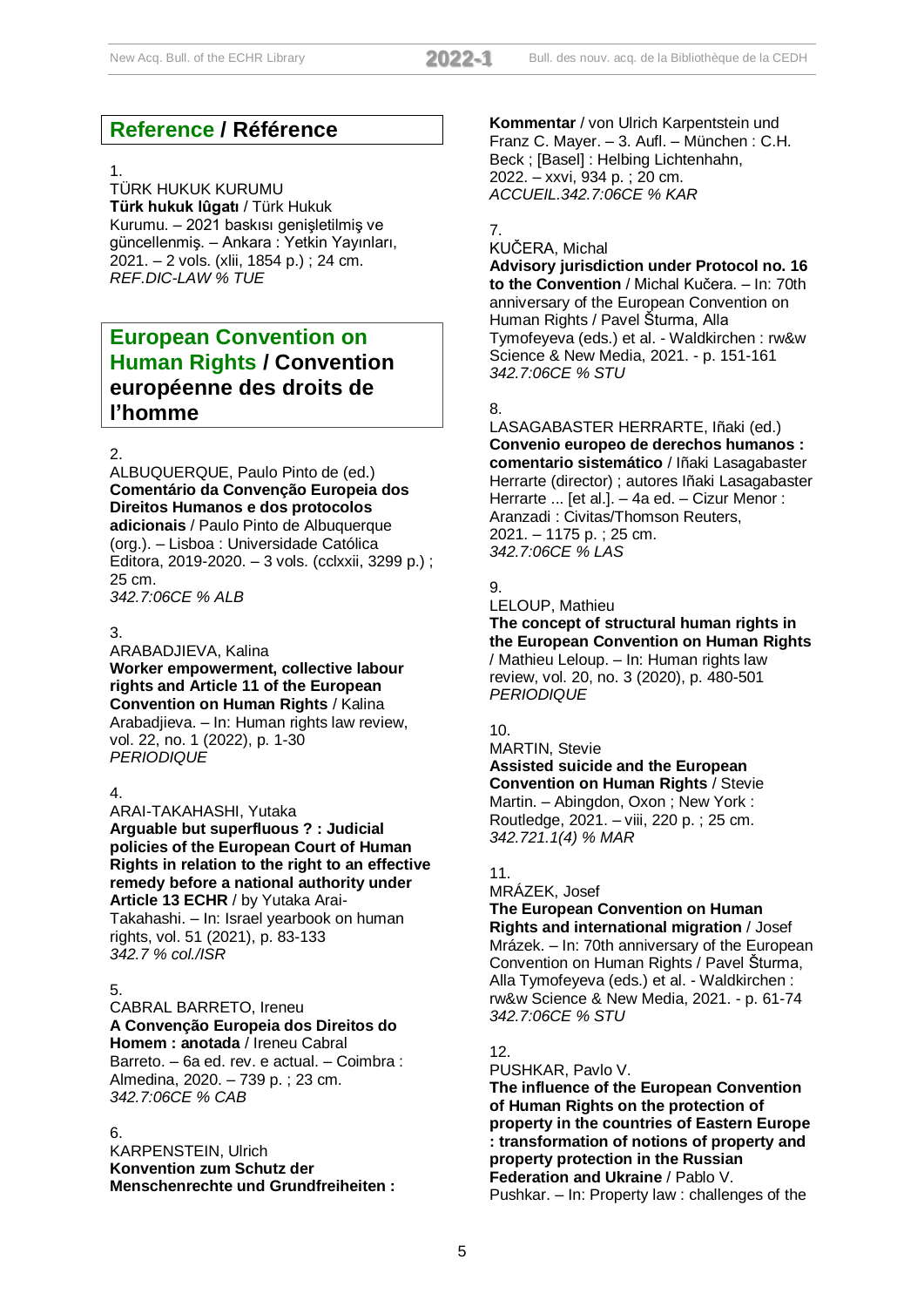# **Reference / Référence**

#### 1.

TÜRK HUKUK KURUMU **Türk hukuk lûgatı** / Türk Hukuk Kurumu. – 2021 baskısı genişletilmiş ve güncellenmiş. – Ankara : Yetkin Yayınları, 2021. – 2 vols. (xlii, 1854 p.) ; 24 cm. *REF.DIC-LAW % TUE*

# **European Convention on Human Rights / Convention européenne des droits de l'homme**

#### 2.

ALBUQUERQUE, Paulo Pinto de (ed.) **Comentário da Convenção Europeia dos Direitos Humanos e dos protocolos adicionais** / Paulo Pinto de Albuquerque (org.). – Lisboa : Universidade Católica Editora, 2019-2020. – 3 vols. (cclxxii, 3299 p.) ; 25 cm. *342.7:06CE % ALB*

#### 3.

ARABADJIEVA, Kalina **Worker empowerment, collective labour rights and Article 11 of the European Convention on Human Rights** / Kalina Arabadjieva. – In: Human rights law review, vol. 22, no. 1 (2022), p. 1-30 *PERIODIQUE*

#### 4.

ARAI-TAKAHASHI, Yutaka **Arguable but superfluous ? : Judicial policies of the European Court of Human Rights in relation to the right to an effective remedy before a national authority under Article 13 ECHR** / by Yutaka Arai-Takahashi. – In: Israel yearbook on human rights, vol. 51 (2021), p. 83-133 *342.7 % col./ISR*

## 5.

CABRAL BARRETO, Ireneu **A Convenção Europeia dos Direitos do Homem : anotada** / Ireneu Cabral

Barreto. – 6a ed. rev. e actual. – Coimbra : Almedina, 2020. – 739 p. ; 23 cm. *342.7:06CE % CAB*

#### 6.

KARPENSTEIN, Ulrich **Konvention zum Schutz der Menschenrechte und Grundfreiheiten :**  **Kommentar** / von Ulrich Karpentstein und Franz C. Mayer. – 3. Aufl. – München : C.H. Beck ; [Basel] : Helbing Lichtenhahn, 2022. – xxvi, 934 p. ; 20 cm. *ACCUEIL.342.7:06CE % KAR*

## 7.

## KUČERA, Michal

**Advisory jurisdiction under Protocol no. 16 to the Convention** / Michal Kučera. – In: 70th anniversary of the European Convention on Human Rights / Pavel Šturma, Alla Tymofeyeva (eds.) et al. - Waldkirchen : rw&w Science & New Media, 2021. - p. 151-161 *342.7:06CE % STU*

#### 8.

LASAGABASTER HERRARTE, Iñaki (ed.) **Convenio europeo de derechos humanos : comentario sistemático** / Iñaki Lasagabaster Herrarte (director) ; autores Iñaki Lasagabaster Herrarte ... [et al.]. – 4a ed. – Cizur Menor : Aranzadi : Civitas/Thomson Reuters, 2021. – 1175 p. ; 25 cm. *342.7:06CE % LAS*

## 9.

LELOUP, Mathieu

**The concept of structural human rights in the European Convention on Human Rights** / Mathieu Leloup. – In: Human rights law review, vol. 20, no. 3 (2020), p. 480-501 *PERIODIQUE*

#### 10.

MARTIN, Stevie **Assisted suicide and the European Convention on Human Rights** / Stevie Martin. – Abingdon, Oxon ; New York : Routledge, 2021. – viii, 220 p. ; 25 cm. *342.721.1(4) % MAR*

## 11.

## MRÁZEK, Josef **The European Convention on Human Rights and international migration** / Josef Mrázek. – In: 70th anniversary of the European Convention on Human Rights / Pavel Šturma, Alla Tymofeyeva (eds.) et al. - Waldkirchen : rw&w Science & New Media, 2021. - p. 61-74 *342.7:06CE % STU*

## 12.

PUSHKAR, Pavlo V.

**The influence of the European Convention of Human Rights on the protection of property in the countries of Eastern Europe : transformation of notions of property and property protection in the Russian Federation and Ukraine** / Pablo V. Pushkar. – In: Property law : challenges of the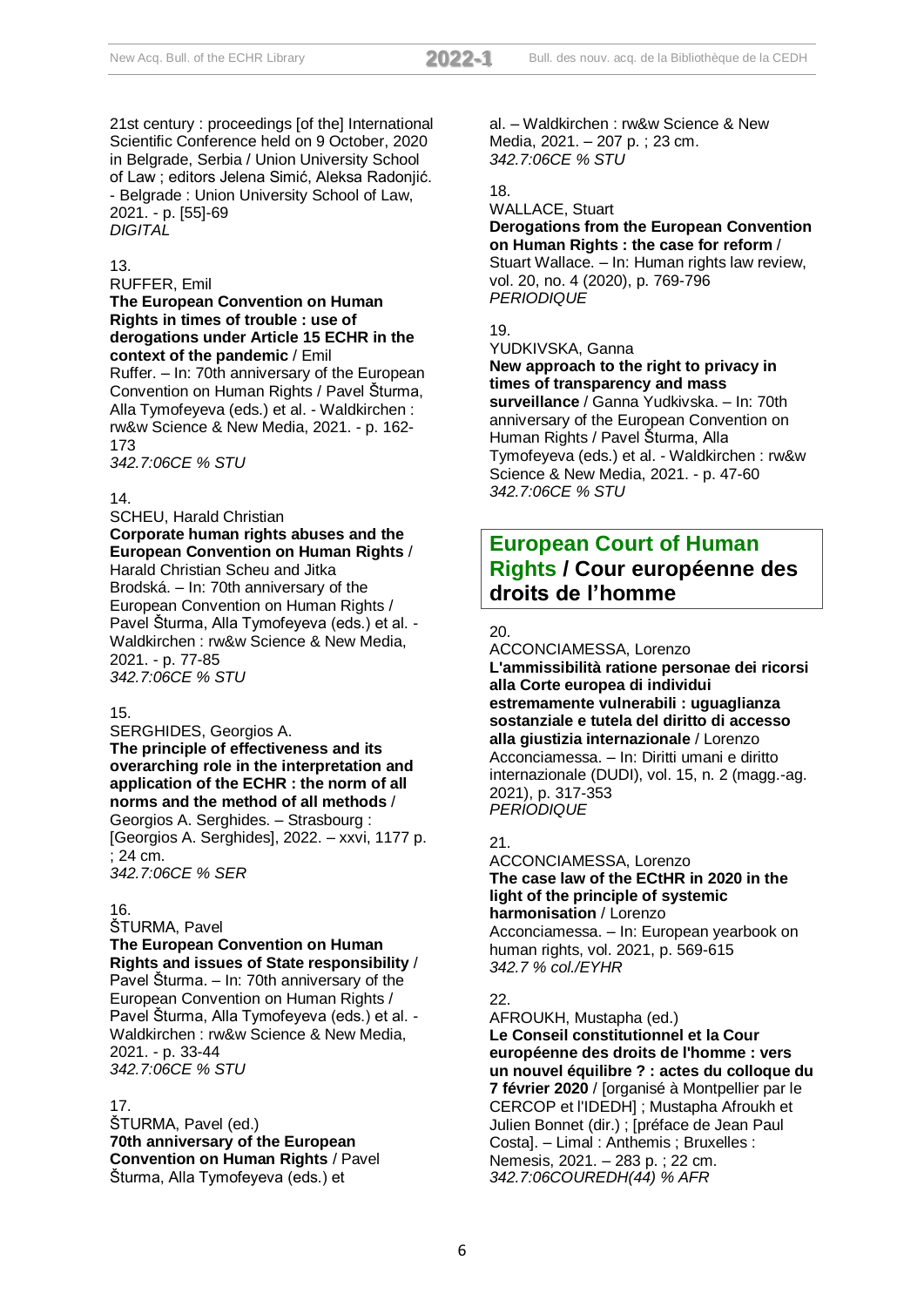21st century : proceedings [of the] International Scientific Conference held on 9 October, 2020 in Belgrade, Serbia / Union University School of Law ; editors Jelena Simić, Aleksa Radonjić. - Belgrade : Union University School of Law, 2021. - p. [55]-69 *DIGITAL*

#### 13.

#### RUFFER, Emil

## **The European Convention on Human Rights in times of trouble : use of derogations under Article 15 ECHR in the context of the pandemic** / Emil

Ruffer. – In: 70th anniversary of the European Convention on Human Rights / Pavel Šturma, Alla Tymofeyeva (eds.) et al. - Waldkirchen : rw&w Science & New Media, 2021. - p. 162- 173

*342.7:06CE % STU*

#### 14.

## SCHEU, Harald Christian **Corporate human rights abuses and the European Convention on Human Rights** /

Harald Christian Scheu and Jitka Brodská. – In: 70th anniversary of the European Convention on Human Rights / Pavel Šturma, Alla Tymofeyeva (eds.) et al. - Waldkirchen : rw&w Science & New Media, 2021. - p. 77-85 *342.7:06CE % STU*

## 15.

SERGHIDES, Georgios A. **The principle of effectiveness and its overarching role in the interpretation and application of the ECHR : the norm of all norms and the method of all methods** / Georgios A. Serghides. – Strasbourg : [Georgios A. Serghides], 2022. – xxvi, 1177 p. ; 24 cm.

*342.7:06CE % SER*

## 16.

#### ŠTURMA, Pavel

**The European Convention on Human Rights and issues of State responsibility** / Pavel Šturma. – In: 70th anniversary of the European Convention on Human Rights / Pavel Šturma, Alla Tymofeyeva (eds.) et al. - Waldkirchen : rw&w Science & New Media, 2021. - p. 33-44 *342.7:06CE % STU*

#### 17.

ŠTURMA, Pavel (ed.) **70th anniversary of the European Convention on Human Rights** / Pavel Šturma, Alla Tymofeyeva (eds.) et

al. – Waldkirchen : rw&w Science & New Media, 2021. – 207 p. ; 23 cm. *342.7:06CE % STU*

# 18.

#### WALLACE, Stuart **Derogations from the European Convention on Human Rights : the case for reform** / Stuart Wallace. – In: Human rights law review, vol. 20, no. 4 (2020), p. 769-796 *PERIODIQUE*

## 19.

#### YUDKIVSKA, Ganna **New approach to the right to privacy in times of transparency and mass**

**surveillance** / Ganna Yudkivska. – In: 70th anniversary of the European Convention on Human Rights / Pavel Šturma, Alla Tymofeyeva (eds.) et al. - Waldkirchen : rw&w Science & New Media, 2021. - p. 47-60 *342.7:06CE % STU*

# **European Court of Human Rights / Cour européenne des droits de l'homme**

## 20.

ACCONCIAMESSA, Lorenzo **L'ammissibilità ratione personae dei ricorsi alla Corte europea di individui estremamente vulnerabili : uguaglianza sostanziale e tutela del diritto di accesso alla giustizia internazionale** / Lorenzo Acconciamessa. – In: Diritti umani e diritto internazionale (DUDI), vol. 15, n. 2 (magg.-ag. 2021), p. 317-353 *PERIODIQUE*

## 21.

## ACCONCIAMESSA, Lorenzo **The case law of the ECtHR in 2020 in the light of the principle of systemic harmonisation** / Lorenzo

Acconciamessa. – In: European yearbook on human rights, vol. 2021, p. 569-615 *342.7 % col./EYHR*

## $22.$

AFROUKH, Mustapha (ed.) **Le Conseil constitutionnel et la Cour européenne des droits de l'homme : vers un nouvel équilibre ? : actes du colloque du 7 février 2020** / [organisé à Montpellier par le CERCOP et l'IDEDH] ; Mustapha Afroukh et Julien Bonnet (dir.) ; [préface de Jean Paul Costa]. – Limal : Anthemis ; Bruxelles : Nemesis, 2021. – 283 p. ; 22 cm. *342.7:06COUREDH(44) % AFR*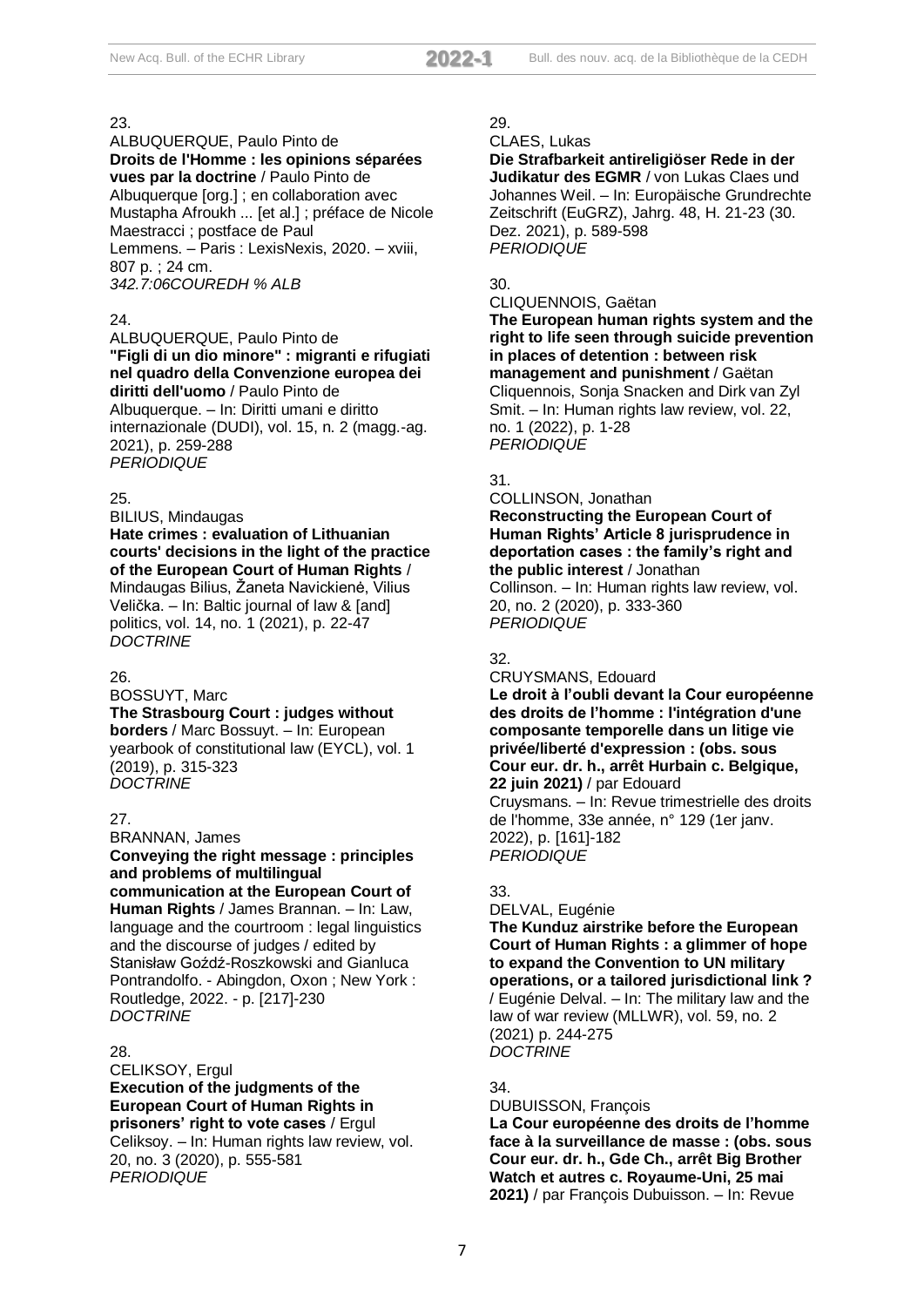ALBUQUERQUE, Paulo Pinto de **Droits de l'Homme : les opinions séparées vues par la doctrine** / Paulo Pinto de Albuquerque [org.] ; en collaboration avec Mustapha Afroukh ... [et al.] ; préface de Nicole Maestracci ; postface de Paul Lemmens. – Paris : LexisNexis, 2020. – xviii, 807 p. ; 24 cm. *342.7:06COUREDH % ALB*

## $24.$

ALBUQUERQUE, Paulo Pinto de **"Figli di un dio minore" : migranti e rifugiati nel quadro della Convenzione europea dei diritti dell'uomo** / Paulo Pinto de Albuquerque. – In: Diritti umani e diritto internazionale (DUDI), vol. 15, n. 2 (magg.-ag. 2021), p. 259-288 *PERIODIQUE*

## 25.

BILIUS, Mindaugas **Hate crimes : evaluation of Lithuanian courts' decisions in the light of the practice of the European Court of Human Rights** / Mindaugas Bilius, Žaneta Navickienė, Vilius Velička. – In: Baltic journal of law & [and] politics, vol. 14, no. 1 (2021), p. 22-47 *DOCTRINE*

## 26.

BOSSUYT, Marc

## **The Strasbourg Court : judges without**

**borders** / Marc Bossuyt. – In: European yearbook of constitutional law (EYCL), vol. 1 (2019), p. 315-323 *DOCTRINE*

## 27.

BRANNAN, James **Conveying the right message : principles and problems of multilingual communication at the European Court of Human Rights** / James Brannan. – In: Law, language and the courtroom : legal linguistics and the discourse of judges / edited by Stanisław Goźdź-Roszkowski and Gianluca Pontrandolfo. - Abingdon, Oxon ; New York : Routledge, 2022. - p. [217]-230 *DOCTRINE*

## 28.

CELIKSOY, Ergul **Execution of the judgments of the European Court of Human Rights in prisoners' right to vote cases** / Ergul Celiksoy. – In: Human rights law review, vol. 20, no. 3 (2020), p. 555-581 *PERIODIQUE*

## 29.

CLAES, Lukas

**Die Strafbarkeit antireligiöser Rede in der Judikatur des EGMR** / von Lukas Claes und Johannes Weil. – In: Europäische Grundrechte Zeitschrift (EuGRZ), Jahrg. 48, H. 21-23 (30. Dez. 2021), p. 589-598 *PERIODIQUE*

## 30.

#### CLIQUENNOIS, Gaëtan

**The European human rights system and the right to life seen through suicide prevention in places of detention : between risk management and punishment** / Gaëtan Cliquennois, Sonja Snacken and Dirk van Zyl Smit. – In: Human rights law review, vol. 22, no. 1 (2022), p. 1-28 *PERIODIQUE*

## 31.

COLLINSON, Jonathan **Reconstructing the European Court of** 

**Human Rights' Article 8 jurisprudence in deportation cases : the family's right and the public interest** / Jonathan

Collinson. – In: Human rights law review, vol. 20, no. 2 (2020), p. 333-360 *PERIODIQUE*

## 32.

CRUYSMANS, Edouard

**Le droit à l'oubli devant la Cour européenne des droits de l'homme : l'intégration d'une composante temporelle dans un litige vie privée/liberté d'expression : (obs. sous Cour eur. dr. h., arrêt Hurbain c. Belgique, 22 juin 2021)** / par Edouard

Cruysmans. – In: Revue trimestrielle des droits de l'homme, 33e année, n° 129 (1er janv. 2022), p. [161]-182 *PERIODIQUE*

## 33.

DELVAL, Eugénie

**The Kunduz airstrike before the European Court of Human Rights : a glimmer of hope to expand the Convention to UN military operations, or a tailored jurisdictional link ?** / Eugénie Delval. – In: The military law and the law of war review (MLLWR), vol. 59, no. 2 (2021) p. 244-275 *DOCTRINE*

## 34.

DUBUISSON, François **La Cour européenne des droits de l'homme face à la surveillance de masse : (obs. sous Cour eur. dr. h., Gde Ch., arrêt Big Brother Watch et autres c. Royaume-Uni, 25 mai 2021)** / par François Dubuisson. – In: Revue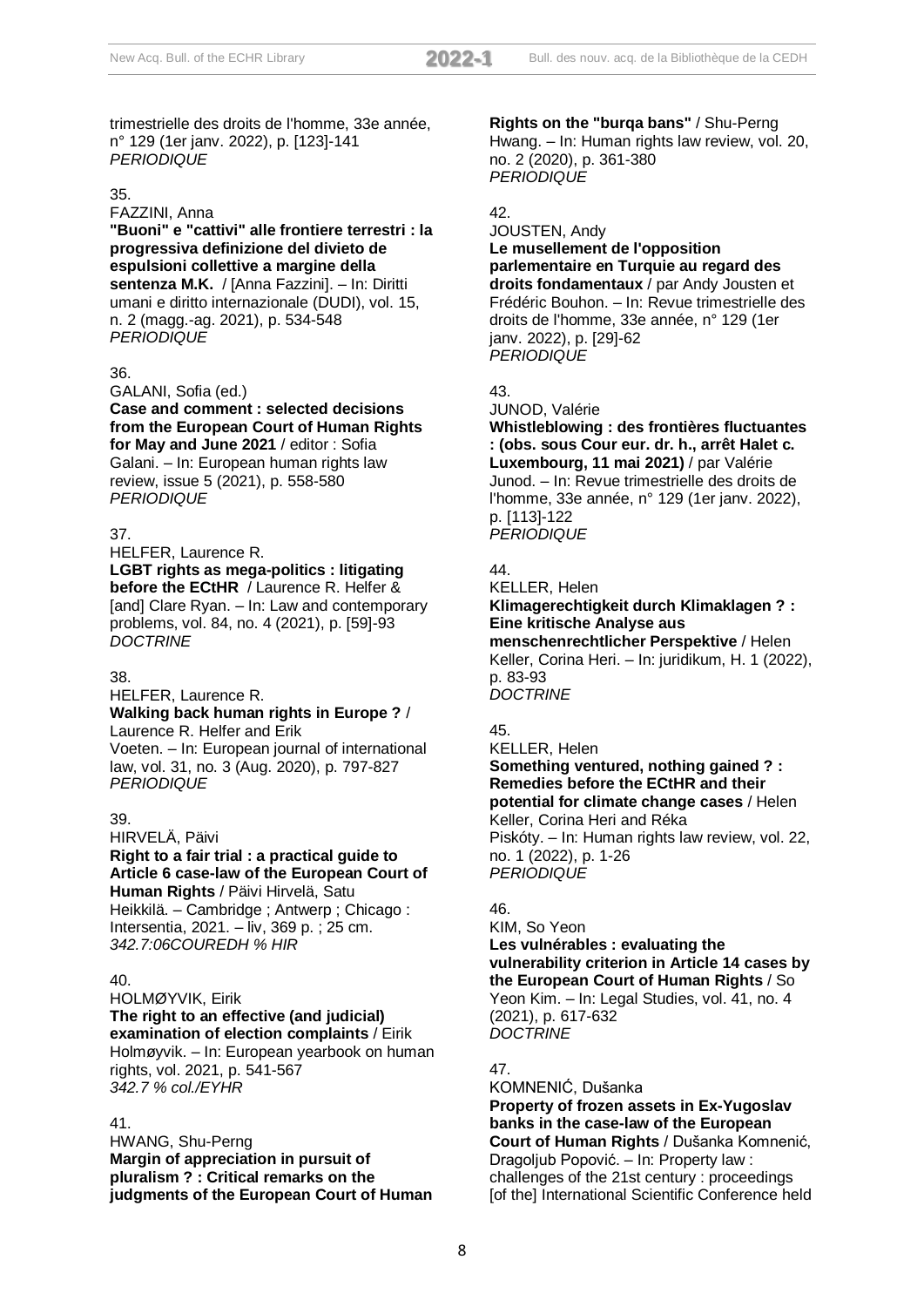trimestrielle des droits de l'homme, 33e année, n° 129 (1er janv. 2022), p. [123]-141 *PERIODIQUE*

#### 35.

FAZZINI, Anna

**"Buoni" e "cattivi" alle frontiere terrestri : la progressiva definizione del divieto de espulsioni collettive a margine della sentenza M.K.** / [Anna Fazzini]. – In: Diritti umani e diritto internazionale (DUDI), vol. 15, n. 2 (magg.-ag. 2021), p. 534-548 *PERIODIQUE*

#### 36.

GALANI, Sofia (ed.)

**Case and comment : selected decisions from the European Court of Human Rights for May and June 2021** / editor : Sofia Galani. – In: European human rights law review, issue 5 (2021), p. 558-580 *PERIODIQUE*

## 37.

HELFER, Laurence R.

**LGBT rights as mega-politics : litigating before the ECtHR** / Laurence R. Helfer & [and] Clare Ryan. – In: Law and contemporary problems, vol. 84, no. 4 (2021), p. [59]-93 *DOCTRINE*

## 38.

HELFER, Laurence R.

#### **Walking back human rights in Europe ?** / Laurence R. Helfer and Erik

Voeten. – In: European journal of international law, vol. 31, no. 3 (Aug. 2020), p. 797-827 *PERIODIQUE*

## 39.

HIRVELÄ, Päivi

**Right to a fair trial : a practical guide to Article 6 case-law of the European Court of Human Rights** / Päivi Hirvelä, Satu

Heikkilä. – Cambridge ; Antwerp ; Chicago : Intersentia, 2021. – liv, 369 p. ; 25 cm. *342.7:06COUREDH % HIR*

## 40.

HOLMØYVIK, Eirik **The right to an effective (and judicial) examination of election complaints** / Eirik Holmøyvik. – In: European yearbook on human rights, vol. 2021, p. 541-567 *342.7 % col./EYHR*

## 41.

HWANG, Shu-Perng **Margin of appreciation in pursuit of pluralism ? : Critical remarks on the judgments of the European Court of Human**  **Rights on the "burqa bans"** / Shu-Perng Hwang. – In: Human rights law review, vol. 20, no. 2 (2020), p. 361-380 *PERIODIQUE*

#### 42.

JOUSTEN, Andy **Le musellement de l'opposition parlementaire en Turquie au regard des droits fondamentaux** / par Andy Jousten et Frédéric Bouhon. – In: Revue trimestrielle des droits de l'homme, 33e année, n° 129 (1er janv. 2022), p. [29]-62 *PERIODIQUE*

## 43.

JUNOD, Valérie

**Whistleblowing : des frontières fluctuantes : (obs. sous Cour eur. dr. h., arrêt Halet c. Luxembourg, 11 mai 2021)** / par Valérie Junod. – In: Revue trimestrielle des droits de l'homme, 33e année, n° 129 (1er janv. 2022), p. [113]-122 *PERIODIQUE*

## 44.

KELLER, Helen

# **Klimagerechtigkeit durch Klimaklagen ? : Eine kritische Analyse aus**

**menschenrechtlicher Perspektive** / Helen Keller, Corina Heri. – In: juridikum, H. 1 (2022), p. 83-93 *DOCTRINE*

## 45.

KELLER, Helen **Something ventured, nothing gained ? : Remedies before the ECtHR and their potential for climate change cases** / Helen Keller, Corina Heri and Réka Piskóty. – In: Human rights law review, vol. 22, no. 1 (2022), p. 1-26 *PERIODIQUE*

## 46.

## KIM, So Yeon

**Les vulnérables : evaluating the vulnerability criterion in Article 14 cases by the European Court of Human Rights** / So Yeon Kim. – In: Legal Studies, vol. 41, no. 4 (2021), p. 617-632 *DOCTRINE*

## 47.

KOMNENIĆ, Dušanka **Property of frozen assets in Ex-Yugoslav banks in the case-law of the European** 

**Court of Human Rights** / Dušanka Komnenić, Dragoljub Popović. – In: Property law : challenges of the 21st century : proceedings [of the] International Scientific Conference held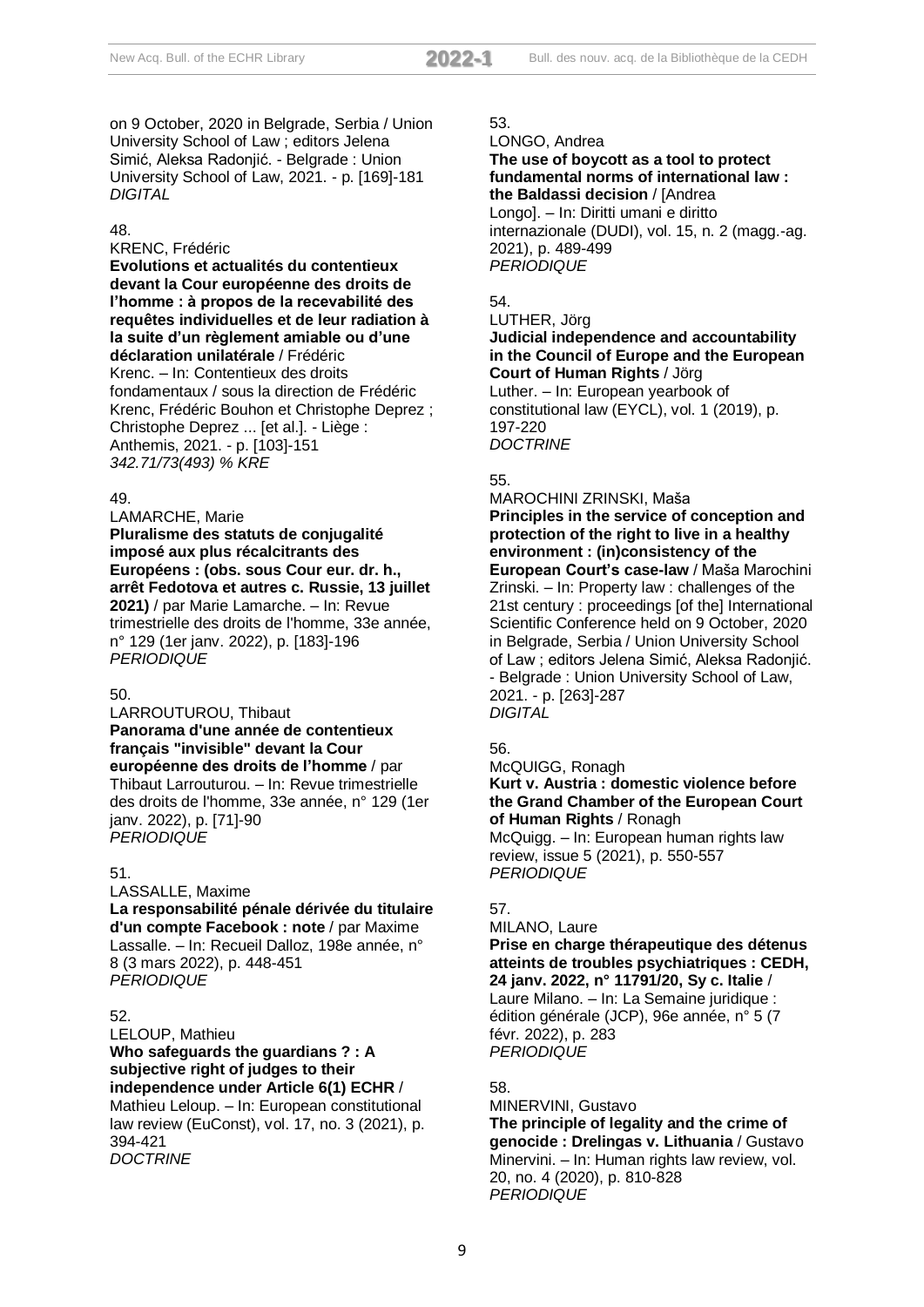on 9 October, 2020 in Belgrade, Serbia / Union University School of Law ; editors Jelena Simić, Aleksa Radonjić. - Belgrade : Union University School of Law, 2021. - p. [169]-181 *DIGITAL*

#### 48.

## KRENC, Frédéric

**Evolutions et actualités du contentieux devant la Cour européenne des droits de l'homme : à propos de la recevabilité des requêtes individuelles et de leur radiation à la suite d'un règlement amiable ou d'une déclaration unilatérale** / Frédéric Krenc. – In: Contentieux des droits fondamentaux / sous la direction de Frédéric Krenc, Frédéric Bouhon et Christophe Deprez ; Christophe Deprez ... [et al.]. - Liège : Anthemis, 2021. - p. [103]-151 *342.71/73(493) % KRE*

#### 49.

LAMARCHE, Marie **Pluralisme des statuts de conjugalité imposé aux plus récalcitrants des Européens : (obs. sous Cour eur. dr. h., arrêt Fedotova et autres c. Russie, 13 juillet 2021)** / par Marie Lamarche. – In: Revue trimestrielle des droits de l'homme, 33e année, n° 129 (1er janv. 2022), p. [183]-196 *PERIODIQUE*

#### 50.

LARROUTUROU, Thibaut **Panorama d'une année de contentieux français "invisible" devant la Cour européenne des droits de l'homme** / par Thibaut Larrouturou. – In: Revue trimestrielle des droits de l'homme, 33e année, n° 129 (1er janv. 2022), p. [71]-90 *PERIODIQUE*

#### 51.

LASSALLE, Maxime **La responsabilité pénale dérivée du titulaire d'un compte Facebook : note** / par Maxime Lassalle. – In: Recueil Dalloz, 198e année, n° 8 (3 mars 2022), p. 448-451 *PERIODIQUE*

## 52.

LELOUP, Mathieu **Who safeguards the guardians ? : A subjective right of judges to their independence under Article 6(1) ECHR** / Mathieu Leloup. – In: European constitutional law review (EuConst), vol. 17, no. 3 (2021), p. 394-421 *DOCTRINE*

## 53.

LONGO, Andrea

#### **The use of boycott as a tool to protect fundamental norms of international law : the Baldassi decision** / [Andrea

Longo]. – In: Diritti umani e diritto internazionale (DUDI), vol. 15, n. 2 (magg.-ag. 2021), p. 489-499 *PERIODIQUE*

## 54.

# LUTHER, Jörg

**Judicial independence and accountability in the Council of Europe and the European Court of Human Rights** / Jörg

Luther. – In: European yearbook of constitutional law (EYCL), vol. 1 (2019), p. 197-220 *DOCTRINE*

## 55.

MAROCHINI ZRINSKI, Maša **Principles in the service of conception and protection of the right to live in a healthy environment : (in)consistency of the European Court's case-law** / Maša Marochini Zrinski. – In: Property law : challenges of the 21st century : proceedings [of the] International Scientific Conference held on 9 October, 2020 in Belgrade, Serbia / Union University School of Law ; editors Jelena Simić, Aleksa Radonjić. - Belgrade : Union University School of Law, 2021. - p. [263]-287 *DIGITAL*

#### 56.

McQUIGG, Ronagh **Kurt v. Austria : domestic violence before the Grand Chamber of the European Court of Human Rights** / Ronagh

McQuigg. – In: European human rights law review, issue 5 (2021), p. 550-557 *PERIODIQUE*

## 57.

## MILANO, Laure

**Prise en charge thérapeutique des détenus atteints de troubles psychiatriques : CEDH, 24 janv. 2022, n° 11791/20, Sy c. Italie** / Laure Milano. – In: La Semaine juridique : édition générale (JCP), 96e année, n° 5 (7 févr. 2022), p. 283 *PERIODIQUE*

## 58.

MINERVINI, Gustavo **The principle of legality and the crime of genocide : Drelingas v. Lithuania** / Gustavo Minervini. – In: Human rights law review, vol. 20, no. 4 (2020), p. 810-828 *PERIODIQUE*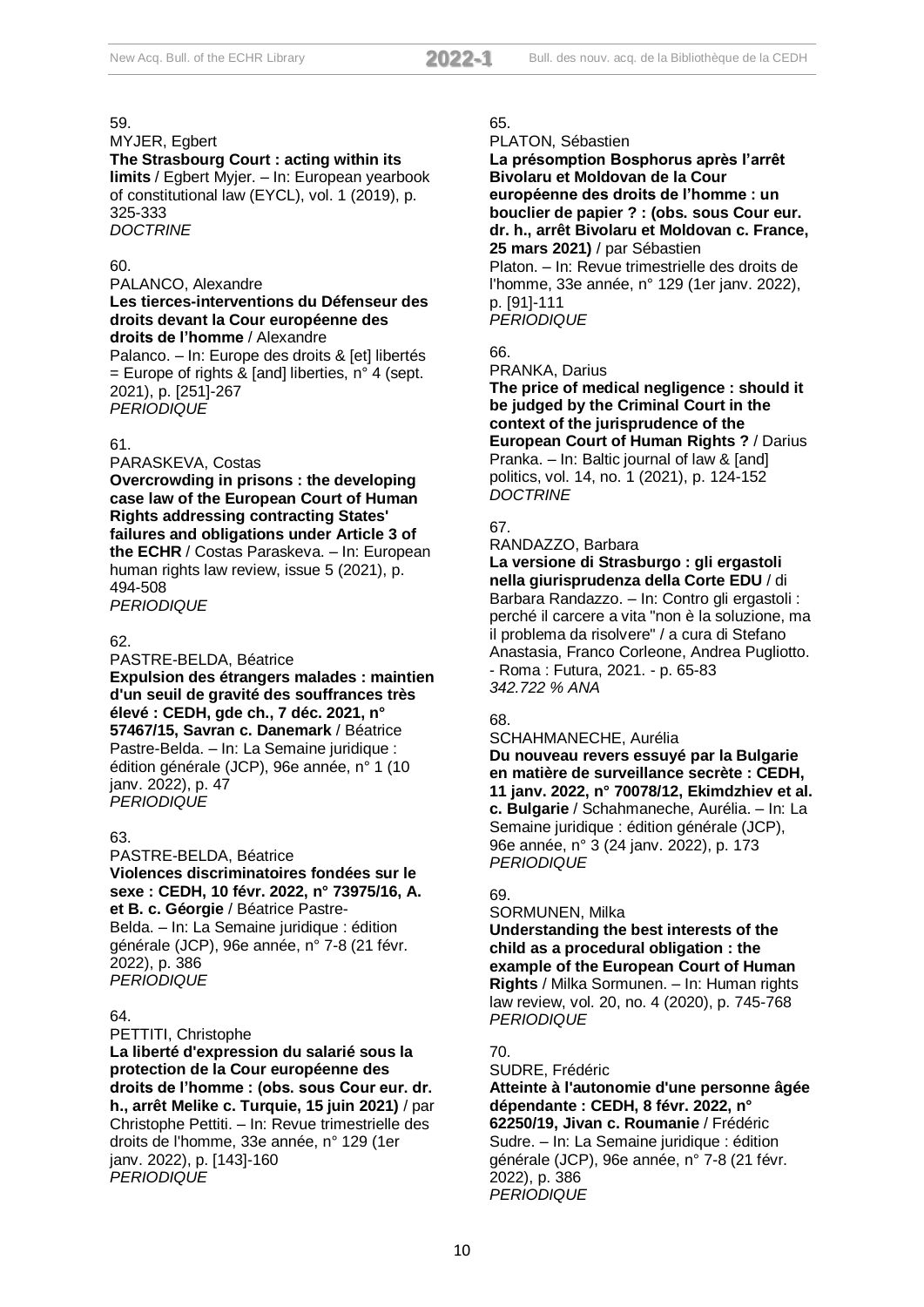## MYJER, Egbert

**The Strasbourg Court : acting within its limits** / Egbert Myjer. – In: European yearbook of constitutional law (EYCL), vol. 1 (2019), p. 325-333 *DOCTRINE*

#### 60.

#### PALANCO, Alexandre

**Les tierces-interventions du Défenseur des droits devant la Cour européenne des droits de l'homme** / Alexandre

Palanco. – In: Europe des droits & [et] libertés  $=$  Europe of rights & [and] liberties, n° 4 (sept. 2021), p. [251]-267 *PERIODIQUE*

#### 61.

#### PARASKEVA, Costas

**Overcrowding in prisons : the developing case law of the European Court of Human Rights addressing contracting States' failures and obligations under Article 3 of the ECHR** / Costas Paraskeva. – In: European human rights law review, issue 5 (2021), p. 494-508 *PERIODIQUE*

#### 62.

PASTRE-BELDA, Béatrice **Expulsion des étrangers malades : maintien d'un seuil de gravité des souffrances très élevé : CEDH, gde ch., 7 déc. 2021, n° 57467/15, Savran c. Danemark** / Béatrice Pastre-Belda. – In: La Semaine juridique : édition générale (JCP), 96e année, n° 1 (10 janv. 2022), p. 47 *PERIODIQUE*

#### 63.

PASTRE-BELDA, Béatrice **Violences discriminatoires fondées sur le sexe : CEDH, 10 févr. 2022, n° 73975/16, A. et B. c. Géorgie** / Béatrice Pastre-Belda. – In: La Semaine juridique : édition générale (JCP), 96e année, n° 7-8 (21 févr. 2022), p. 386 *PERIODIQUE*

#### 64.

PETTITI, Christophe

**La liberté d'expression du salarié sous la protection de la Cour européenne des droits de l'homme : (obs. sous Cour eur. dr. h., arrêt Melike c. Turquie, 15 juin 2021)** / par Christophe Pettiti. – In: Revue trimestrielle des droits de l'homme, 33e année, n° 129 (1er janv. 2022), p. [143]-160 *PERIODIQUE*

#### 65.

#### PLATON, Sébastien

**La présomption Bosphorus après l'arrêt Bivolaru et Moldovan de la Cour européenne des droits de l'homme : un bouclier de papier ? : (obs. sous Cour eur. dr. h., arrêt Bivolaru et Moldovan c. France, 25 mars 2021)** / par Sébastien Platon. – In: Revue trimestrielle des droits de l'homme, 33e année, n° 129 (1er janv. 2022), p. [91]-111

*PERIODIQUE*

# 66.

PRANKA, Darius

**The price of medical negligence : should it be judged by the Criminal Court in the context of the jurisprudence of the European Court of Human Rights ?** / Darius Pranka. – In: Baltic journal of law & [and] politics, vol. 14, no. 1 (2021), p. 124-152 *DOCTRINE*

## 67.

#### RANDAZZO, Barbara

**La versione di Strasburgo : gli ergastoli nella giurisprudenza della Corte EDU** / di Barbara Randazzo. – In: Contro gli ergastoli : perché il carcere a vita "non è la soluzione, ma il problema da risolvere" / a cura di Stefano Anastasia, Franco Corleone, Andrea Pugliotto. - Roma : Futura, 2021. - p. 65-83 *342.722 % ANA*

## 68.

#### SCHAHMANECHE, Aurélia

**Du nouveau revers essuyé par la Bulgarie en matière de surveillance secrète : CEDH, 11 janv. 2022, n° 70078/12, Ekimdzhiev et al. c. Bulgarie** / Schahmaneche, Aurélia. – In: La Semaine juridique : édition générale (JCP), 96e année, n° 3 (24 janv. 2022), p. 173 *PERIODIQUE*

## 69.

SORMUNEN, Milka

**Understanding the best interests of the child as a procedural obligation : the example of the European Court of Human Rights** / Milka Sormunen. – In: Human rights law review, vol. 20, no. 4 (2020), p. 745-768 *PERIODIQUE*

## 70.

SUDRE, Frédéric

**Atteinte à l'autonomie d'une personne âgée dépendante : CEDH, 8 févr. 2022, n° 62250/19, Jivan c. Roumanie** / Frédéric Sudre. – In: La Semaine juridique : édition générale (JCP), 96e année, n° 7-8 (21 févr. 2022), p. 386 *PERIODIQUE*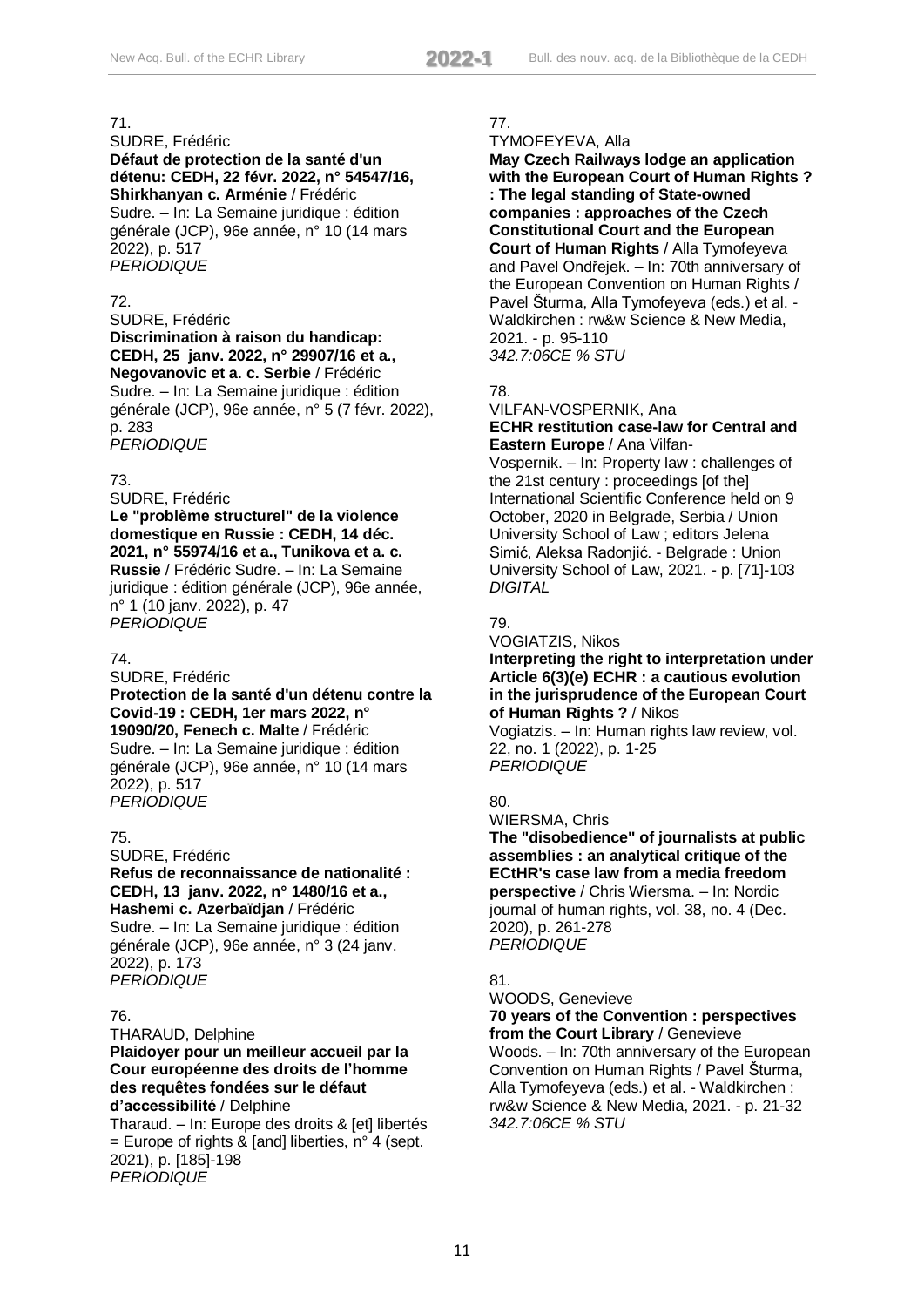#### SUDRE, Frédéric **Défaut de protection de la santé d'un détenu: CEDH, 22 févr. 2022, n° 54547/16, Shirkhanyan c. Arménie** / Frédéric

Sudre. – In: La Semaine juridique : édition générale (JCP), 96e année, n° 10 (14 mars 2022), p. 517 *PERIODIQUE*

## 72.

SUDRE, Frédéric **Discrimination à raison du handicap: CEDH, 25 janv. 2022, n° 29907/16 et a., Negovanovic et a. c. Serbie** / Frédéric

Sudre. – In: La Semaine juridique : édition générale (JCP), 96e année, n° 5 (7 févr. 2022), p. 283

*PERIODIQUE*

## 73.

SUDRE, Frédéric

**Le "problème structurel" de la violence domestique en Russie : CEDH, 14 déc. 2021, n° 55974/16 et a., Tunikova et a. c. Russie** / Frédéric Sudre. – In: La Semaine juridique : édition générale (JCP), 96e année, n° 1 (10 janv. 2022), p. 47 *PERIODIQUE*

#### 74.

SUDRE, Frédéric

## **Protection de la santé d'un détenu contre la Covid-19 : CEDH, 1er mars 2022, n° 19090/20, Fenech c. Malte** / Frédéric

Sudre. – In: La Semaine juridique : édition générale (JCP), 96e année, n° 10 (14 mars 2022), p. 517 *PERIODIQUE*

## 75.

SUDRE, Frédéric **Refus de reconnaissance de nationalité : CEDH, 13 janv. 2022, n° 1480/16 et a., Hashemi c. Azerbaïdjan** / Frédéric Sudre. – In: La Semaine juridique : édition générale (JCP), 96e année, n° 3 (24 janv. 2022), p. 173

*PERIODIQUE*

## 76.

THARAUD, Delphine **Plaidoyer pour un meilleur accueil par la Cour européenne des droits de l'homme des requêtes fondées sur le défaut d'accessibilité** / Delphine

Tharaud. – In: Europe des droits & [et] libertés  $=$  Europe of rights & [and] liberties, n° 4 (sept. 2021), p. [185]-198 *PERIODIQUE*

## 77.

TYMOFEYEVA, Alla

**May Czech Railways lodge an application with the European Court of Human Rights ? : The legal standing of State-owned companies : approaches of the Czech Constitutional Court and the European Court of Human Rights** / Alla Tymofeyeva and Pavel Ondřejek. – In: 70th anniversary of the European Convention on Human Rights / Pavel Šturma, Alla Tymofeyeva (eds.) et al. - Waldkirchen : rw&w Science & New Media, 2021. - p. 95-110 *342.7:06CE % STU*

## 78.

#### VILFAN-VOSPERNIK, Ana **ECHR restitution case-law for Central and Eastern Europe** / Ana Vilfan-

Vospernik. – In: Property law : challenges of the 21st century : proceedings [of the] International Scientific Conference held on 9 October, 2020 in Belgrade, Serbia / Union University School of Law ; editors Jelena Simić, Aleksa Radonjić. - Belgrade : Union University School of Law, 2021. - p. [71]-103 *DIGITAL*

## 79.

VOGIATZIS, Nikos

## **Interpreting the right to interpretation under Article 6(3)(e) ECHR : a cautious evolution in the jurisprudence of the European Court of Human Rights ?** / Nikos

Vogiatzis. – In: Human rights law review, vol. 22, no. 1 (2022), p. 1-25 *PERIODIQUE*

## 80.

WIERSMA, Chris

**The "disobedience" of journalists at public assemblies : an analytical critique of the ECtHR's case law from a media freedom perspective** / Chris Wiersma. – In: Nordic journal of human rights, vol. 38, no. 4 (Dec. 2020), p. 261-278 *PERIODIQUE*

## 81.

WOODS, Genevieve **70 years of the Convention : perspectives from the Court Library** / Genevieve Woods. – In: 70th anniversary of the European Convention on Human Rights / Pavel Šturma, Alla Tymofeyeva (eds.) et al. - Waldkirchen : rw&w Science & New Media, 2021. - p. 21-32 *342.7:06CE % STU*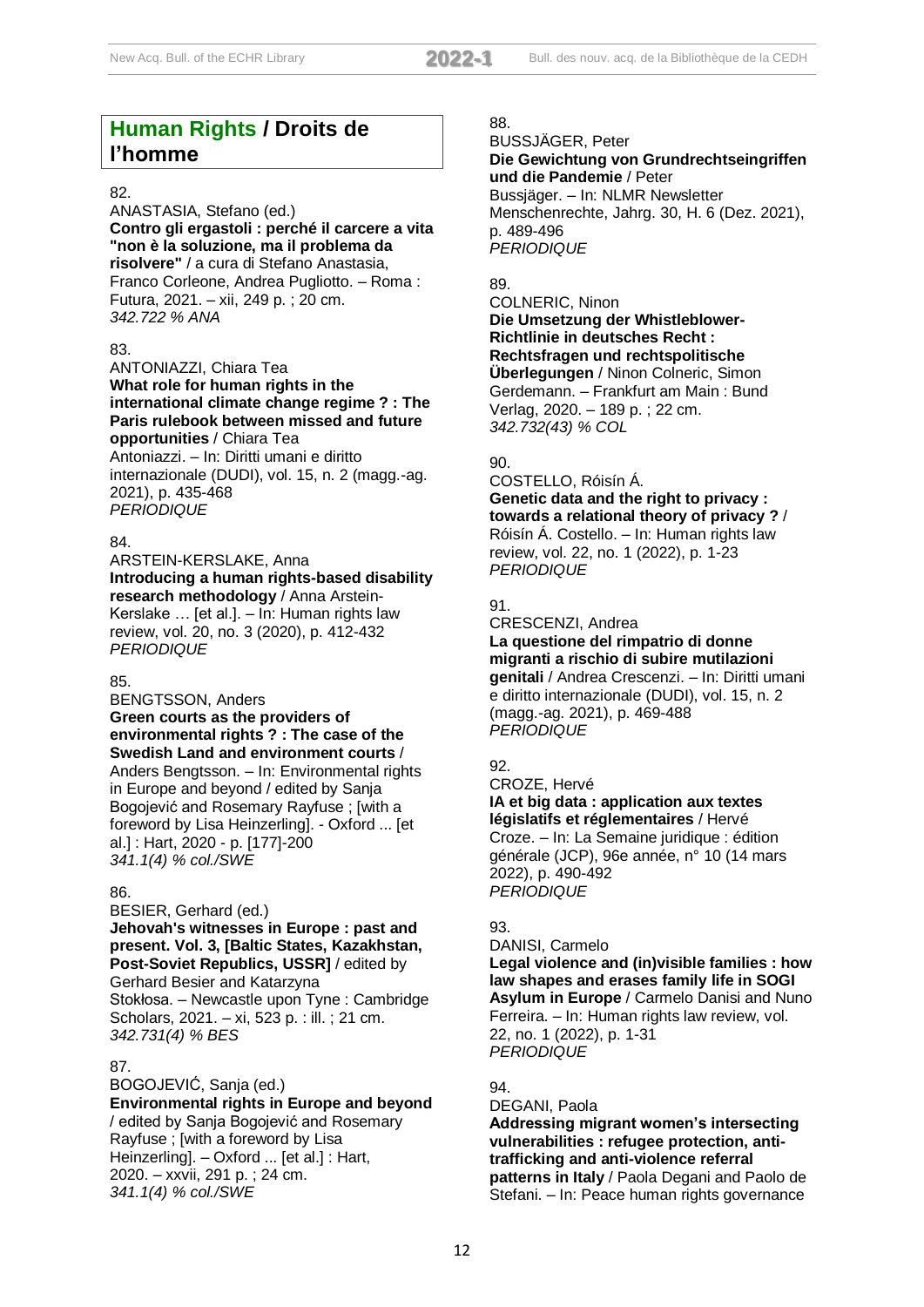# **Human Rights / Droits de l'homme**

## 82.

ANASTASIA, Stefano (ed.) **Contro gli ergastoli : perché il carcere a vita "non è la soluzione, ma il problema da risolvere"** / a cura di Stefano Anastasia, Franco Corleone, Andrea Pugliotto. – Roma : Futura, 2021. – xii, 249 p. ; 20 cm. *342.722 % ANA*

## 83.

ANTONIAZZI, Chiara Tea **What role for human rights in the international climate change regime ? : The Paris rulebook between missed and future opportunities** / Chiara Tea

Antoniazzi. – In: Diritti umani e diritto internazionale (DUDI), vol. 15, n. 2 (magg.-ag. 2021), p. 435-468 *PERIODIQUE*

## 84.

ARSTEIN-KERSLAKE, Anna **Introducing a human rights-based disability research methodology** / Anna Arstein-Kerslake … [et al.]. – In: Human rights law review, vol. 20, no. 3 (2020), p. 412-432 *PERIODIQUE*

## 85.

BENGTSSON, Anders **Green courts as the providers of environmental rights ? : The case of the Swedish Land and environment courts** / Anders Bengtsson. – In: Environmental rights in Europe and beyond / edited by Sanja Bogojević and Rosemary Rayfuse ; [with a foreword by Lisa Heinzerling]. - Oxford ... [et al.] : Hart, 2020 - p. [177]-200 *341.1(4) % col./SWE*

## 86.

BESIER, Gerhard (ed.) **Jehovah's witnesses in Europe : past and present. Vol. 3, [Baltic States, Kazakhstan, Post-Soviet Republics, USSR]** / edited by Gerhard Besier and Katarzyna Stokłosa. – Newcastle upon Tyne : Cambridge Scholars, 2021. – xi, 523 p. : ill. ; 21 cm. *342.731(4) % BES*

## 87.

BOGOJEVIĆ, Sanja (ed.) **Environmental rights in Europe and beyond** / edited by Sanja Bogojević and Rosemary Rayfuse ; [with a foreword by Lisa Heinzerling]. – Oxford ... [et al.] : Hart, 2020. – xxvii, 291 p. ; 24 cm. *341.1(4) % col./SWE*

## 88.

BUSSJÄGER, Peter **Die Gewichtung von Grundrechtseingriffen und die Pandemie** / Peter Bussjäger. – In: NLMR Newsletter Menschenrechte, Jahrg. 30, H. 6 (Dez. 2021),

p. 489-496 *PERIODIQUE*

## 89.

COLNERIC, Ninon

#### **Die Umsetzung der Whistleblower-Richtlinie in deutsches Recht : Rechtsfragen und rechtspolitische Überlegungen** / Ninon Colneric, Simon

Gerdemann. – Frankfurt am Main : Bund Verlag, 2020. – 189 p. ; 22 cm. *342.732(43) % COL*

## 90.

COSTELLO, Róisín Á. **Genetic data and the right to privacy : towards a relational theory of privacy ?** / Róisín Á. Costello. – In: Human rights law

review, vol. 22, no. 1 (2022), p. 1-23 *PERIODIQUE*

## 91.

CRESCENZI, Andrea **La questione del rimpatrio di donne migranti a rischio di subire mutilazioni genitali** / Andrea Crescenzi. – In: Diritti umani e diritto internazionale (DUDI), vol. 15, n. 2 (magg.-ag. 2021), p. 469-488 *PERIODIQUE*

## 92.

CROZE, Hervé **IA et big data : application aux textes législatifs et réglementaires** / Hervé Croze. – In: La Semaine juridique : édition générale (JCP), 96e année, n° 10 (14 mars 2022), p. 490-492 *PERIODIQUE*

## 93.

DANISI, Carmelo **Legal violence and (in)visible families : how law shapes and erases family life in SOGI Asylum in Europe** / Carmelo Danisi and Nuno Ferreira. – In: Human rights law review, vol. 22, no. 1 (2022), p. 1-31 *PERIODIQUE*

## 94.

DEGANI, Paola **Addressing migrant women's intersecting vulnerabilities : refugee protection, antitrafficking and anti-violence referral patterns in Italy** / Paola Degani and Paolo de Stefani. – In: Peace human rights governance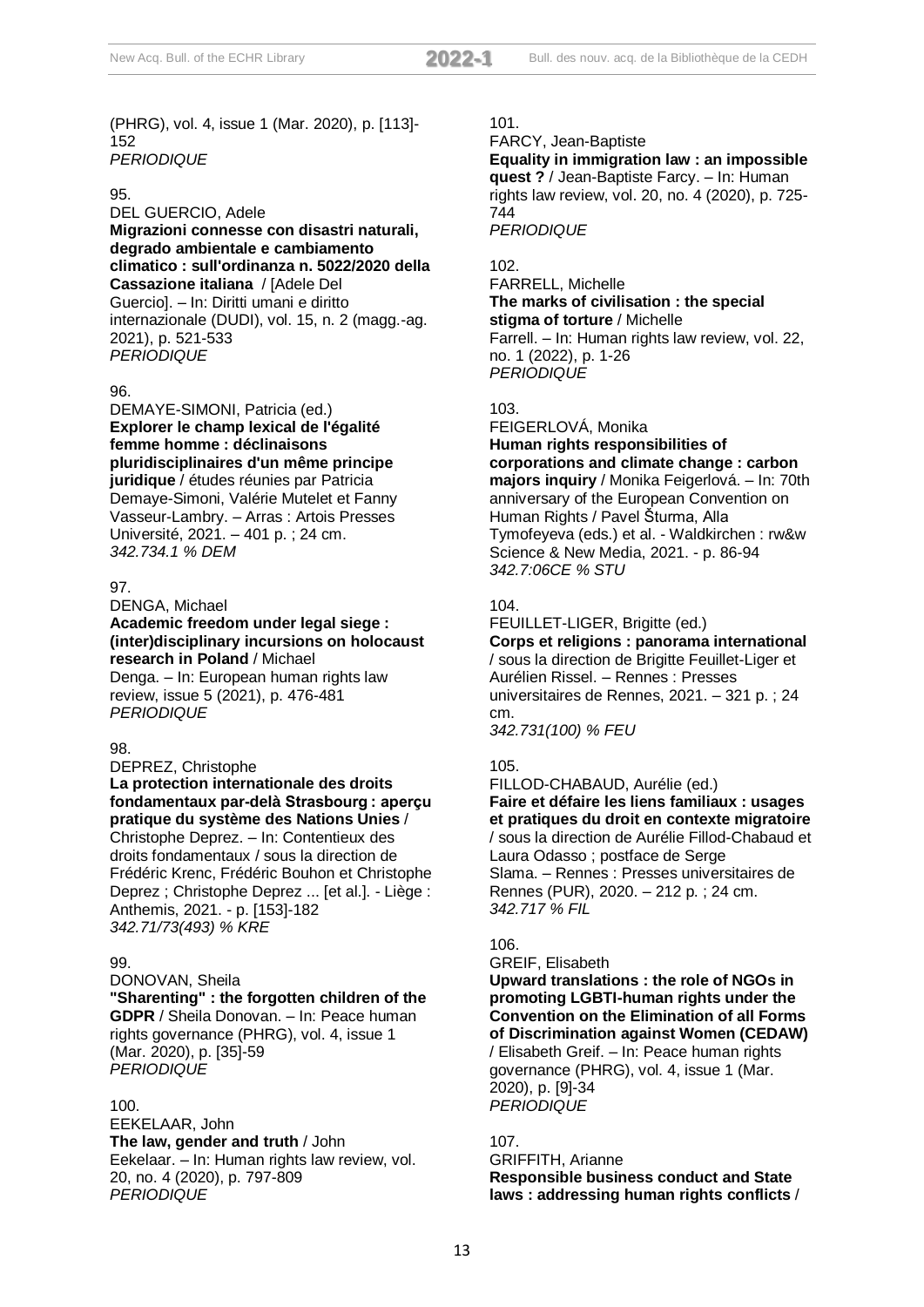(PHRG), vol. 4, issue 1 (Mar. 2020), p. [113]- 152 *PERIODIQUE*

#### 95.

DEL GUERCIO, Adele **Migrazioni connesse con disastri naturali, degrado ambientale e cambiamento climatico : sull'ordinanza n. 5022/2020 della Cassazione italiana** / [Adele Del Guercio]. – In: Diritti umani e diritto internazionale (DUDI), vol. 15, n. 2 (magg.-ag. 2021), p. 521-533 *PERIODIQUE*

## 96.

DEMAYE-SIMONI, Patricia (ed.) **Explorer le champ lexical de l'égalité femme homme : déclinaisons pluridisciplinaires d'un même principe juridique** / études réunies par Patricia Demaye-Simoni, Valérie Mutelet et Fanny Vasseur-Lambry. – Arras : Artois Presses Université, 2021. – 401 p. ; 24 cm. *342.734.1 % DEM*

#### 97.

DENGA, Michael

**Academic freedom under legal siege : (inter)disciplinary incursions on holocaust research in Poland** / Michael Denga. – In: European human rights law review, issue 5 (2021), p. 476-481 *PERIODIQUE*

#### **98.**

DEPREZ, Christophe

**La protection internationale des droits fondamentaux par-delà Strasbourg : aperçu pratique du système des Nations Unies** / Christophe Deprez. – In: Contentieux des

droits fondamentaux / sous la direction de Frédéric Krenc, Frédéric Bouhon et Christophe Deprez ; Christophe Deprez ... [et al.]. - Liège : Anthemis, 2021. - p. [153]-182 *342.71/73(493) % KRE*

## 99.

DONOVAN, Sheila **"Sharenting" : the forgotten children of the GDPR** / Sheila Donovan. – In: Peace human rights governance (PHRG), vol. 4, issue 1 (Mar. 2020), p. [35]-59 *PERIODIQUE*

#### 100.

EEKELAAR, John **The law, gender and truth** / John Eekelaar. – In: Human rights law review, vol. 20, no. 4 (2020), p. 797-809 *PERIODIQUE*

## 101.

FARCY, Jean-Baptiste

**Equality in immigration law : an impossible quest ?** / Jean-Baptiste Farcy. – In: Human rights law review, vol. 20, no. 4 (2020), p. 725- 744

*PERIODIQUE*

*PERIODIQUE*

## 102.

FARRELL, Michelle **The marks of civilisation : the special stigma of torture** / Michelle Farrell. – In: Human rights law review, vol. 22, no. 1 (2022), p. 1-26

## 103.

FEIGERLOVÁ, Monika **Human rights responsibilities of corporations and climate change : carbon majors inquiry** / Monika Feigerlová. – In: 70th anniversary of the European Convention on Human Rights / Pavel Šturma, Alla Tymofeyeva (eds.) et al. - Waldkirchen : rw&w Science & New Media, 2021. - p. 86-94 *342.7:06CE % STU*

## 104.

# FEUILLET-LIGER, Brigitte (ed.)

**Corps et religions : panorama international** / sous la direction de Brigitte Feuillet-Liger et Aurélien Rissel. – Rennes : Presses universitaires de Rennes, 2021. – 321 p. ; 24 cm.

*342.731(100) % FEU*

## 105.

FILLOD-CHABAUD, Aurélie (ed.) **Faire et défaire les liens familiaux : usages et pratiques du droit en contexte migratoire** / sous la direction de Aurélie Fillod-Chabaud et Laura Odasso ; postface de Serge Slama. – Rennes : Presses universitaires de Rennes (PUR), 2020. – 212 p. ; 24 cm.

#### 106.

GREIF, Elisabeth

*342.717 % FIL*

**Upward translations : the role of NGOs in promoting LGBTI-human rights under the Convention on the Elimination of all Forms of Discrimination against Women (CEDAW)** / Elisabeth Greif. – In: Peace human rights governance (PHRG), vol. 4, issue 1 (Mar. 2020), p. [9]-34 *PERIODIQUE*

## 107.

GRIFFITH, Arianne **Responsible business conduct and State laws : addressing human rights conflicts** /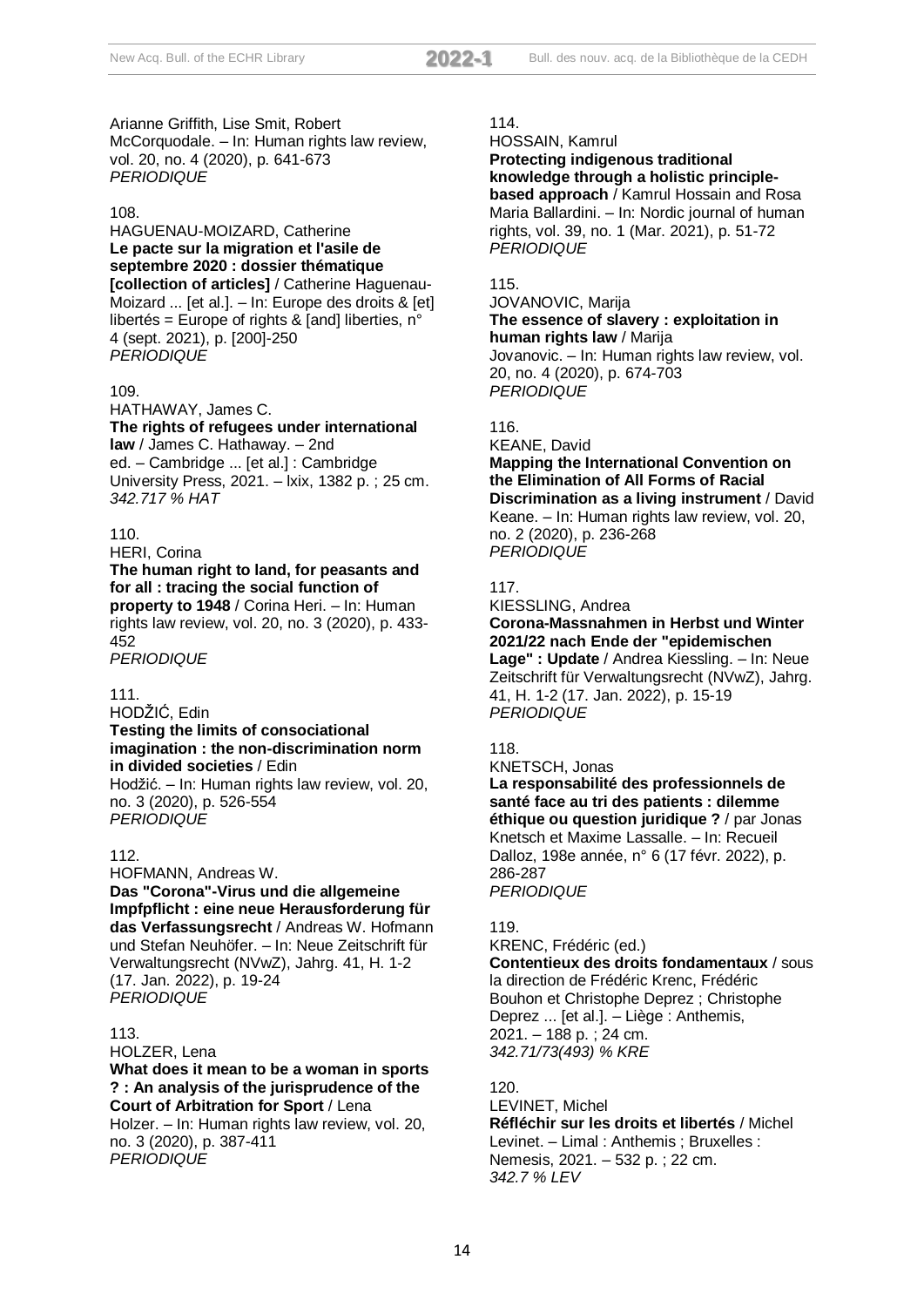Arianne Griffith, Lise Smit, Robert McCorquodale. – In: Human rights law review, vol. 20, no. 4 (2020), p. 641-673 *PERIODIQUE*

#### 108.

HAGUENAU-MOIZARD, Catherine **Le pacte sur la migration et l'asile de septembre 2020 : dossier thématique [collection of articles]** / Catherine Haguenau-Moizard ... [et al.]. – In: Europe des droits & [et] libertés = Europe of rights & [and] liberties, n° 4 (sept. 2021), p. [200]-250 *PERIODIQUE*

#### 109.

HATHAWAY, James C. **The rights of refugees under international law** / James C. Hathaway. – 2nd ed. – Cambridge ... [et al.] : Cambridge University Press, 2021. – lxix, 1382 p. ; 25 cm. *342.717 % HAT*

#### 110.

HERI, Corina

**The human right to land, for peasants and for all : tracing the social function of property to 1948** / Corina Heri. – In: Human rights law review, vol. 20, no. 3 (2020), p. 433- 452

*PERIODIQUE*

#### 111.

HODŽIĆ, Edin **Testing the limits of consociational imagination : the non-discrimination norm in divided societies** / Edin Hodžić. – In: Human rights law review, vol. 20, no. 3 (2020), p. 526-554 *PERIODIQUE*

#### 112.

HOFMANN, Andreas W. **Das "Corona"-Virus und die allgemeine Impfpflicht : eine neue Herausforderung für das Verfassungsrecht** / Andreas W. Hofmann und Stefan Neuhöfer. – In: Neue Zeitschrift für Verwaltungsrecht (NVwZ), Jahrg. 41, H. 1-2 (17. Jan. 2022), p. 19-24 *PERIODIQUE*

#### 113.

HOLZER, Lena

**What does it mean to be a woman in sports ? : An analysis of the jurisprudence of the Court of Arbitration for Sport** / Lena Holzer. – In: Human rights law review, vol. 20, no. 3 (2020), p. 387-411

*PERIODIQUE*

## 114.

HOSSAIN, Kamrul

**Protecting indigenous traditional knowledge through a holistic principlebased approach** / Kamrul Hossain and Rosa Maria Ballardini. – In: Nordic journal of human rights, vol. 39, no. 1 (Mar. 2021), p. 51-72 *PERIODIQUE*

#### 115.

JOVANOVIC, Marija

## **The essence of slavery : exploitation in human rights law** / Marija

Jovanovic. – In: Human rights law review, vol. 20, no. 4 (2020), p. 674-703 *PERIODIQUE*

116.

KEANE, David

**Mapping the International Convention on the Elimination of All Forms of Racial Discrimination as a living instrument** / David Keane. – In: Human rights law review, vol. 20, no. 2 (2020), p. 236-268 *PERIODIQUE*

#### 117.

KIESSLING, Andrea

**Corona-Massnahmen in Herbst und Winter 2021/22 nach Ende der "epidemischen**

**Lage" : Update** / Andrea Kiessling. – In: Neue Zeitschrift für Verwaltungsrecht (NVwZ), Jahrg. 41, H. 1-2 (17. Jan. 2022), p. 15-19 *PERIODIQUE*

#### 118.

KNETSCH, Jonas **La responsabilité des professionnels de santé face au tri des patients : dilemme éthique ou question juridique ?** / par Jonas Knetsch et Maxime Lassalle. – In: Recueil Dalloz, 198e année, n° 6 (17 févr. 2022), p. 286-287 *PERIODIQUE*

## 119.

KRENC, Frédéric (ed.) **Contentieux des droits fondamentaux** / sous la direction de Frédéric Krenc, Frédéric Bouhon et Christophe Deprez ; Christophe Deprez ... [et al.]. – Liège : Anthemis, 2021. – 188 p. ; 24 cm. *342.71/73(493) % KRE*

#### 120.

LEVINET, Michel **Réfléchir sur les droits et libertés** / Michel Levinet. – Limal : Anthemis ; Bruxelles : Nemesis, 2021. – 532 p. ; 22 cm. *342.7 % LEV*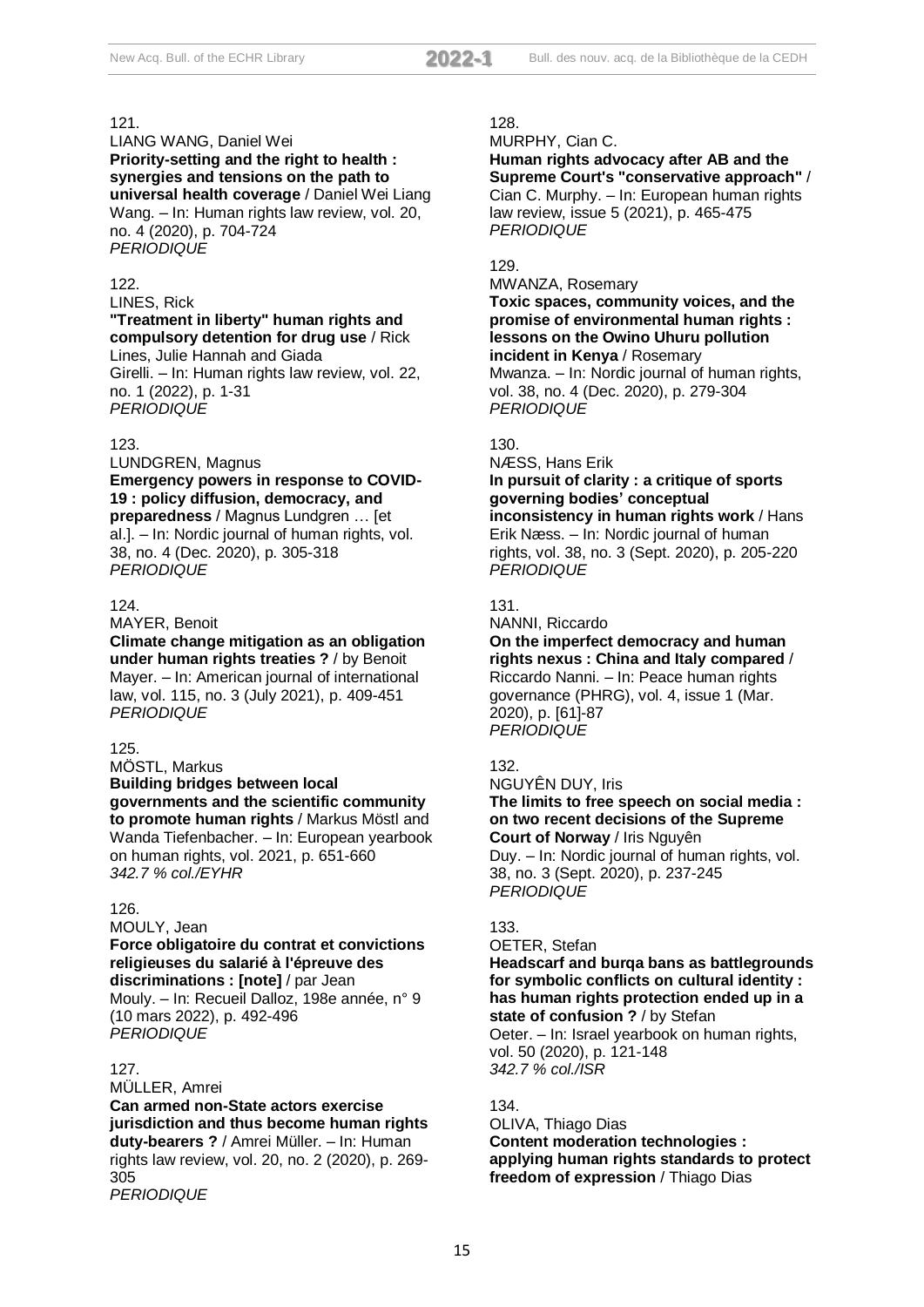LIANG WANG, Daniel Wei **Priority-setting and the right to health : synergies and tensions on the path to universal health coverage** / Daniel Wei Liang Wang. – In: Human rights law review, vol. 20, no. 4 (2020), p. 704-724 *PERIODIQUE*

## 122.

LINES, Rick

**"Treatment in liberty" human rights and compulsory detention for drug use** / Rick Lines, Julie Hannah and Giada Girelli. – In: Human rights law review, vol. 22, no. 1 (2022), p. 1-31 *PERIODIQUE*

#### 123.

LUNDGREN, Magnus **Emergency powers in response to COVID-19 : policy diffusion, democracy, and preparedness** / Magnus Lundgren … [et al.]. – In: Nordic journal of human rights, vol. 38, no. 4 (Dec. 2020), p. 305-318 *PERIODIQUE*

#### 124.

MAYER, Benoit **Climate change mitigation as an obligation under human rights treaties ?** / by Benoit Mayer. – In: American journal of international law, vol. 115, no. 3 (July 2021), p. 409-451 *PERIODIQUE*

#### 125.

MÖSTL, Markus **Building bridges between local governments and the scientific community to promote human rights** / Markus Möstl and Wanda Tiefenbacher. – In: European yearbook on human rights, vol. 2021, p. 651-660 *342.7 % col./EYHR*

## 126.

#### MOULY, Jean

**Force obligatoire du contrat et convictions religieuses du salarié à l'épreuve des discriminations : [note]** / par Jean Mouly. – In: Recueil Dalloz, 198e année, n° 9 (10 mars 2022), p. 492-496 *PERIODIQUE*

## 127.

MÜLLER, Amrei **Can armed non-State actors exercise jurisdiction and thus become human rights duty-bearers ?** / Amrei Müller. – In: Human rights law review, vol. 20, no. 2 (2020), p. 269- 305 *PERIODIQUE*

#### 128.

MURPHY, Cian C.

**Human rights advocacy after AB and the Supreme Court's "conservative approach"** / Cian C. Murphy. – In: European human rights law review, issue 5 (2021), p. 465-475 *PERIODIQUE*

#### 129.

MWANZA, Rosemary **Toxic spaces, community voices, and the promise of environmental human rights : lessons on the Owino Uhuru pollution incident in Kenya** / Rosemary Mwanza. – In: Nordic journal of human rights, vol. 38, no. 4 (Dec. 2020), p. 279-304 *PERIODIQUE*

## 130.

NÆSS, Hans Erik

## **In pursuit of clarity : a critique of sports governing bodies' conceptual inconsistency in human rights work** / Hans Erik Næss. – In: Nordic journal of human

rights, vol. 38, no. 3 (Sept. 2020), p. 205-220 *PERIODIQUE*

131.

#### NANNI, Riccardo **On the imperfect democracy and human rights nexus : China and Italy compared** / Riccardo Nanni. – In: Peace human rights governance (PHRG), vol. 4, issue 1 (Mar. 2020), p. [61]-87 *PERIODIQUE*

## 132.

NGUYÊN DUY, Iris **The limits to free speech on social media : on two recent decisions of the Supreme Court of Norway** / Iris Nguyên

Duy. – In: Nordic journal of human rights, vol. 38, no. 3 (Sept. 2020), p. 237-245 *PERIODIQUE*

## 133.

#### OETER, Stefan **Headscarf and burqa bans as battlegrounds for symbolic conflicts on cultural identity : has human rights protection ended up in a state of confusion ?** / by Stefan

Oeter. – In: Israel yearbook on human rights, vol. 50 (2020), p. 121-148 *342.7 % col./ISR*

## 134.

## OLIVA, Thiago Dias **Content moderation technologies : applying human rights standards to protect freedom of expression** / Thiago Dias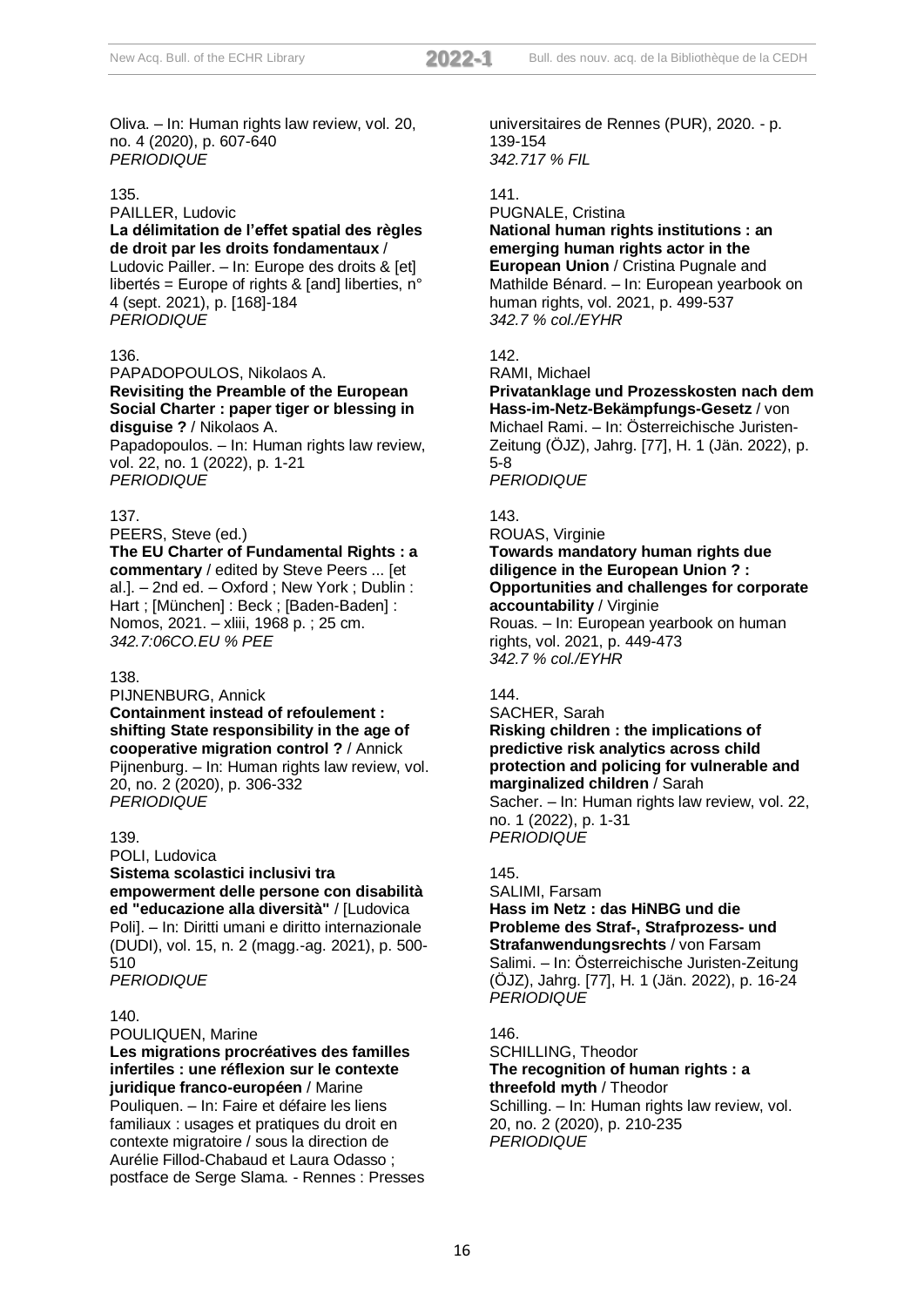Oliva. – In: Human rights law review, vol. 20, no. 4 (2020), p. 607-640 *PERIODIQUE*

#### 135.

## PAILLER, Ludovic **La délimitation de l'effet spatial des règles de droit par les droits fondamentaux** /

Ludovic Pailler. – In: Europe des droits & [et] libertés = Europe of rights & [and] liberties, n° 4 (sept. 2021), p. [168]-184 *PERIODIQUE*

## 136.

## PAPADOPOULOS, Nikolaos A. **Revisiting the Preamble of the European Social Charter : paper tiger or blessing in disguise ?** / Nikolaos A.

Papadopoulos. – In: Human rights law review, vol. 22, no. 1 (2022), p. 1-21 *PERIODIQUE*

## 137.

PEERS, Steve (ed.)

**The EU Charter of Fundamental Rights : a commentary** / edited by Steve Peers ... [et al.]. – 2nd ed. – Oxford ; New York ; Dublin : Hart ; [München] : Beck ; [Baden-Baden] : Nomos, 2021. – xliii, 1968 p. ; 25 cm. *342.7:06CO.EU % PEE*

## 138.

PIJNENBURG, Annick **Containment instead of refoulement : shifting State responsibility in the age of cooperative migration control ?** / Annick Pijnenburg. – In: Human rights law review, vol. 20, no. 2 (2020), p. 306-332 *PERIODIQUE*

## 139.

POLI, Ludovica **Sistema scolastici inclusivi tra empowerment delle persone con disabilità ed "educazione alla diversità"** / [Ludovica Poli]. – In: Diritti umani e diritto internazionale (DUDI), vol. 15, n. 2 (magg.-ag. 2021), p. 500- 510 *PERIODIQUE*

## 140.

POULIQUEN, Marine

**Les migrations procréatives des familles infertiles : une réflexion sur le contexte juridique franco-européen** / Marine Pouliquen. – In: Faire et défaire les liens familiaux : usages et pratiques du droit en contexte migratoire / sous la direction de Aurélie Fillod-Chabaud et Laura Odasso ; postface de Serge Slama. - Rennes : Presses universitaires de Rennes (PUR), 2020. - p. 139-154 *342.717 % FIL*

## 141.

## PUGNALE, Cristina **National human rights institutions : an emerging human rights actor in the European Union** / Cristina Pugnale and Mathilde Bénard. – In: European yearbook on human rights, vol. 2021, p. 499-537 *342.7 % col./EYHR*

# 142.

RAMI, Michael **Privatanklage und Prozesskosten nach dem Hass-im-Netz-Bekämpfungs-Gesetz** / von Michael Rami. – In: Österreichische Juristen-Zeitung (ÖJZ), Jahrg. [77], H. 1 (Jän. 2022), p. 5-8

*PERIODIQUE*

## 143.

ROUAS, Virginie **Towards mandatory human rights due diligence in the European Union ? : Opportunities and challenges for corporate accountability** / Virginie

Rouas. – In: European yearbook on human rights, vol. 2021, p. 449-473 *342.7 % col./EYHR*

## $144.$

#### SACHER, Sarah

**Risking children : the implications of predictive risk analytics across child protection and policing for vulnerable and marginalized children** / Sarah

Sacher. – In: Human rights law review, vol. 22, no. 1 (2022), p. 1-31 *PERIODIQUE*

## 145.

SALIMI, Farsam **Hass im Netz : das HiNBG und die Probleme des Straf-, Strafprozess- und Strafanwendungsrechts** / von Farsam Salimi. – In: Österreichische Juristen-Zeitung (ÖJZ), Jahrg. [77], H. 1 (Jän. 2022), p. 16-24 *PERIODIQUE*

## 146.

SCHILLING, Theodor **The recognition of human rights : a threefold myth** / Theodor Schilling. – In: Human rights law review, vol. 20, no. 2 (2020), p. 210-235 *PERIODIQUE*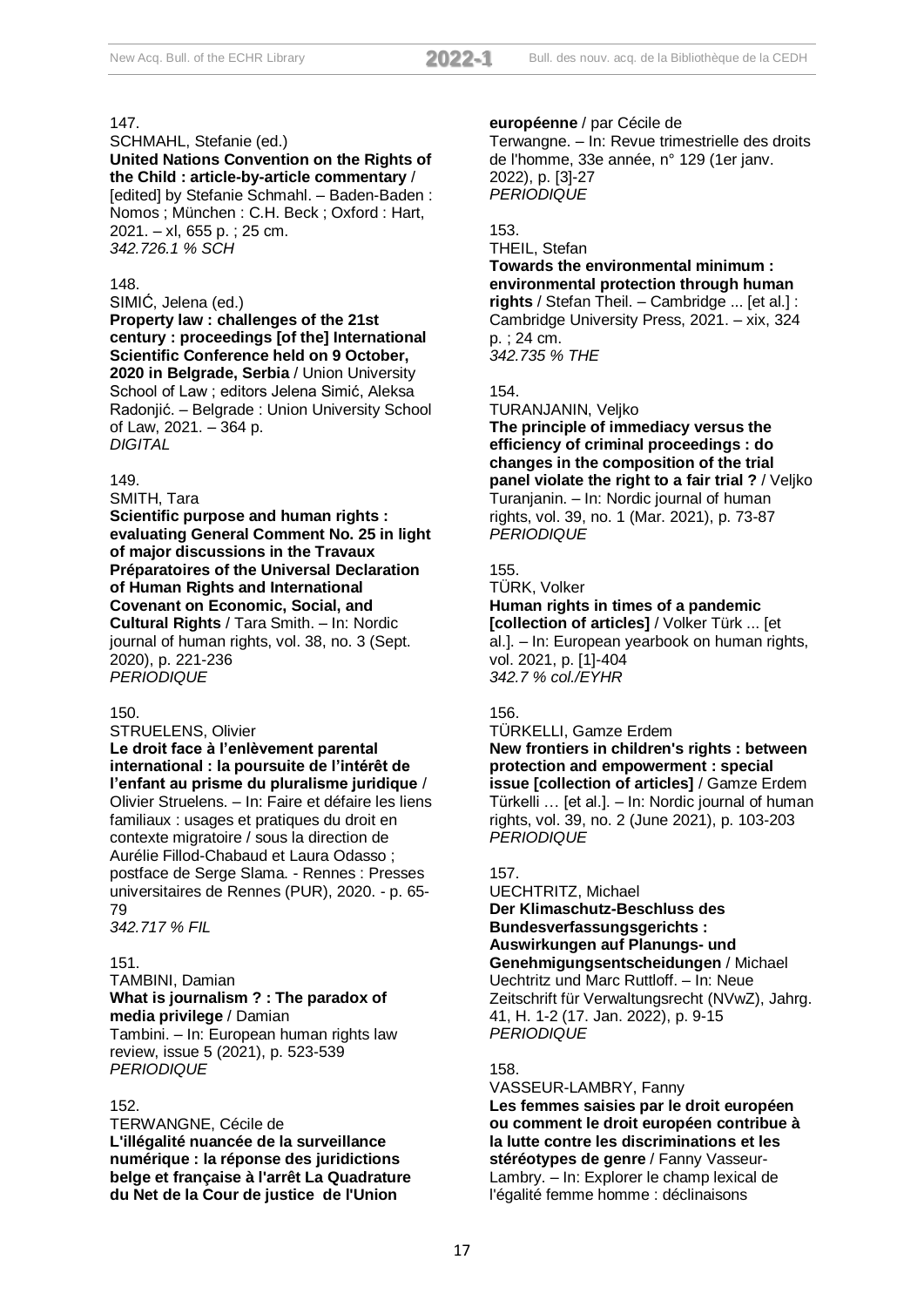SCHMAHL, Stefanie (ed.) **United Nations Convention on the Rights of the Child : article-by-article commentary** / [edited] by Stefanie Schmahl. - Baden-Baden: Nomos ; München : C.H. Beck ; Oxford : Hart, 2021. – xl, 655 p. ; 25 cm. *342.726.1 % SCH*

#### 148.

SIMIĆ, Jelena (ed.)

**Property law : challenges of the 21st century : proceedings [of the] International Scientific Conference held on 9 October, 2020 in Belgrade, Serbia** / Union University School of Law ; editors Jelena Simić, Aleksa Radonjić. – Belgrade : Union University School of Law, 2021. – 364 p. *DIGITAL*

#### 149.

SMITH, Tara

**Scientific purpose and human rights : evaluating General Comment No. 25 in light of major discussions in the Travaux Préparatoires of the Universal Declaration of Human Rights and International Covenant on Economic, Social, and Cultural Rights** / Tara Smith. – In: Nordic journal of human rights, vol. 38, no. 3 (Sept. 2020), p. 221-236

*PERIODIQUE*

## 150.

STRUELENS, Olivier **Le droit face à l'enlèvement parental international : la poursuite de l'intérêt de l'enfant au prisme du pluralisme juridique** / Olivier Struelens. – In: Faire et défaire les liens familiaux : usages et pratiques du droit en contexte migratoire / sous la direction de Aurélie Fillod-Chabaud et Laura Odasso ; postface de Serge Slama. - Rennes : Presses universitaires de Rennes (PUR), 2020. - p. 65- 79

*342.717 % FIL*

#### 151.

TAMBINI, Damian **What is journalism ? : The paradox of media privilege** / Damian Tambini. – In: European human rights law review, issue 5 (2021), p. 523-539 *PERIODIQUE*

#### 152.

TERWANGNE, Cécile de **L'illégalité nuancée de la surveillance numérique : la réponse des juridictions belge et française à l'arrêt La Quadrature du Net de la Cour de justice de l'Union** 

#### **européenne** / par Cécile de

Terwangne. – In: Revue trimestrielle des droits de l'homme, 33e année, n° 129 (1er janv. 2022), p. [3]-27 *PERIODIQUE*

## 153.

## THEIL, Stefan

**Towards the environmental minimum : environmental protection through human rights** / Stefan Theil. – Cambridge ... [et al.] : Cambridge University Press, 2021. – xix, 324 p. ; 24 cm. *342.735 % THE*

## 154.

TURANJANIN, Veljko

**The principle of immediacy versus the efficiency of criminal proceedings : do changes in the composition of the trial panel violate the right to a fair trial ?** / Veljko Turanjanin. – In: Nordic journal of human rights, vol. 39, no. 1 (Mar. 2021), p. 73-87 *PERIODIQUE*

#### 155.

TÜRK, Volker **Human rights in times of a pandemic [collection of articles]** / Volker Türk ... [et al.]. – In: European yearbook on human rights, vol. 2021, p. [1]-404 *342.7 % col./EYHR*

## 156.

TÜRKELLI, Gamze Erdem **New frontiers in children's rights : between protection and empowerment : special issue [collection of articles]** / Gamze Erdem Türkelli … [et al.]. – In: Nordic journal of human rights, vol. 39, no. 2 (June 2021), p. 103-203 *PERIODIQUE*

#### 157.

UECHTRITZ, Michael **Der Klimaschutz-Beschluss des Bundesverfassungsgerichts : Auswirkungen auf Planungs- und Genehmigungsentscheidungen** / Michael Uechtritz und Marc Ruttloff. – In: Neue Zeitschrift für Verwaltungsrecht (NVwZ), Jahrg. 41, H. 1-2 (17. Jan. 2022), p. 9-15 *PERIODIQUE*

#### 158.

VASSEUR-LAMBRY, Fanny **Les femmes saisies par le droit européen ou comment le droit européen contribue à la lutte contre les discriminations et les stéréotypes de genre** / Fanny Vasseur-Lambry. – In: Explorer le champ lexical de l'égalité femme homme : déclinaisons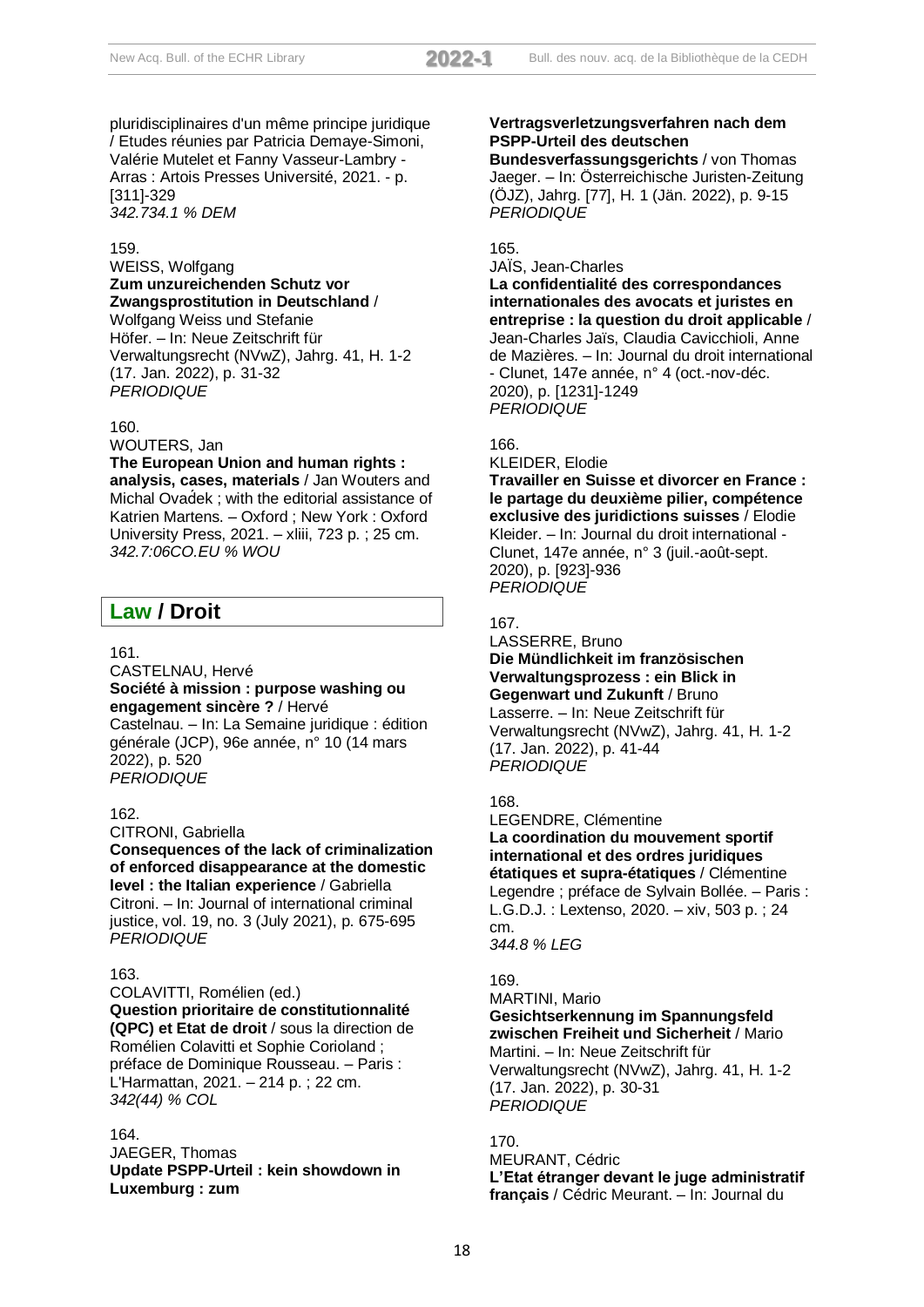pluridisciplinaires d'un même principe juridique / Etudes réunies par Patricia Demaye-Simoni, Valérie Mutelet et Fanny Vasseur-Lambry - Arras : Artois Presses Université, 2021. - p. [311]-329 *342.734.1 % DEM*

## 159.

## WEISS, Wolfgang **Zum unzureichenden Schutz vor Zwangsprostitution in Deutschland** /

Wolfgang Weiss und Stefanie Höfer. – In: Neue Zeitschrift für Verwaltungsrecht (NVwZ), Jahrg. 41, H. 1-2 (17. Jan. 2022), p. 31-32 *PERIODIQUE*

## 160.

WOUTERS, Jan

## **The European Union and human rights :**

**analysis, cases, materials** / Jan Wouters and Michal Ovad́ek ; with the editorial assistance of Katrien Martens. – Oxford ; New York : Oxford University Press, 2021. – xliii, 723 p. ; 25 cm. *342.7:06CO.EU % WOU*

# **Law / Droit**

## 161.

CASTELNAU, Hervé **Société à mission : purpose washing ou engagement sincère ?** / Hervé Castelnau. – In: La Semaine juridique : édition générale (JCP), 96e année, n° 10 (14 mars 2022), p. 520

## 162.

CITRONI, Gabriella

*PERIODIQUE*

**Consequences of the lack of criminalization of enforced disappearance at the domestic level : the Italian experience** / Gabriella Citroni. – In: Journal of international criminal justice, vol. 19, no. 3 (July 2021), p. 675-695 *PERIODIQUE*

## 163.

COLAVITTI, Romélien (ed.) **Question prioritaire de constitutionnalité (QPC) et Etat de droit** / sous la direction de Romélien Colavitti et Sophie Corioland ; préface de Dominique Rousseau. – Paris : L'Harmattan, 2021. – 214 p. ; 22 cm. *342(44) % COL*

## 164.

JAEGER, Thomas **Update PSPP-Urteil : kein showdown in Luxemburg : zum**

## **Vertragsverletzungsverfahren nach dem PSPP-Urteil des deutschen**

**Bundesverfassungsgerichts** / von Thomas Jaeger. – In: Österreichische Juristen-Zeitung (ÖJZ), Jahrg. [77], H. 1 (Jän. 2022), p. 9-15 *PERIODIQUE*

## 165.

JAÏS, Jean-Charles **La confidentialité des correspondances internationales des avocats et juristes en entreprise : la question du droit applicable** / Jean-Charles Jaïs, Claudia Cavicchioli, Anne de Mazières. – In: Journal du droit international - Clunet, 147e année, n° 4 (oct.-nov-déc. 2020), p. [1231]-1249 *PERIODIQUE*

## 166.

KLEIDER, Elodie **Travailler en Suisse et divorcer en France : le partage du deuxième pilier, compétence exclusive des juridictions suisses** / Elodie Kleider. – In: Journal du droit international - Clunet, 147e année, n° 3 (juil.-août-sept. 2020), p. [923]-936 *PERIODIQUE*

## 167.

LASSERRE, Bruno **Die Mündlichkeit im französischen Verwaltungsprozess : ein Blick in Gegenwart und Zukunft** / Bruno Lasserre. – In: Neue Zeitschrift für Verwaltungsrecht (NVwZ), Jahrg. 41, H. 1-2 (17. Jan. 2022), p. 41-44 *PERIODIQUE*

## 168.

LEGENDRE, Clémentine **La coordination du mouvement sportif international et des ordres juridiques étatiques et supra-étatiques** / Clémentine Legendre ; préface de Sylvain Bollée. – Paris : L.G.D.J. : Lextenso, 2020. – xiv, 503 p. ; 24 cm. *344.8 % LEG*

# 169.

MARTINI, Mario **Gesichtserkennung im Spannungsfeld zwischen Freiheit und Sicherheit** / Mario Martini. – In: Neue Zeitschrift für Verwaltungsrecht (NVwZ), Jahrg. 41, H. 1-2 (17. Jan. 2022), p. 30-31 *PERIODIQUE*

## 170. MEURANT, Cédric **L'Etat étranger devant le juge administratif français** / Cédric Meurant. – In: Journal du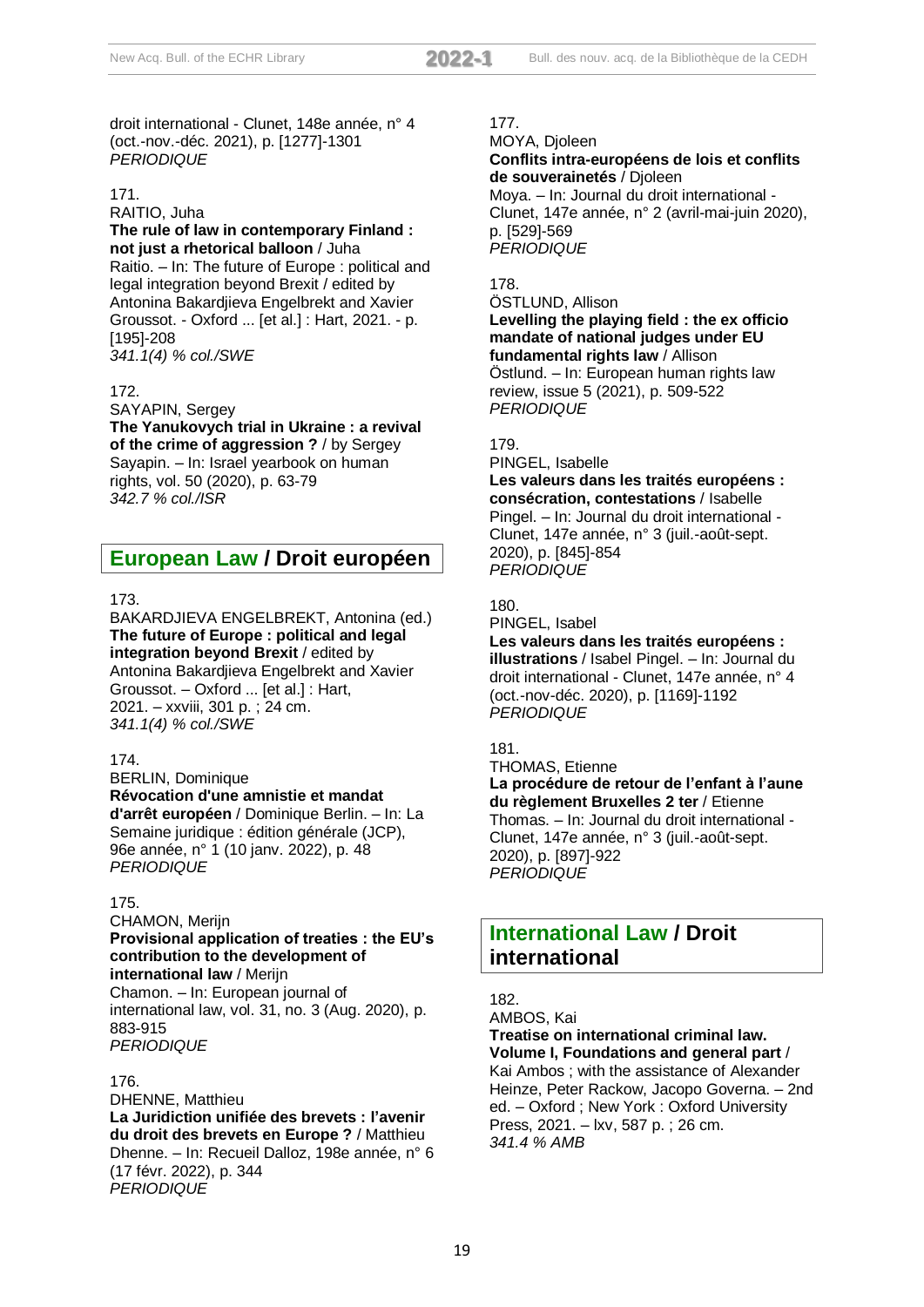droit international - Clunet, 148e année, n° 4 (oct.-nov.-déc. 2021), p. [1277]-1301 *PERIODIQUE*

## 171.

#### RAITIO, Juha **The rule of law in contemporary Finland : not just a rhetorical balloon** / Juha

Raitio. – In: The future of Europe : political and legal integration beyond Brexit / edited by Antonina Bakardjieva Engelbrekt and Xavier Groussot. - Oxford ... [et al.] : Hart, 2021. - p. [195]-208 *341.1(4) % col./SWE*

## 172.

SAYAPIN, Sergey **The Yanukovych trial in Ukraine : a revival of the crime of aggression ?** / by Sergey Sayapin. – In: Israel yearbook on human rights, vol. 50 (2020), p. 63-79 *342.7 % col./ISR*

# **European Law / Droit européen**

## 173.

BAKARDJIEVA ENGELBREKT, Antonina (ed.) **The future of Europe : political and legal integration beyond Brexit** / edited by Antonina Bakardjieva Engelbrekt and Xavier Groussot. – Oxford ... [et al.] : Hart, 2021. – xxviii, 301 p. ; 24 cm. *341.1(4) % col./SWE*

## 174.

BERLIN, Dominique **Révocation d'une amnistie et mandat d'arrêt européen** / Dominique Berlin. – In: La Semaine juridique : édition générale (JCP), 96e année, n° 1 (10 janv. 2022), p. 48 *PERIODIQUE*

## 175.

#### CHAMON, Merijn **Provisional application of treaties : the EU's contribution to the development of international law** / Merijn

Chamon. – In: European journal of international law, vol. 31, no. 3 (Aug. 2020), p. 883-915 *PERIODIQUE*

## 176.

DHENNE, Matthieu **La Juridiction unifiée des brevets : l'avenir du droit des brevets en Europe ?** / Matthieu Dhenne. – In: Recueil Dalloz, 198e année, n° 6 (17 févr. 2022), p. 344 *PERIODIQUE*

## 177.

MOYA, Djoleen

#### **Conflits intra-européens de lois et conflits de souverainetés** / Djoleen

Moya. – In: Journal du droit international - Clunet, 147e année, n° 2 (avril-mai-juin 2020), p. [529]-569 *PERIODIQUE*

## 178.

ÖSTLUND, Allison **Levelling the playing field : the ex officio mandate of national judges under EU fundamental rights law** / Allison Östlund. – In: European human rights law review, issue 5 (2021), p. 509-522 *PERIODIQUE*

## 179.

PINGEL, Isabelle

**Les valeurs dans les traités européens : consécration, contestations** / Isabelle Pingel. – In: Journal du droit international - Clunet, 147e année, n° 3 (juil.-août-sept. 2020), p. [845]-854 *PERIODIQUE*

## 180.

## PINGEL, Isabel **Les valeurs dans les traités européens : illustrations** / Isabel Pingel. – In: Journal du droit international - Clunet, 147e année, n° 4 (oct.-nov-déc. 2020), p. [1169]-1192 *PERIODIQUE*

## 181.

THOMAS, Etienne **La procédure de retour de l'enfant à l'aune du règlement Bruxelles 2 ter** / Etienne Thomas. – In: Journal du droit international - Clunet, 147e année, n° 3 (juil.-août-sept. 2020), p. [897]-922 *PERIODIQUE*

# **International Law / Droit international**

## 182.

AMBOS, Kai

**Treatise on international criminal law. Volume I, Foundations and general part** / Kai Ambos ; with the assistance of Alexander Heinze, Peter Rackow, Jacopo Governa. – 2nd ed. – Oxford ; New York : Oxford University Press, 2021. – lxv, 587 p. ; 26 cm. *341.4 % AMB*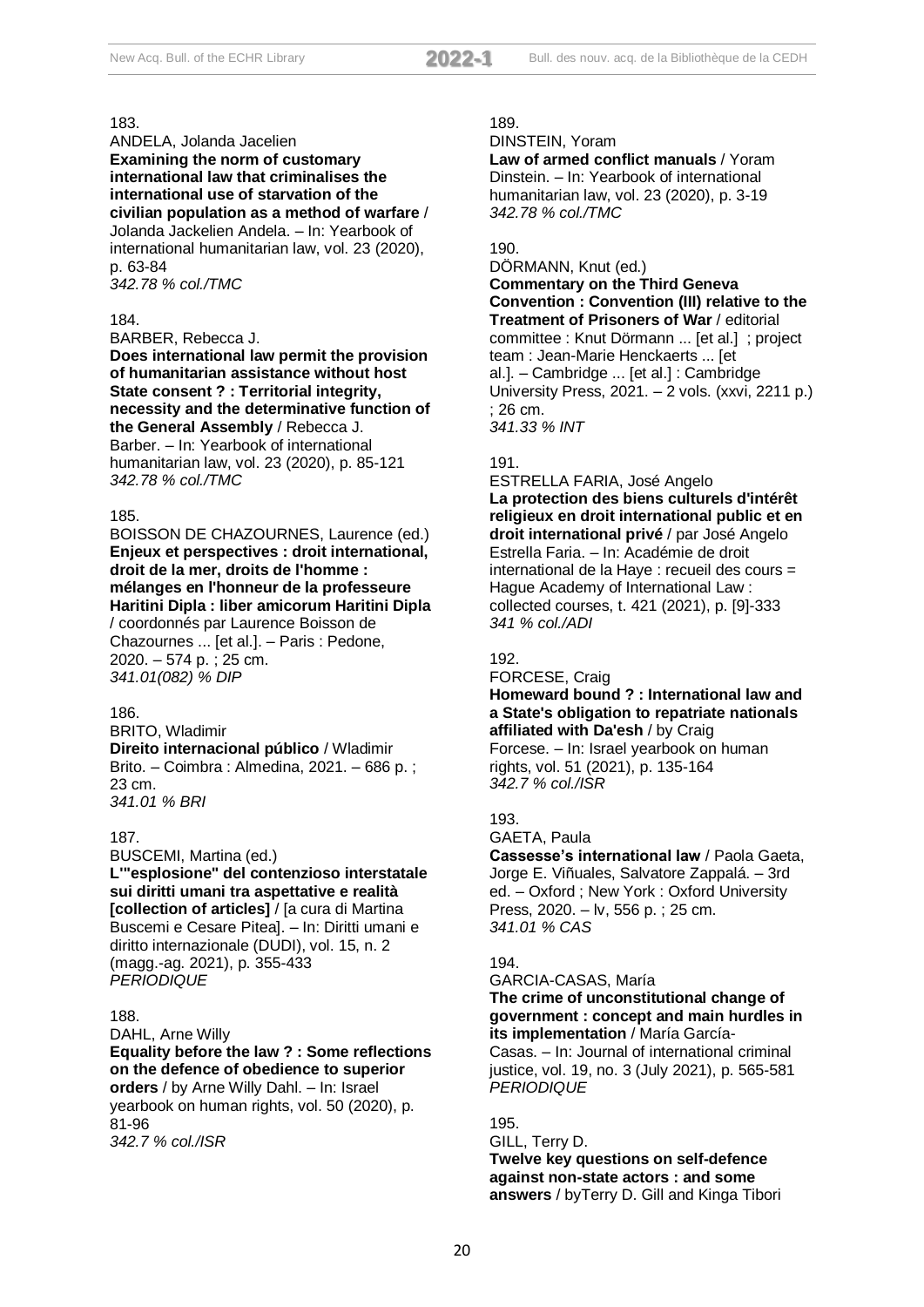ANDELA, Jolanda Jacelien **Examining the norm of customary international law that criminalises the international use of starvation of the civilian population as a method of warfare** / Jolanda Jackelien Andela. – In: Yearbook of international humanitarian law, vol. 23 (2020), p. 63-84 *342.78 % col./TMC*

184.

BARBER, Rebecca J.

**Does international law permit the provision of humanitarian assistance without host State consent ? : Territorial integrity, necessity and the determinative function of the General Assembly** / Rebecca J. Barber. – In: Yearbook of international humanitarian law, vol. 23 (2020), p. 85-121 *342.78 % col./TMC*

#### 185.

BOISSON DE CHAZOURNES, Laurence (ed.) **Enjeux et perspectives : droit international, droit de la mer, droits de l'homme : mélanges en l'honneur de la professeure Haritini Dipla : liber amicorum Haritini Dipla**

/ coordonnés par Laurence Boisson de Chazournes ... [et al.]. – Paris : Pedone, 2020. – 574 p. ; 25 cm. *341.01(082) % DIP*

## 186.

BRITO, Wladimir **Direito internacional público** / Wladimir Brito. – Coimbra : Almedina, 2021. – 686 p. ; 23 cm. *341.01 % BRI*

#### 187.

BUSCEMI, Martina (ed.) **L'"esplosione" del contenzioso interstatale sui diritti umani tra aspettative e realità [collection of articles]** / [a cura di Martina Buscemi e Cesare Pitea]. – In: Diritti umani e diritto internazionale (DUDI), vol. 15, n. 2 (magg.-ag. 2021), p. 355-433 *PERIODIQUE*

#### 188.

DAHL, Arne Willy **Equality before the law ? : Some reflections on the defence of obedience to superior orders** / by Arne Willy Dahl. – In: Israel yearbook on human rights, vol. 50 (2020), p. 81-96 *342.7 % col./ISR*

## 189.

DINSTEIN, Yoram

**Law of armed conflict manuals** / Yoram Dinstein. – In: Yearbook of international humanitarian law, vol. 23 (2020), p. 3-19 *342.78 % col./TMC*

## 190.

DÖRMANN, Knut (ed.) **Commentary on the Third Geneva Convention : Convention (III) relative to the Treatment of Prisoners of War** / editorial committee : Knut Dörmann ... [et al.] ; project team : Jean-Marie Henckaerts ... [et al.]. – Cambridge ... [et al.] : Cambridge University Press, 2021. – 2 vols. (xxvi, 2211 p.) ; 26 cm. *341.33 % INT*

#### 191.

ESTRELLA FARIA, José Angelo **La protection des biens culturels d'intérêt religieux en droit international public et en droit international privé** / par José Angelo Estrella Faria. – In: Académie de droit international de la Haye : recueil des cours = Hague Academy of International Law : collected courses, t. 421 (2021), p. [9]-333 *341 % col./ADI*

## 192.

#### FORCESE, Craig **Homeward bound ? : International law and a State's obligation to repatriate nationals affiliated with Da'esh** / by Craig

Forcese. – In: Israel yearbook on human rights, vol. 51 (2021), p. 135-164 *342.7 % col./ISR*

## 193.

GAETA, Paula **Cassesse's international law** / Paola Gaeta, Jorge E. Viñuales, Salvatore Zappalá. – 3rd ed. – Oxford ; New York : Oxford University Press, 2020. – lv, 556 p. ; 25 cm. *341.01 % CAS*

#### 194.

GARCIA-CASAS, María **The crime of unconstitutional change of government : concept and main hurdles in its implementation** / María García-

Casas. – In: Journal of international criminal justice, vol. 19, no. 3 (July 2021), p. 565-581 *PERIODIQUE*

#### 195.

GILL, Terry D. **Twelve key questions on self-defence against non-state actors : and some answers** / byTerry D. Gill and Kinga Tibori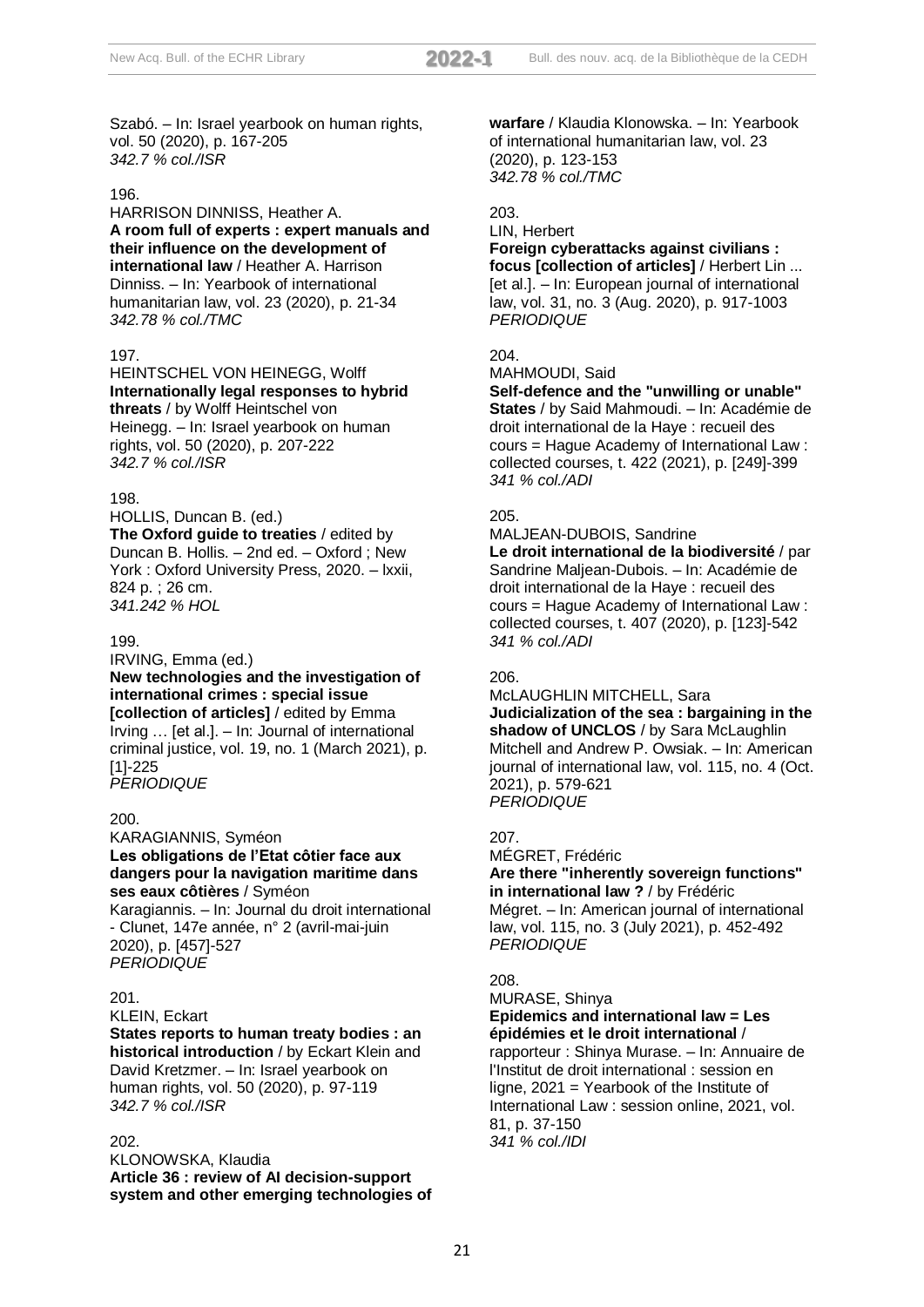Szabó. – In: Israel yearbook on human rights, vol. 50 (2020), p. 167-205 *342.7 % col./ISR*

#### 196.

HARRISON DINNISS, Heather A. **A room full of experts : expert manuals and their influence on the development of international law** / Heather A. Harrison Dinniss. – In: Yearbook of international humanitarian law, vol. 23 (2020), p. 21-34 *342.78 % col./TMC*

#### 197.

HEINTSCHEL VON HEINEGG, Wolff **Internationally legal responses to hybrid threats** / by Wolff Heintschel von Heinegg. – In: Israel yearbook on human rights, vol. 50 (2020), p. 207-222 *342.7 % col./ISR*

## 198.

HOLLIS, Duncan B. (ed.) **The Oxford guide to treaties** / edited by Duncan B. Hollis. – 2nd ed. – Oxford ; New York : Oxford University Press, 2020. – lxxii, 824 p. ; 26 cm. *341.242 % HOL*

#### 199.

IRVING, Emma (ed.) **New technologies and the investigation of international crimes : special issue [collection of articles]** / edited by Emma Irving … [et al.]. – In: Journal of international criminal justice, vol. 19, no. 1 (March 2021), p. [1]-225 *PERIODIQUE*

#### 200.

KARAGIANNIS, Syméon **Les obligations de l'Etat côtier face aux dangers pour la navigation maritime dans ses eaux côtières** / Syméon

Karagiannis. – In: Journal du droit international - Clunet, 147e année, n° 2 (avril-mai-juin 2020), p. [457]-527 *PERIODIQUE*

#### $201$

KLEIN, Eckart

**States reports to human treaty bodies : an historical introduction** / by Eckart Klein and David Kretzmer. – In: Israel yearbook on human rights, vol. 50 (2020), p. 97-119 *342.7 % col./ISR*

#### 202.

KLONOWSKA, Klaudia **Article 36 : review of AI decision-support system and other emerging technologies of**  **warfare** / Klaudia Klonowska. – In: Yearbook of international humanitarian law, vol. 23 (2020), p. 123-153 *342.78 % col./TMC*

### 203.

#### LIN, Herbert

#### **Foreign cyberattacks against civilians : focus [collection of articles]** / Herbert Lin ... [et al.]. – In: European journal of international law, vol. 31, no. 3 (Aug. 2020), p. 917-1003

*PERIODIQUE*

# $204$

MAHMOUDI, Said

**Self-defence and the "unwilling or unable" States** / by Said Mahmoudi. – In: Académie de droit international de la Haye : recueil des cours = Hague Academy of International Law : collected courses, t. 422 (2021), p. [249]-399 *341 % col./ADI*

#### 205.

MALJEAN-DUBOIS, Sandrine

**Le droit international de la biodiversité** / par Sandrine Maljean-Dubois. – In: Académie de droit international de la Haye : recueil des cours = Hague Academy of International Law : collected courses, t. 407 (2020), p. [123]-542 *341 % col./ADI*

#### 206.

McLAUGHLIN MITCHELL, Sara **Judicialization of the sea : bargaining in the shadow of UNCLOS** / by Sara McLaughlin Mitchell and Andrew P. Owsiak. – In: American journal of international law, vol. 115, no. 4 (Oct. 2021), p. 579-621 *PERIODIQUE*

#### 207.

MÉGRET, Frédéric **Are there "inherently sovereign functions" in international law ?** / by Frédéric

Mégret. – In: American journal of international law, vol. 115, no. 3 (July 2021), p. 452-492 *PERIODIQUE*

## 208.

MURASE, Shinya **Epidemics and international law = Les épidémies et le droit international** /

rapporteur : Shinya Murase. – In: Annuaire de l'Institut de droit international : session en ligne, 2021 = Yearbook of the Institute of International Law : session online, 2021, vol. 81, p. 37-150 *341 % col./IDI*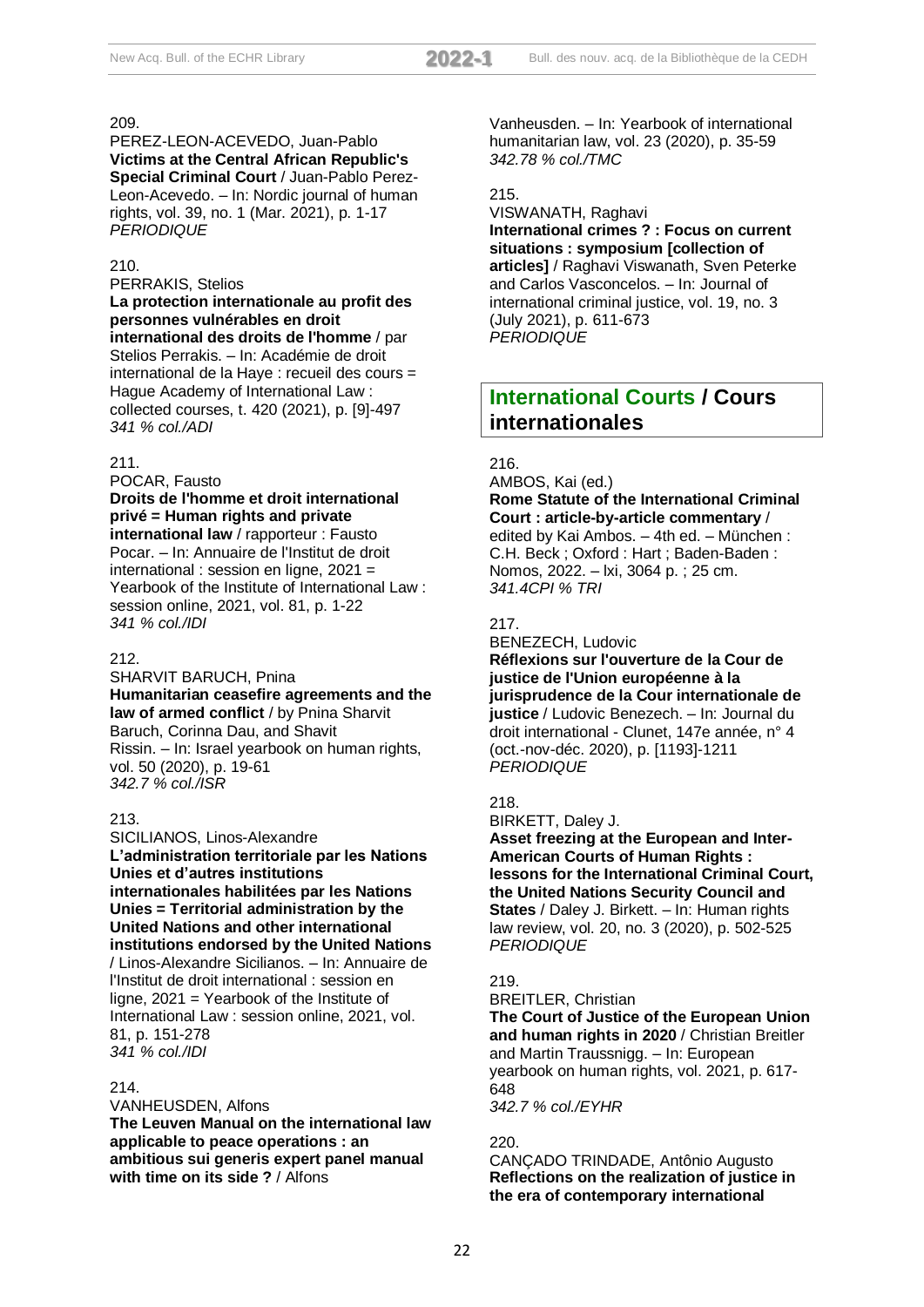PEREZ-LEON-ACEVEDO, Juan-Pablo **Victims at the Central African Republic's Special Criminal Court** / Juan-Pablo Perez-Leon-Acevedo. – In: Nordic journal of human rights, vol. 39, no. 1 (Mar. 2021), p. 1-17 *PERIODIQUE*

#### 210.

#### PERRAKIS, Stelios

**La protection internationale au profit des personnes vulnérables en droit international des droits de l'homme** / par Stelios Perrakis. – In: Académie de droit international de la Haye : recueil des cours = Hague Academy of International Law : collected courses, t. 420 (2021), p. [9]-497 *341 % col./ADI*

#### 211.

POCAR, Fausto

## **Droits de l'homme et droit international privé = Human rights and private**

**international law** / rapporteur : Fausto Pocar. – In: Annuaire de l'Institut de droit international : session en ligne, 2021 = Yearbook of the Institute of International Law : session online, 2021, vol. 81, p. 1-22 *341 % col./IDI*

## 212.

SHARVIT BARUCH, Pnina **Humanitarian ceasefire agreements and the law of armed conflict** / by Pnina Sharvit Baruch, Corinna Dau, and Shavit Rissin. – In: Israel yearbook on human rights, vol. 50 (2020), p. 19-61 *342.7 % col./ISR*

## 213.

SICILIANOS, Linos-Alexandre **L'administration territoriale par les Nations Unies et d'autres institutions internationales habilitées par les Nations Unies = Territorial administration by the United Nations and other international institutions endorsed by the United Nations** / Linos-Alexandre Sicilianos. – In: Annuaire de l'Institut de droit international : session en ligne, 2021 = Yearbook of the Institute of International Law : session online, 2021, vol. 81, p. 151-278 *341 % col./IDI*

## 214.

VANHEUSDEN, Alfons

**The Leuven Manual on the international law applicable to peace operations : an ambitious sui generis expert panel manual with time on its side ?** / Alfons

Vanheusden. – In: Yearbook of international humanitarian law, vol. 23 (2020), p. 35-59 *342.78 % col./TMC*

## 215.

VISWANATH, Raghavi **International crimes ? : Focus on current situations : symposium [collection of articles]** / Raghavi Viswanath, Sven Peterke and Carlos Vasconcelos. – In: Journal of international criminal justice, vol. 19, no. 3 (July 2021), p. 611-673 *PERIODIQUE*

# **International Courts / Cours internationales**

## 216.

AMBOS, Kai (ed.) **Rome Statute of the International Criminal Court : article-by-article commentary** / edited by Kai Ambos. – 4th ed. – München : C.H. Beck ; Oxford : Hart ; Baden-Baden : Nomos, 2022. – lxi, 3064 p. ; 25 cm. *341.4CPI % TRI*

## 217.

BENEZECH, Ludovic

**Réflexions sur l'ouverture de la Cour de justice de l'Union européenne à la jurisprudence de la Cour internationale de justice** / Ludovic Benezech. – In: Journal du droit international - Clunet, 147e année, n° 4 (oct.-nov-déc. 2020), p. [1193]-1211 *PERIODIQUE*

## 218.

BIRKETT, Daley J.

**Asset freezing at the European and Inter-American Courts of Human Rights : lessons for the International Criminal Court, the United Nations Security Council and States** / Daley J. Birkett. – In: Human rights law review, vol. 20, no. 3 (2020), p. 502-525 *PERIODIQUE*

## 219.

BREITLER, Christian **The Court of Justice of the European Union and human rights in 2020** / Christian Breitler and Martin Traussnigg. – In: European yearbook on human rights, vol. 2021, p. 617- 648

*342.7 % col./EYHR*

## 220.

CANÇADO TRINDADE, Antônio Augusto **Reflections on the realization of justice in the era of contemporary international**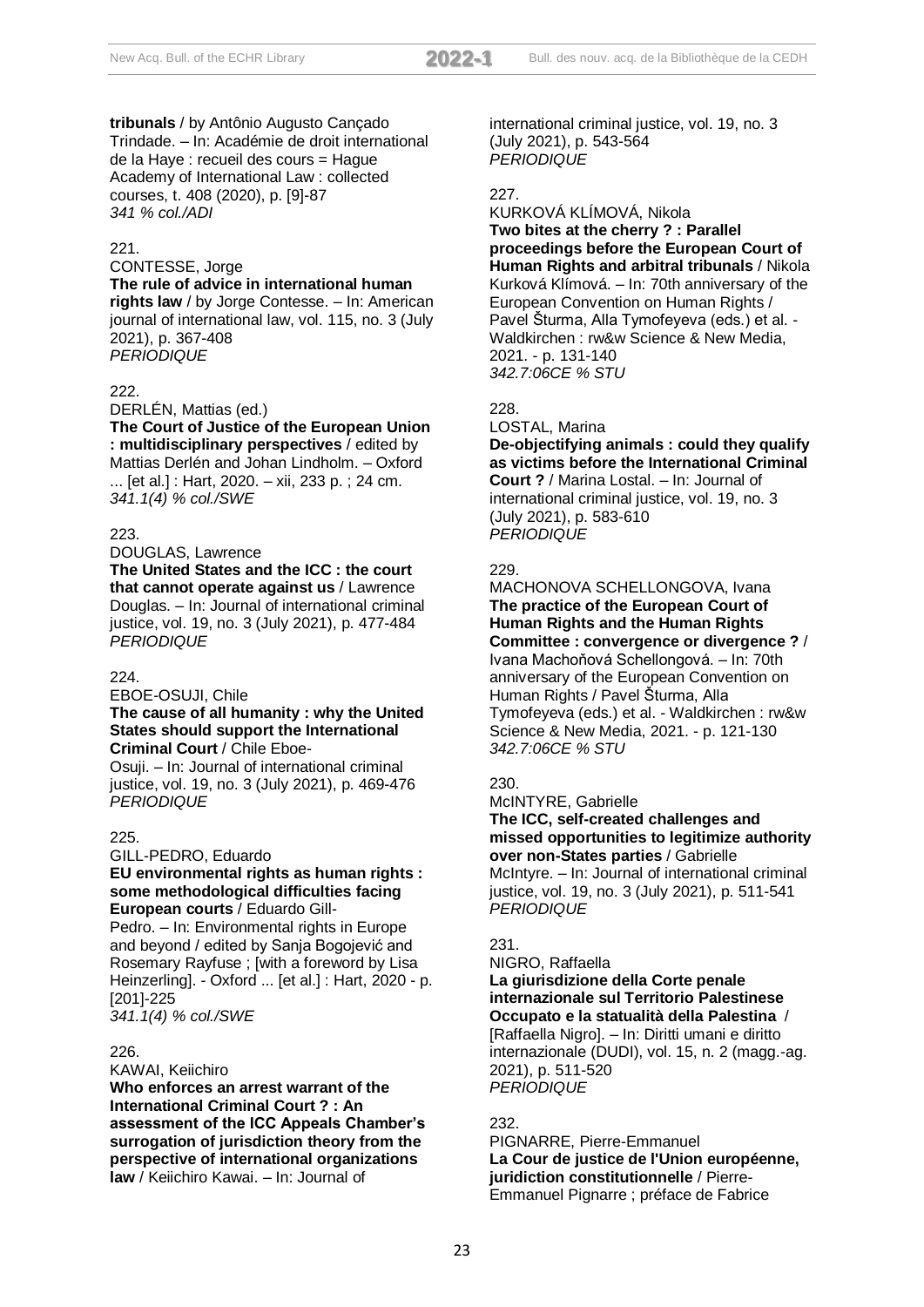**tribunals** / by Antônio Augusto Cançado Trindade. – In: Académie de droit international de la Haye : recueil des cours = Hague Academy of International Law : collected courses, t. 408 (2020), p. [9]-87 *341 % col./ADI*

## 221.

## CONTESSE, Jorge

#### **The rule of advice in international human**

**rights law** / by Jorge Contesse. – In: American journal of international law, vol. 115, no. 3 (July 2021), p. 367-408 *PERIODIQUE*

#### 222.

DERLÉN, Mattias (ed.)

**The Court of Justice of the European Union : multidisciplinary perspectives** / edited by Mattias Derlén and Johan Lindholm. – Oxford ... [et al.] : Hart, 2020. – xii, 233 p. ; 24 cm. *341.1(4) % col./SWE*

#### 223.

#### DOUGLAS, Lawrence

**The United States and the ICC : the court that cannot operate against us** / Lawrence Douglas. – In: Journal of international criminal justice, vol. 19, no. 3 (July 2021), p. 477-484 *PERIODIQUE*

#### $224$

EBOE-OSUJI, Chile

#### **The cause of all humanity : why the United States should support the International Criminal Court** / Chile Eboe-

Osuji. – In: Journal of international criminal justice, vol. 19, no. 3 (July 2021), p. 469-476 *PERIODIQUE*

#### 225.

#### GILL-PEDRO, Eduardo **EU environmental rights as human rights : some methodological difficulties facing European courts** / Eduardo Gill-

Pedro. – In: Environmental rights in Europe and beyond / edited by Sanja Bogojević and Rosemary Rayfuse ; [with a foreword by Lisa Heinzerling]. - Oxford ... [et al.] : Hart, 2020 - p. [201]-225

*341.1(4) % col./SWE*

## 226.

KAWAI, Keiichiro

**Who enforces an arrest warrant of the International Criminal Court ? : An assessment of the ICC Appeals Chamber's surrogation of jurisdiction theory from the perspective of international organizations law** / Keiichiro Kawai. – In: Journal of

international criminal justice, vol. 19, no. 3 (July 2021), p. 543-564 *PERIODIQUE*

## 227.

## KURKOVÁ KLÍMOVÁ, Nikola **Two bites at the cherry ? : Parallel proceedings before the European Court of Human Rights and arbitral tribunals** / Nikola Kurková Klímová. – In: 70th anniversary of the European Convention on Human Rights / Pavel Šturma, Alla Tymofeyeva (eds.) et al. - Waldkirchen : rw&w Science & New Media, 2021. - p. 131-140 *342.7:06CE % STU*

## 228.

LOSTAL, Marina

**De-objectifying animals : could they qualify as victims before the International Criminal Court ?** / Marina Lostal. – In: Journal of international criminal justice, vol. 19, no. 3 (July 2021), p. 583-610 *PERIODIQUE*

## 229.

## MACHONOVA SCHELLONGOVA, Ivana **The practice of the European Court of Human Rights and the Human Rights Committee : convergence or divergence ?** / Ivana Machoňová Schellongová. – In: 70th anniversary of the European Convention on Human Rights / Pavel Šturma, Alla Tymofeyeva (eds.) et al. - Waldkirchen : rw&w Science & New Media, 2021. - p. 121-130 *342.7:06CE % STU*

#### 230.

McINTYRE, Gabrielle

**The ICC, self-created challenges and missed opportunities to legitimize authority over non-States parties** / Gabrielle McIntyre. – In: Journal of international criminal justice, vol. 19, no. 3 (July 2021), p. 511-541 *PERIODIQUE*

#### 231.

## NIGRO, Raffaella

**La giurisdizione della Corte penale internazionale sul Territorio Palestinese Occupato e la statualità della Palestina** / [Raffaella Nigro]. – In: Diritti umani e diritto internazionale (DUDI), vol. 15, n. 2 (magg.-ag. 2021), p. 511-520 *PERIODIQUE*

## 232.

PIGNARRE, Pierre-Emmanuel **La Cour de justice de l'Union européenne, juridiction constitutionnelle** / Pierre-Emmanuel Pignarre ; préface de Fabrice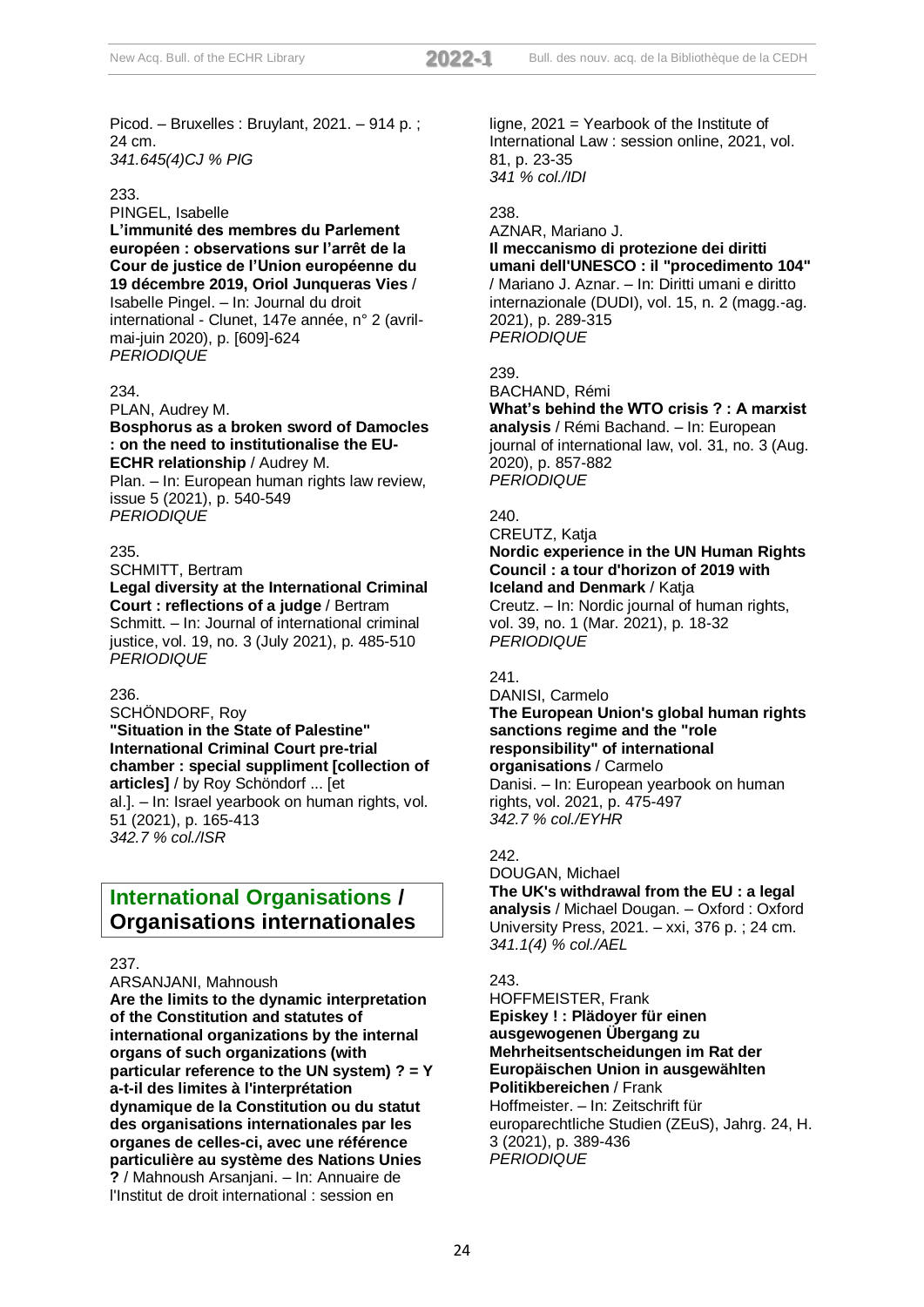Picod. – Bruxelles : Bruylant, 2021. – 914 p. ; 24 cm. *341.645(4)CJ % PIG*

#### 233.

PINGEL, Isabelle

**L'immunité des membres du Parlement européen : observations sur l'arrêt de la Cour de justice de l'Union européenne du 19 décembre 2019, Oriol Junqueras Vies** / Isabelle Pingel. – In: Journal du droit international - Clunet, 147e année, n° 2 (avrilmai-juin 2020), p. [609]-624 *PERIODIQUE*

## 234.

PLAN, Audrey M.

**Bosphorus as a broken sword of Damocles : on the need to institutionalise the EU-ECHR relationship** / Audrey M.

Plan. – In: European human rights law review, issue 5 (2021), p. 540-549 *PERIODIQUE*

#### 235.

SCHMITT, Bertram

**Legal diversity at the International Criminal Court : reflections of a judge** / Bertram Schmitt. – In: Journal of international criminal justice, vol. 19, no. 3 (July 2021), p. 485-510 *PERIODIQUE*

## 236.

SCHÖNDORF, Roy **"Situation in the State of Palestine" International Criminal Court pre-trial chamber : special suppliment [collection of articles]** / by Roy Schöndorf ... [et al.]. – In: Israel yearbook on human rights, vol. 51 (2021), p. 165-413 *342.7 % col./ISR*

# **International Organisations / Organisations internationales**

#### 237.

ARSANJANI, Mahnoush

**Are the limits to the dynamic interpretation of the Constitution and statutes of international organizations by the internal organs of such organizations (with particular reference to the UN system) ? = Y a-t-il des limites à l'interprétation dynamique de la Constitution ou du statut des organisations internationales par les organes de celles-ci, avec une référence particulière au système des Nations Unies ?** / Mahnoush Arsanjani. – In: Annuaire de l'Institut de droit international : session en

ligne, 2021 = Yearbook of the Institute of International Law : session online, 2021, vol. 81, p. 23-35 *341 % col./IDI*

#### 238.

AZNAR, Mariano J. **Il meccanismo di protezione dei diritti umani dell'UNESCO : il "procedimento 104"** / Mariano J. Aznar. – In: Diritti umani e diritto internazionale (DUDI), vol. 15, n. 2 (magg.-ag. 2021), p. 289-315 *PERIODIQUE*

239.

BACHAND, Rémi

**What's behind the WTO crisis ? : A marxist analysis** / Rémi Bachand. – In: European journal of international law, vol. 31, no. 3 (Aug. 2020), p. 857-882 *PERIODIQUE*

#### 240.

CREUTZ, Katja **Nordic experience in the UN Human Rights Council : a tour d'horizon of 2019 with Iceland and Denmark** / Katja

Creutz. – In: Nordic journal of human rights, vol. 39, no. 1 (Mar. 2021), p. 18-32 *PERIODIQUE*

## 241.

DANISI, Carmelo

**The European Union's global human rights sanctions regime and the "role responsibility" of international organisations** / Carmelo

Danisi. – In: European yearbook on human rights, vol. 2021, p. 475-497 *342.7 % col./EYHR*

## 242.

DOUGAN, Michael **The UK's withdrawal from the EU : a legal analysis** / Michael Dougan. – Oxford : Oxford University Press, 2021. – xxi, 376 p. ; 24 cm. *341.1(4) % col./AEL*

## $243.$

HOFFMEISTER, Frank **Episkey ! : Plädoyer für einen ausgewogenen Übergang zu Mehrheitsentscheidungen im Rat der Europäischen Union in ausgewählten Politikbereichen** / Frank Hoffmeister. – In: Zeitschrift für europarechtliche Studien (ZEuS), Jahrg. 24, H. 3 (2021), p. 389-436 *PERIODIQUE*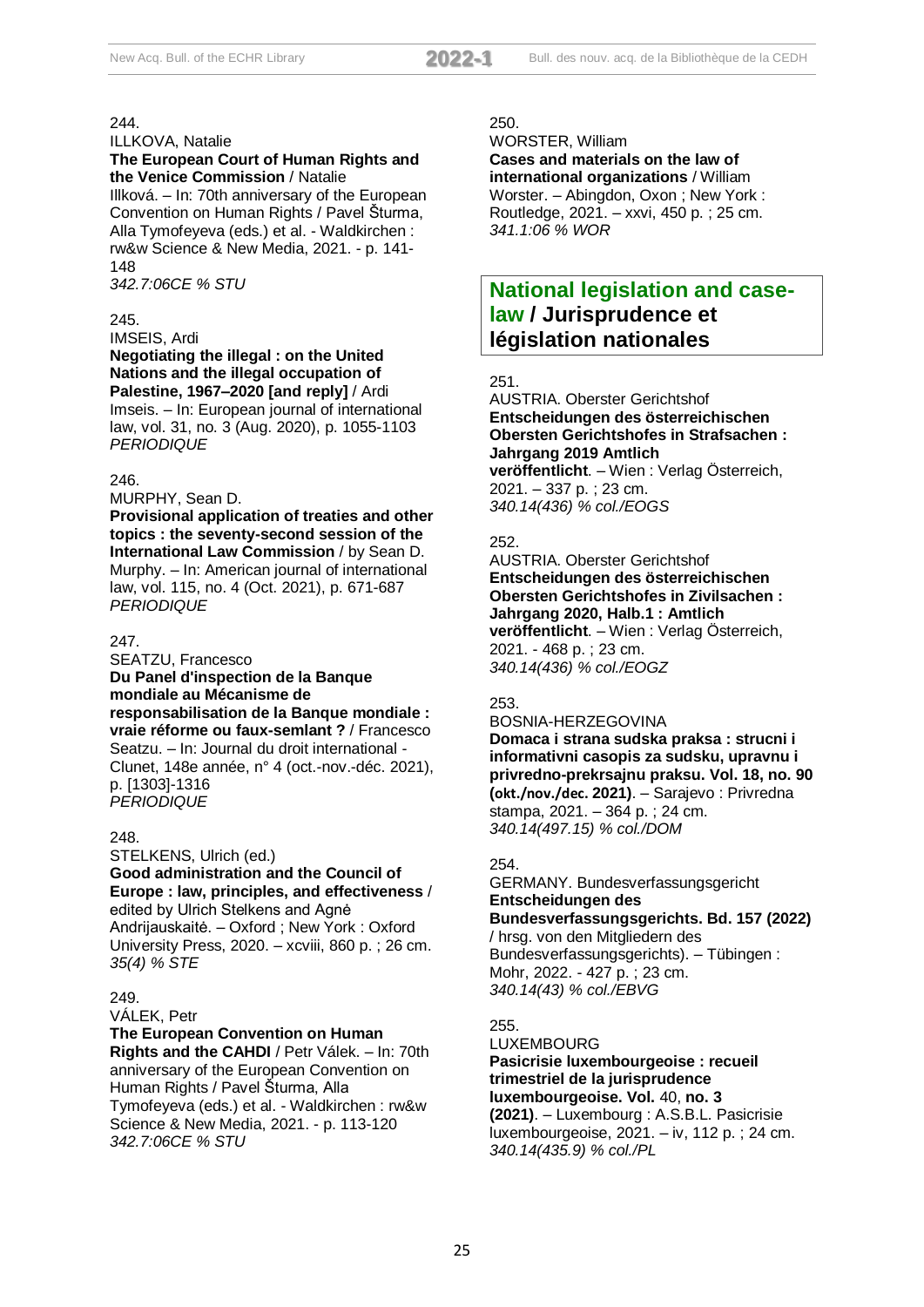ILLKOVA, Natalie

#### **The European Court of Human Rights and the Venice Commission** / Natalie

Illková. – In: 70th anniversary of the European Convention on Human Rights / Pavel Šturma, Alla Tymofeyeva (eds.) et al. - Waldkirchen : rw&w Science & New Media, 2021. - p. 141- 148

*342.7:06CE % STU*

## 245.

IMSEIS, Ardi

#### **Negotiating the illegal : on the United Nations and the illegal occupation of Palestine, 1967–2020 [and reply]** / Ardi

Imseis. – In: European journal of international law, vol. 31, no. 3 (Aug. 2020), p. 1055-1103 *PERIODIQUE*

## 246.

MURPHY, Sean D.

**Provisional application of treaties and other topics : the seventy-second session of the International Law Commission** / by Sean D. Murphy. – In: American journal of international law, vol. 115, no. 4 (Oct. 2021), p. 671-687 *PERIODIQUE*

## 247.

SEATZU, Francesco **Du Panel d'inspection de la Banque mondiale au Mécanisme de responsabilisation de la Banque mondiale : vraie réforme ou faux-semlant ?** / Francesco Seatzu. – In: Journal du droit international - Clunet, 148e année, n° 4 (oct.-nov.-déc. 2021), p. [1303]-1316 *PERIODIQUE*

## 248.

STELKENS, Ulrich (ed.) **Good administration and the Council of Europe : law, principles, and effectiveness** / edited by Ulrich Stelkens and Agnė Andrijauskaitė. – Oxford ; New York : Oxford University Press, 2020. – xcviii, 860 p. ; 26 cm. *35(4) % STE*

## 249.

VÁLEK, Petr

**The European Convention on Human Rights and the CAHDI** / Petr Válek. – In: 70th anniversary of the European Convention on Human Rights / Pavel Šturma, Alla Tymofeyeva (eds.) et al. - Waldkirchen : rw&w Science & New Media, 2021. - p. 113-120 *342.7:06CE % STU*

#### 250.

WORSTER, William

**Cases and materials on the law of international organizations** / William Worster. – Abingdon, Oxon ; New York : Routledge, 2021. – xxvi, 450 p. ; 25 cm. *341.1:06 % WOR*

# **National legislation and caselaw / Jurisprudence et législation nationales**

## 251.

AUSTRIA. Oberster Gerichtshof **Entscheidungen des österreichischen Obersten Gerichtshofes in Strafsachen : Jahrgang 2019 Amtlich veröffentlicht**. – Wien : Verlag Österreich, 2021. – 337 p. ; 23 cm. *340.14(436) % col./EOGS*

## 252.

AUSTRIA. Oberster Gerichtshof **Entscheidungen des österreichischen Obersten Gerichtshofes in Zivilsachen : Jahrgang 2020, Halb.1 : Amtlich veröffentlicht**. – Wien : Verlag Österreich, 2021. - 468 p. ; 23 cm. *340.14(436) % col./EOGZ*

## 253.

BOSNIA-HERZEGOVINA **Domaca i strana sudska praksa : strucni i informativni casopis za sudsku, upravnu i privredno-prekrsajnu praksu. Vol. 18, no. 90 (okt./nov./dec. 2021)**. – Sarajevo : Privredna stampa, 2021. – 364 p. ; 24 cm. *340.14(497.15) % col./DOM*

## 254.

GERMANY. Bundesverfassungsgericht **Entscheidungen des Bundesverfassungsgerichts. Bd. 157 (2022)** / hrsg. von den Mitgliedern des Bundesverfassungsgerichts). – Tübingen : Mohr, 2022. - 427 p. ; 23 cm. *340.14(43) % col./EBVG*

255.

LUXEMBOURG

**Pasicrisie luxembourgeoise : recueil trimestriel de la jurisprudence luxembourgeoise. Vol.** 40, **no. 3 (2021)**. – Luxembourg : A.S.B.L. Pasicrisie luxembourgeoise, 2021. – iv, 112 p. ; 24 cm. *340.14(435.9) % col./PL*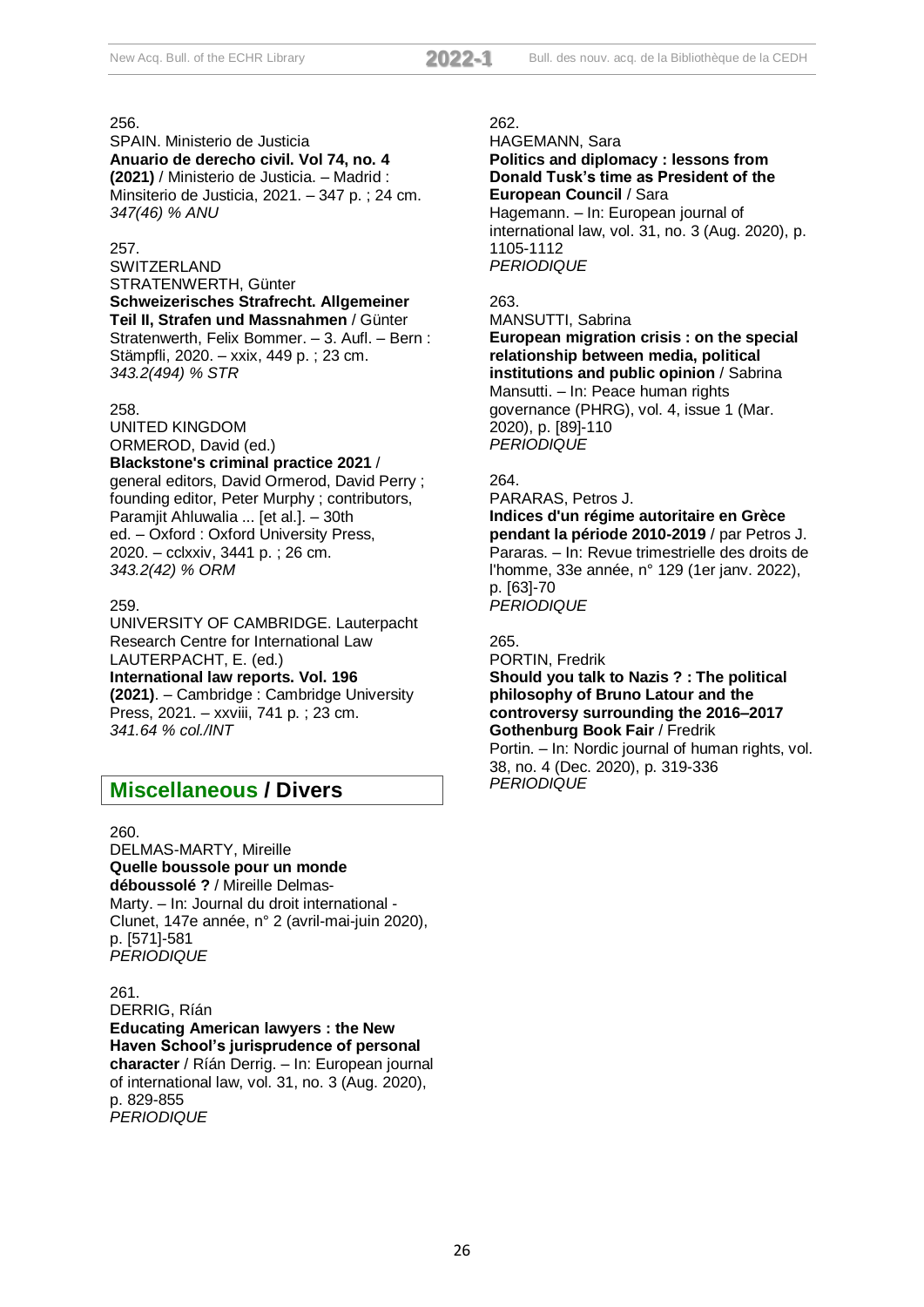SPAIN. Ministerio de Justicia **Anuario de derecho civil. Vol 74, no. 4 (2021)** / Ministerio de Justicia. – Madrid : Minsiterio de Justicia, 2021. – 347 p. ; 24 cm. *347(46) % ANU*

## 257.

SWITZERI AND STRATENWERTH, Günter **Schweizerisches Strafrecht. Allgemeiner Teil II, Strafen und Massnahmen** / Günter Stratenwerth, Felix Bommer. – 3. Aufl. – Bern : Stämpfli, 2020. – xxix, 449 p. ; 23 cm. *343.2(494) % STR*

#### 258.

UNITED KINGDOM ORMEROD, David (ed.) **Blackstone's criminal practice 2021** / general editors, David Ormerod, David Perry ; founding editor, Peter Murphy ; contributors, Paramjit Ahluwalia ... [et al.]. – 30th ed. – Oxford : Oxford University Press, 2020. – cclxxiv, 3441 p. ; 26 cm. *343.2(42) % ORM*

#### 259.

UNIVERSITY OF CAMBRIDGE. Lauterpacht Research Centre for International Law LAUTERPACHT, E. (ed.) **International law reports. Vol. 196 (2021)**. – Cambridge : Cambridge University Press, 2021. – xxviii, 741 p. ; 23 cm. *341.64 % col./INT*

# **Miscellaneous / Divers**

#### 260.

DELMAS-MARTY, Mireille **Quelle boussole pour un monde déboussolé ?** / Mireille Delmas-Marty. – In: Journal du droit international - Clunet, 147e année, n° 2 (avril-mai-juin 2020), p. [571]-581 *PERIODIQUE*

261. DERRIG, Ríán **Educating American lawyers : the New Haven School's jurisprudence of personal character** / Ríán Derrig. – In: European journal of international law, vol. 31, no. 3 (Aug. 2020), p. 829-855 *PERIODIQUE*

#### 262.

HAGEMANN, Sara **Politics and diplomacy : lessons from Donald Tusk's time as President of the European Council** / Sara

Hagemann. – In: European journal of international law, vol. 31, no. 3 (Aug. 2020), p. 1105-1112 *PERIODIQUE*

## 263.

MANSUTTI, Sabrina

**European migration crisis : on the special relationship between media, political institutions and public opinion** / Sabrina Mansutti. – In: Peace human rights governance (PHRG), vol. 4, issue 1 (Mar. 2020), p. [89]-110 *PERIODIQUE*

#### 264.

PARARAS, Petros J. **Indices d'un régime autoritaire en Grèce pendant la période 2010-2019** / par Petros J. Pararas. – In: Revue trimestrielle des droits de l'homme, 33e année, n° 129 (1er janv. 2022), p. [63]-70 *PERIODIQUE*

265.

PORTIN, Fredrik

**Should you talk to Nazis ? : The political philosophy of Bruno Latour and the controversy surrounding the 2016–2017 Gothenburg Book Fair** / Fredrik

Portin. – In: Nordic journal of human rights, vol. 38, no. 4 (Dec. 2020), p. 319-336 *PERIODIQUE*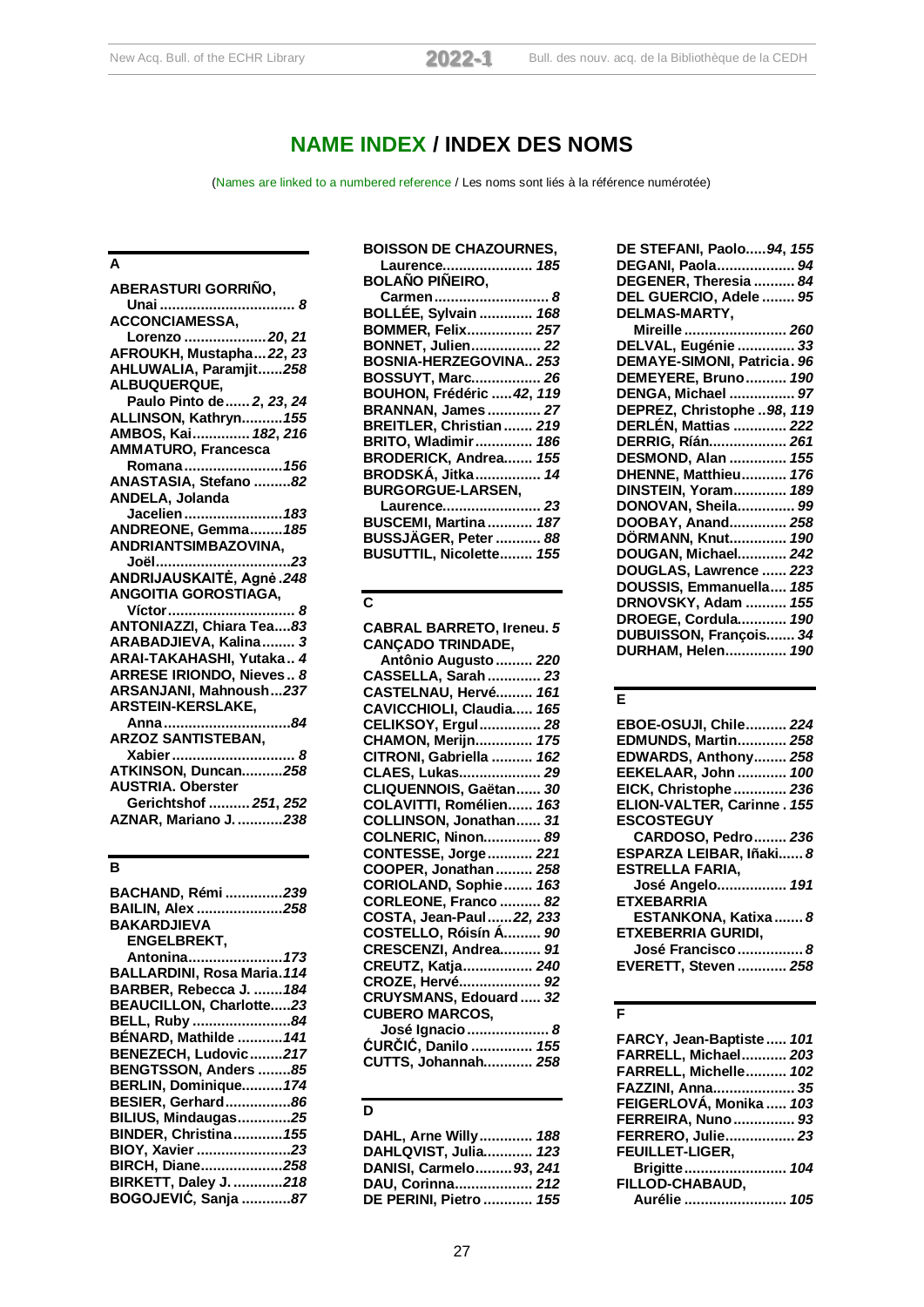# **NAME INDEX / INDEX DES NOMS**

(Names are linked to a numbered reference / Les noms sont liés à la référence numérotée)

# **A**

| <b>ABERASTURI GORRINO,</b>      |
|---------------------------------|
|                                 |
| <b>ACCONCIAMESSA,</b>           |
| Lorenzo  20, 21                 |
| AFROUKH, Mustapha 22, 23        |
| AHLUWALIA, Paramjit258          |
| ALBUQUERQUE,                    |
| Paulo Pinto de  2, 23, 24       |
| ALLINSON, Kathryn 155           |
| AMBOS, Kai  182, 216            |
| <b>AMMATURO, Francesca</b>      |
| Romana 156                      |
| ANASTASIA, Stefano 82           |
| ANDELA, Jolanda                 |
| Jacelien  183                   |
| ANDREONE, Gemma185              |
| ANDRIANTSIMBAZOVINA,            |
| Joël<br>. 23                    |
| ANDRIJAUSKAITĖ, Agnė.248        |
| <b>ANGOITIA GOROSTIAGA,</b>     |
| Víctor  8                       |
| ANTONIAZZI, Chiara Tea83        |
| ARABADJIEVA, Kalina 3           |
| ARAI-TAKAHASHI, Yutaka 4        |
| <b>ARRESE IRIONDO, Nieves 8</b> |
| ARSANJANI, Mahnoush237          |
| ARSTEIN-KERSLAKE,               |
| Anna 84                         |
| <b>ARZOZ SANTISTEBAN,</b>       |
| Xabier  8                       |
| ATKINSON, Duncan258             |
| <b>AUSTRIA. Oberster</b>        |
| Gerichtshof  251, 252           |
| <b>AZNAR, Mariano J. 238</b>    |
|                                 |

# **B**

| BACHAND, Rémi 239                  |
|------------------------------------|
| BAILIN, Alex 258                   |
| <b>BAKARDJIEVA</b>                 |
| <b>ENGELBREKT.</b>                 |
|                                    |
| Antonina 173                       |
| <b>BALLARDINI, Rosa Maria. 114</b> |
| BARBER, Rebecca J.  184            |
| BEAUCILLON, Charlotte23            |
| BELL, Ruby 84                      |
| BÉNARD, Mathilde  141              |
| BENEZECH, Ludovic217               |
| BENGTSSON, Anders 85               |
| BERLIN, Dominique174               |
| BESIER, Gerhard86                  |
| <b>BILIUS, Mindaugas25</b>         |
| <b>BINDER, Christina 155</b>       |
|                                    |
| BIOY, Xavier 23                    |
| BIRCH, Diane258                    |
| BIRKETT, Daley J. 218              |
| BOGOJEVIĆ, Sanja 87                |
|                                    |

| <b>BOISSON DE CHAZOURNES,</b> |
|-------------------------------|
| Laurence 185                  |
| <b>BOLAÑO PIÑEIRO,</b>        |
| Carmen 8                      |
| BOLLÉE, Sylvain  168          |
| <b>BOMMER, Felix 257</b>      |
| <b>BONNET, Julien 22</b>      |
| <b>BOSNIA-HERZEGOVINA 253</b> |
| BOSSUYT, Marc 26              |
| BOUHON, Frédéric  42, 119     |
| <b>BRANNAN, James  27</b>     |
| BREITLER, Christian  219      |
| <b>BRITO, Wladimir 186</b>    |
| BRODERICK, Andrea 155         |
| BRODSKÁ, Jitka 14             |
| <b>BURGORGUE-LARSEN,</b>      |
| Laurence 23                   |
| <b>BUSCEMI, Martina  187</b>  |
| BUSSJÄGER, Peter  88          |
| BUSUTTIL, Nicolette 155       |

## **C**

## **D**

| DAHL, Arne Willy 188    |  |
|-------------------------|--|
| DAHLQVIST, Julia 123    |  |
| DANISI, Carmelo 93, 241 |  |
| DAU, Corinna 212        |  |
| DE PERINI, Pietro  155  |  |

| DE STEFANI, Paolo94, 155    |
|-----------------------------|
| DEGANI, Paola 94            |
| DEGENER, Theresia  84       |
| DEL GUERCIO, Adele  95      |
| DELMAS-MARTY,               |
| Mireille  260               |
| DELVAL, Eugénie  33         |
| DEMAYE-SIMONI, Patricia. 96 |
| DEMEYERE, Bruno 190         |
| DENGA, Michael  97          |
| DEPREZ, Christophe 98, 119  |
| DERLÉN, Mattias  222        |
| DERRIG, Ríán 261            |
| DESMOND, Alan  155          |
| DHENNE, Matthieu 176        |
| DINSTEIN, Yoram 189         |
| DONOVAN, Sheila 99          |
| DOOBAY, Anand 258           |
| DÖRMANN, Knut <i>190</i>    |
| DOUGAN, Michael 242         |
| DOUGLAS, Lawrence  223      |
| DOUSSIS, Emmanuella 185     |
| DRNOVSKY, Adam  155         |
| DROEGE, Cordula 190         |
| DUBUISSON, François 34      |
| DURHAM, Helen 190           |
|                             |

## **E**

| EBOE-OSUJI, Chile 224       |  |
|-----------------------------|--|
| EDMUNDS, Martin 258         |  |
| EDWARDS, Anthony 258        |  |
| EEKELAAR, John  100         |  |
| EICK, Christophe  236       |  |
| ELION-VALTER, Carinne. 155  |  |
| <b>ESCOSTEGUY</b>           |  |
| CARDOSO, Pedro 236          |  |
| ESPARZA LEIBAR, Iñaki 8     |  |
| <b>ESTRELLA FARIA,</b>      |  |
| José Angelo 191             |  |
| <b>ETXEBARRIA</b>           |  |
| ESTANKONA, Katixa  8        |  |
| <b>ETXEBERRIA GURIDI.</b>   |  |
| José Francisco  8           |  |
| <b>EVERETT, Steven  258</b> |  |

## **F**

| FARCY, Jean-Baptiste 101    |  |
|-----------------------------|--|
| <b>FARRELL, Michael 203</b> |  |
| FARRELL, Michelle 102       |  |
| FAZZINI, Anna 35            |  |
| FEIGERLOVÁ, Monika  103     |  |
| <b>FERREIRA, Nuno  93</b>   |  |
| <b>FERRERO, Julie 23</b>    |  |
| <b>FEUILLET-LIGER,</b>      |  |
| Brigitte 104                |  |
| FILLOD-CHABAUD.             |  |
| Aurélie  105                |  |
|                             |  |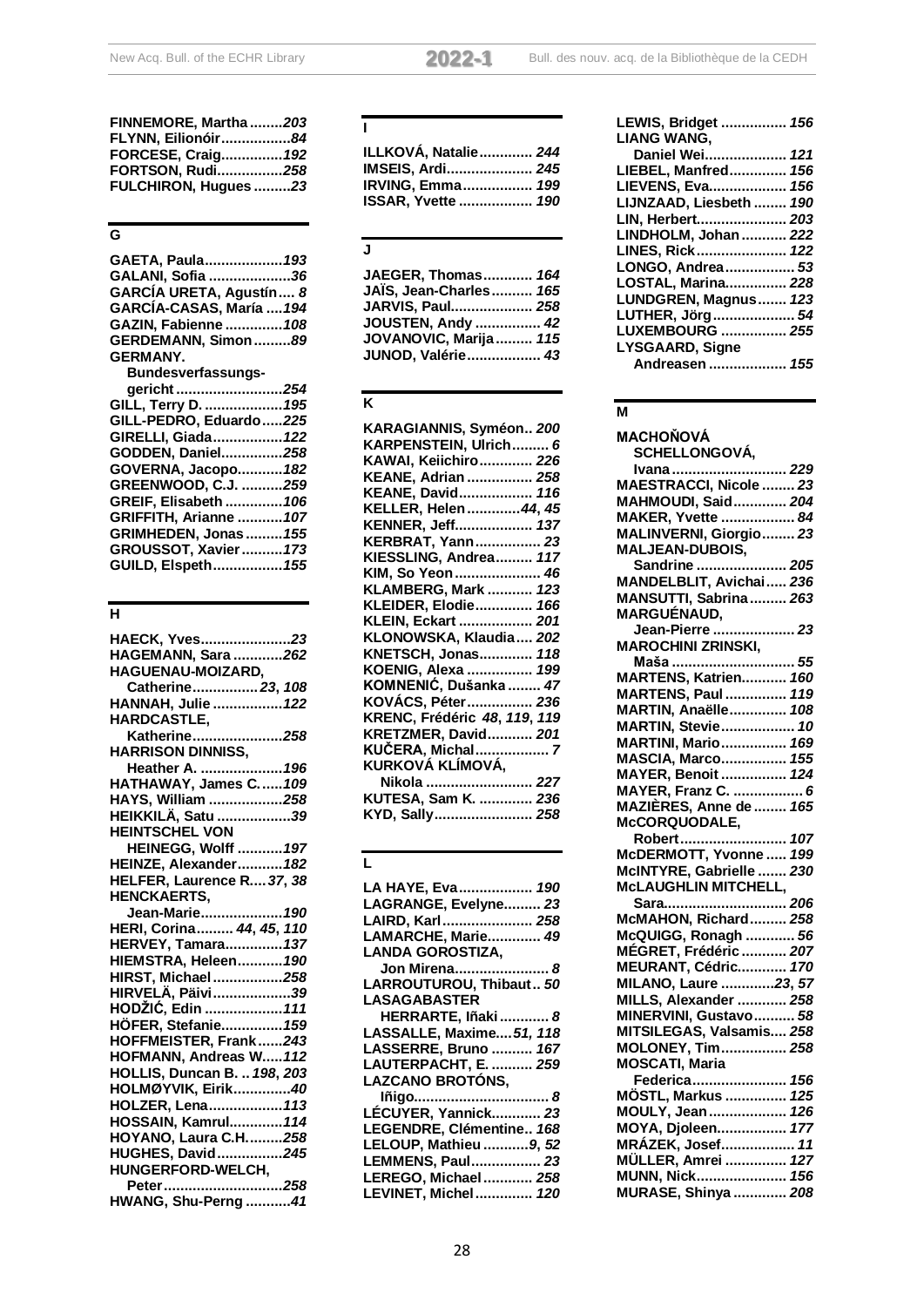| FINNEMORE, Martha203 |
|----------------------|
| FLYNN, Eilionóir84   |
| FORCESE, Craig 192   |
| FORTSON, Rudi258     |
| FULCHIRON, Hugues 23 |
|                      |

# **G**

| GAETA, Paula 193          |  |
|---------------------------|--|
| GALANI, Sofia 36          |  |
| GARCÍA URETA, Agustín 8   |  |
| GARCÍA-CASAS, María  194  |  |
| GAZIN, Fabienne  108      |  |
| GERDEMANN, Simon89        |  |
| <b>GERMANY.</b>           |  |
| <b>Bundesverfassungs-</b> |  |
| gericht 254               |  |
| GILL, Terry D.  195       |  |
| GILL-PEDRO, Eduardo225    |  |
| GIRELLI, Giada 122        |  |
| GODDEN, Daniel258         |  |
| GOVERNA, Jacopo 182       |  |
| GREENWOOD, C.J. 259       |  |
| GREIF, Elisabeth  106     |  |

| GREIF, Elisabeth <i>10</i> 6 |  |
|------------------------------|--|
| GRIFFITH, Arianne  107       |  |
| <b>GRIMHEDEN, Jonas  155</b> |  |
| GROUSSOT, Xavier  173        |  |
| GUILD, Elspeth <i>155</i>    |  |

# **H**

| HAECK, Yves23                      |
|------------------------------------|
| HAGEMANN, Sara 262                 |
| HAGUENAU-MOIZARD,                  |
| Catherine 23, 108                  |
| HANNAH, Julie  122                 |
|                                    |
| HARDCASTLE,<br>Katherine258        |
| <b>HARRISON DINNISS,</b>           |
| Heather A.  196                    |
| HATHAWAY, James C109               |
| HAYS, William 258                  |
| HEIKKILÄ, Satu 39                  |
| <b>HEINTSCHEL VON</b>              |
| <b>HEINEGG, Wolff  197</b>         |
| HEINZE, Alexander 182              |
| HELFER, Laurence R 37, 38          |
| <b>HENCKAERTS,</b>                 |
| <br>Jean-Marie <i>.190</i>         |
| HERI, Corina 44, 45, 110           |
| HERVEY, Tamara 137                 |
| <b>HIEMSTRA, Heleen 190</b>        |
| HIRST, Michael258                  |
| HIRVELÄ, Päivi39                   |
| HODŽIĆ, Edin  111                  |
| HÖFER, Stefanie 159                |
| HOFFMEISTER, Frank243              |
| HOFMANN, Andreas W112              |
| <b>HOLLIS, Duncan B.  198, 203</b> |
| HOLMØYVIK, Eirik40                 |
| HOLZER, Lena113                    |
| HOSSAIN, Kamrul 114                |
| HOYANO, Laura C.H258               |
| HUGHES, David245                   |
| HUNGERFORD-WELCH,                  |
| Peter258                           |
| <b>HWANG, Shu-Perng41</b>          |

## **I**

| ILLKOVÁ, Natalie 244 |  |
|----------------------|--|
| IMSEIS, Ardi 245     |  |
| IRVING, Emma 199     |  |
| ISSAR, Yvette  190   |  |

# **J**

| JAEGER, Thomas 164            |  |
|-------------------------------|--|
| JAÏS, Jean-Charles <i>165</i> |  |
| JARVIS, Paul 258              |  |
| JOUSTEN, Andy  42             |  |
| JOVANOVIC, Marija 115         |  |
| JUNOD, Valérie 43             |  |

# **K**

| KARAGIANNIS, Syméon 200      |
|------------------------------|
| KARPENSTEIN, Ulrich 6        |
| KAWAI, Keiichiro 226         |
| KEANE, Adrian  258           |
| KEANE, David 116             |
| KELLER, Helen 44, 45         |
| KENNER, Jeff 137             |
| KERBRAT, Yann 23             |
| KIESSLING, Andrea 117        |
| KIM, So Yeon 46              |
| KLAMBERG, Mark  123          |
| KLEIDER, Elodie 166          |
| KLEIN, Eckart  201           |
| KLONOWSKA, Klaudia 202       |
| KNETSCH, Jonas 118           |
| KOENIG, Alexa  199           |
| KOMNENIĆ, Dušanka  47        |
| KOVÁCS, Péter 236            |
| KRENC, Frédéric 48, 119, 119 |
| KRETZMER, David 201          |
| KUČERA, Michal 7             |
| KURKOVÁ KLÍMOVÁ,             |
| Nikola  227                  |
| KUTESA, Sam K.  236          |
| KYD, Sally 258               |
|                              |

# **L**

| LA HAYE, Eva 190         |
|--------------------------|
| LAGRANGE, Evelyne 23     |
| LAIRD, Karl 258          |
| LAMARCHE, Marie 49       |
| <b>LANDA GOROSTIZA,</b>  |
| Jon Mirena 8             |
| LARROUTUROU, Thibaut 50  |
| <b>LASAGABASTER</b>      |
| HERRARTE, Iñaki 8        |
| LASSALLE, Maxime 51, 118 |
| LASSERRE, Bruno  167     |
| LAUTERPACHT, E.  259     |
| <b>LAZCANO BROTÓNS,</b>  |
| Iñigo 8                  |
| LÉCUYER, Yannick 23      |
| LEGENDRE, Clémentine 168 |
| LELOUP, Mathieu  9, 52   |
| LEMMENS, Paul 23         |
| LEREGO, Michael 258      |
| LEVINET, Michel 120      |
|                          |

| LEWIS, Bridget  156     |  |
|-------------------------|--|
| <b>LIANG WANG,</b>      |  |
| Daniel Wei 121          |  |
| LIEBEL, Manfred 156     |  |
| LIEVENS, Eva 156        |  |
| LIJNZAAD, Liesbeth  190 |  |
| LIN, Herbert 203        |  |
| LINDHOLM, Johan  222    |  |
| LINES, Rick 122         |  |
| LONGO, Andrea 53        |  |
| LOSTAL, Marina 228      |  |
| LUNDGREN, Magnus 123    |  |
| LUTHER, Jörg 54         |  |
| LUXEMBOURG  255         |  |
| <b>LYSGAARD, Signe</b>  |  |
| Andreasen  155          |  |
|                         |  |

# **M**

| MACHOŇOVÁ                     |
|-------------------------------|
| <b>SCHELLONGOVÁ,</b>          |
| Ivana  229                    |
| MAESTRACCI, Nicole  23        |
| MAHMOUDI, Said 204            |
| MAKER, Yvette  84             |
| MALINVERNI, Giorgio 23        |
| <b>MALJEAN-DUBOIS,</b>        |
| Sandrine  205                 |
| MANDELBLIT, Avichai 236       |
| MANSUTTI, Sabrina 263         |
| <b>MARGUÉNAUD.</b>            |
| -кооскаор,<br>Jean-Pierre  23 |
| <b>MAROCHINI ZRINSKI,</b>     |
| Maša  55                      |
| MARTENS, Katrien<br>160       |
| <b>MARTENS, Paul  119</b>     |
| MARTIN, Anaëlle 108           |
| MARTIN, Stevie 10             |
| <b>MARTINI, Mario 169</b>     |
| <b>MASCIA, Marco 155</b>      |
| MAYER, Benoit  124            |
| MAYER, Franz C.  6            |
| <b>MAZIÈRES, Anne de  165</b> |
| McCORQUODALE,                 |
| Robert 107                    |
| McDERMOTT, Yvonne  199        |
| McINTYRE, Gabrielle  230      |
| <b>McLAUGHLIN MITCHELL,</b>   |
| Sara 206                      |
| McMAHON, Richard 258          |
| McQUIGG, Ronagh  56           |
| MÉGRET, Frédéric  207         |
| MEURANT, Cédric 170           |
| MILANO, Laure 23, 57          |
| MILLS, Alexander  258         |
| MINERVINI, Gustavo 58         |
| MITSILEGAS, Valsamis 258      |
| MOLONEY, Tim 258              |
| <b>MOSCATI, Maria</b>         |
| Federica 156                  |
| MÖSTL, Markus  125            |
| MOULY, Jean 126               |
| MOYA, Djoleen 177             |
| MRÁZEK, Josef  11             |
| MÜLLER, Amrei  127            |
| MUNN, Nick 156                |
| MURASE, Shinya  208           |
|                               |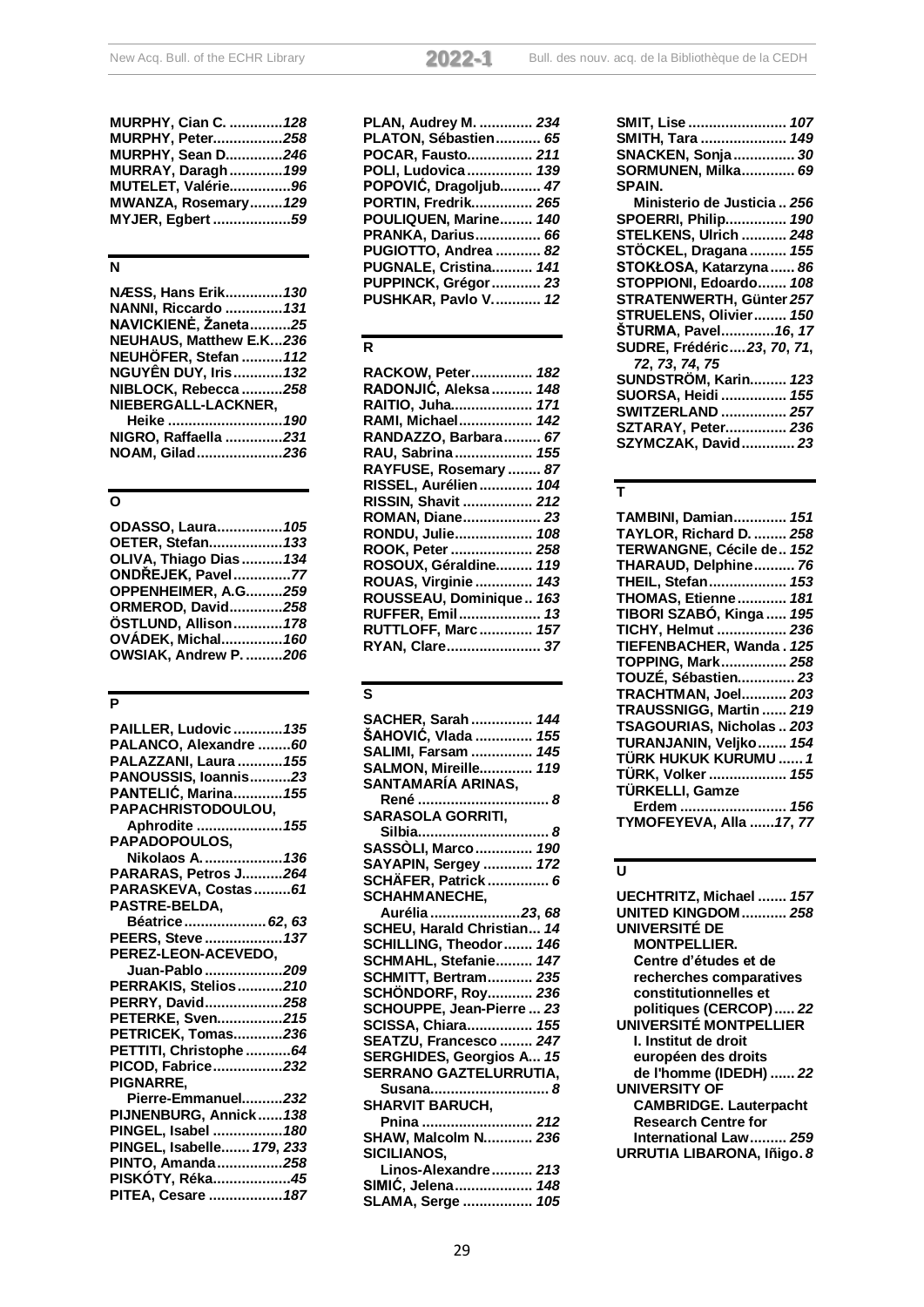| MURPHY, Cian C.  128     |  |
|--------------------------|--|
| <b>MURPHY, Peter258</b>  |  |
| <b>MURPHY, Sean D246</b> |  |
| MURRAY, Daragh  199      |  |
| MUTELET, Valérie96       |  |
| MWANZA, Rosemary 129     |  |
| MYJER, Egbert 59         |  |

## **N**

| NÆSS, Hans Erik 130            |
|--------------------------------|
| <b>NANNI, Riccardo  131</b>    |
| NAVICKIENĖ, Žaneta25           |
| <b>NEUHAUS, Matthew E.K236</b> |
| NEUHÖFER, Stefan  112          |
| <b>NGUYÊN DUY, Iris 132</b>    |
| NIBLOCK, Rebecca 258           |
| NIEBERGALL-LACKNER,            |
|                                |
| NIGRO, Raffaella 231           |
| NOAM, Gilad236                 |

# **O**

| ODASSO, Laura 105       |  |
|-------------------------|--|
| OETER, Stefan 133       |  |
| OLIVA, Thiago Dias  134 |  |
| ONDŘEJEK, Pavel77       |  |
| OPPENHEIMER, A.G259     |  |
| ORMEROD, David258       |  |
| ÖSTLUND, Allison 178    |  |
| OVÁDEK, Michal 160      |  |
| OWSIAK. Andrew P. 206   |  |
|                         |  |

## **P**

| PAILLER, Ludovic  135                 |
|---------------------------------------|
| PALANCO, Alexandre  60                |
| PALAZZANI, Laura  155                 |
| PANOUSSIS, Ioannis23                  |
| <b>PANTELIĆ, Marina 155</b>           |
| PAPACHRISTODOULOU,                    |
| Aphrodite  155                        |
| PAPADOPOULOS,                         |
| Nikolaos A.  136                      |
| PARARAS, Petros J264                  |
| PARASKEVA, Costas  61                 |
| PASTRE-BELDA,                         |
| Béatrice 62, 63                       |
| PEERS, Steve  137                     |
| PEREZ-LEON-ACEVEDO,                   |
|                                       |
| Juan-Pablo 209                        |
| PERRAKIS, Stelios210                  |
| PERRY, David258                       |
| PETERKE, Sven215                      |
| PETRICEK, Tomas236                    |
| PETTITI, Christophe 64                |
| PICOD, Fabrice232                     |
| <b>PIGNARRE,</b>                      |
| Pierre-Emmanuel232                    |
| PIJNENBURG, Annick 138                |
| PINGEL, Isabel  180                   |
| PINGEL, Isabelle 179, 233             |
| PINTO, Amanda258                      |
| PISKÓTY, Réka45<br>PITEA, Cesare  187 |

| the control of the control of the control of the control of the control of the control of the control of the control of the control of the control of the control of the control of the control of the control of the control |  |  |
|-------------------------------------------------------------------------------------------------------------------------------------------------------------------------------------------------------------------------------|--|--|
|                                                                                                                                                                                                                               |  |  |
|                                                                                                                                                                                                                               |  |  |
|                                                                                                                                                                                                                               |  |  |
|                                                                                                                                                                                                                               |  |  |
|                                                                                                                                                                                                                               |  |  |
|                                                                                                                                                                                                                               |  |  |
|                                                                                                                                                                                                                               |  |  |

| PLAN, Audrey M.  234       |
|----------------------------|
| PLATON, Sébastien 65       |
| POCAR, Fausto 211          |
| POLI, Ludovica 139         |
| POPOVIĆ, Dragoljub 47      |
| PORTIN, Fredrik 265        |
| POULIQUEN, Marine 140      |
| PRANKA, Darius 66          |
| PUGIOTTO, Andrea  82       |
| PUGNALE, Cristina 141      |
| PUPPINCK, Grégor 23        |
| <b>PUSHKAR, Pavlo V 12</b> |

# **R**

| RACKOW, Peter 182       |  |
|-------------------------|--|
| RADONJIĆ, Aleksa  148   |  |
| RAITIO, Juha 171        |  |
| RAMI, Michael 142       |  |
| RANDAZZO, Barbara 67    |  |
| RAU, Sabrina 155        |  |
| RAYFUSE, Rosemary  87   |  |
| RISSEL, Aurélien 104    |  |
| RISSIN, Shavit  212     |  |
| ROMAN, Diane 23         |  |
| RONDU, Julie 108        |  |
| ROOK, Peter  258        |  |
| ROSOUX, Géraldine 119   |  |
| ROUAS, Virginie 143     |  |
| ROUSSEAU, Dominique 163 |  |
| RUFFER, Emil 13         |  |
| RUTTLOFF, Marc 157      |  |
| RYAN, Clare 37          |  |
|                         |  |

# **S**

| SACHER, Sarah  144              |
|---------------------------------|
| ŠAHOVIĆ, Vlada<br>155           |
| <b>SALIMI, Farsam </b><br>145   |
| SALMON, Mireille<br>119         |
| SANTAMARÍA ARINAS,              |
| René  8                         |
| <b>SARASOLA GORRITI,</b>        |
| Silbia 8                        |
| SASSÒLI, Marco 190              |
| SAYAPIN, Sergey  172            |
| SCHÄFER, Patrick 6              |
| SCHAHMANECHE,                   |
| Aurélia 23, 68                  |
| SCHEU, Harald Christian 14      |
| SCHILLING, Theodor 146          |
| SCHMAHL, Stefanie 147           |
| <b>SCHMITT, Bertram 235</b>     |
| SCHÖNDORF, Roy 236              |
| SCHOUPPE, Jean-Pierre  23       |
| SCISSA, Chiara 155              |
| SEATZU, Francesco  247          |
| <b>SERGHIDES, Georgios A 15</b> |
| SERRANO GAZTELURRUTIA,          |
| Susana 8                        |
| <b>SHARVIT BARUCH,</b>          |
| Pnina <i>212</i>                |
| <b>SHAW, Malcolm N 236</b>      |
| <b>SICILIANOS,</b>              |
| Linos-Alexandre 213             |
| SIMIĆ, Jelena 148               |
| SLAMA, Serge  105               |

| SMIT, Lise  107              |
|------------------------------|
| SMITH, Tara  149             |
| <b>SNACKEN, Sonja  30</b>    |
| <b>SORMUNEN, Milka 69</b>    |
| SPAIN.                       |
|                              |
| Ministerio de Justicia  256  |
| <b>SPOERRI, Philip 190</b>   |
| <b>STELKENS, Ulrich  248</b> |
| STÖCKEL, Dragana  155        |
| STOKŁOSA, Katarzyna  86      |
|                              |
| STOPPIONI, Edoardo 108       |
| STRATENWERTH, Günter 257     |
| STRUELENS, Olivier 150       |
| ŠTURMA, Pavel16, 17          |
| SUDRE, Frédéric23, 70, 71,   |
| 72, 73, 74, 75               |
| SUNDSTRÖM, Karin 123         |
|                              |
| <b>SUORSA, Heidi  155</b>    |
| SWITZERLAND  257             |
| SZTARAY, Peter 236           |
| SZYMCZAK, David 23           |
|                              |

# **T**

| TAMBINI, Damian 151        |
|----------------------------|
| TAYLOR, Richard D.  258    |
| TERWANGNE, Cécile de 152   |
| THARAUD, Delphine 76       |
| THEIL, Stefan 153          |
| THOMAS, Etienne 181        |
| TIBORI SZABÓ, Kinga  195   |
| TICHY, Helmut  236         |
| TIEFENBACHER, Wanda. 125   |
| TOPPING, Mark 258          |
| TOUZÉ, Sébastien 23        |
| <b>TRACHTMAN, Joel 203</b> |
| TRAUSSNIGG, Martin  219    |
| TSAGOURIAS, Nicholas  203  |
| TURANJANIN, Veljko  154    |
| TÜRK HUKUK KURUMU  1       |
| TÜRK, Volker  155          |
| TÜRKELLI, Gamze            |
| Erdem  156                 |
| TYMOFEYEVA, Alla 17, 77    |
|                            |

# **U**

| UECHTRITZ, Michael  157       |
|-------------------------------|
| <b>UNITED KINGDOM  258</b>    |
| UNIVERSITÉ DE                 |
| <b>MONTPELLIER.</b>           |
| Centre d'études et de         |
| recherches comparatives       |
| constitutionnelles et         |
| politiques (CERCOP) 22        |
| UNIVERSITÉ MONTPELLIER        |
| I. Institut de droit          |
| européen des droits           |
| de l'homme (IDEDH)  22        |
| <b>UNIVERSITY OF</b>          |
| <b>CAMBRIDGE. Lauterpacht</b> |
| <b>Research Centre for</b>    |
| International Law 259         |
| URRUTIA LIBARONA, Iñigo. 8    |
|                               |